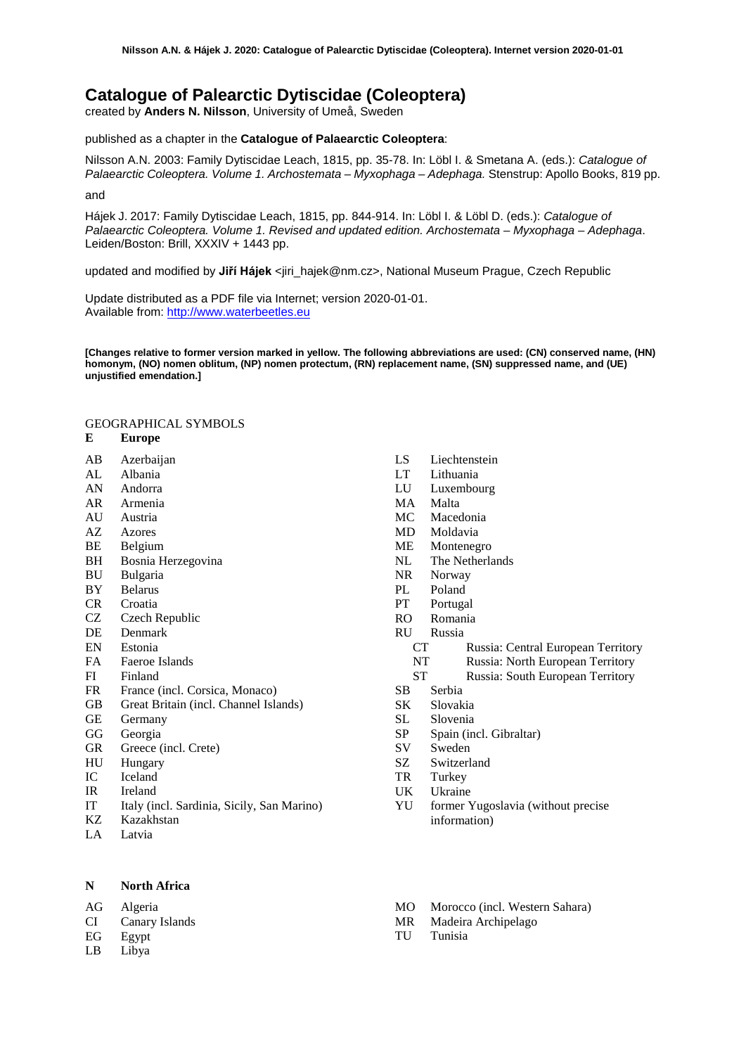# **Catalogue of Palearctic Dytiscidae (Coleoptera)**

created by **Anders N. Nilsson**, University of Umeå, Sweden

published as a chapter in the **Catalogue of Palaearctic Coleoptera**:

Nilsson A.N. 2003: Family Dytiscidae Leach, 1815, pp. 35-78. In: Löbl I. & Smetana A. (eds.): *Catalogue of Palaearctic Coleoptera. Volume 1. Archostemata – Myxophaga – Adephaga.* Stenstrup: Apollo Books, 819 pp.

and

Hájek J. 2017: Family Dytiscidae Leach, 1815, pp. 844-914. In: Löbl I. & Löbl D. (eds.): *Catalogue of Palaearctic Coleoptera. Volume 1. Revised and updated edition. Archostemata – Myxophaga – Adephaga*. Leiden/Boston: Brill, XXXIV + 1443 pp.

updated and modified by **Jiří Hájek** <jiri\_hajek@nm.cz>, National Museum Prague, Czech Republic

Update distributed as a PDF file via Internet; version 2020-01-01. Available from: [http://www.waterbeetles.eu](http://www.emg.umu.se/biginst/andersn/Cat_main.htm)

**[Changes relative to former version marked in yellow. The following abbreviations are used: (CN) conserved name, (HN) homonym, (NO) nomen oblitum, (NP) nomen protectum, (RN) replacement name, (SN) suppressed name, and (UE) unjustified emendation.]**

# GEOGRAPHICAL SYMBOLS

#### **E Europe**

- AB Azerbaijan
- AL Albania
- AN Andorra
- AR Armenia
- AU Austria<br>AZ Azores
- **Azores**
- BE Belgium<br>BH Bosnia H
- Bosnia Herzegovina
- BU Bulgaria
- BY Belarus
- CR Croatia
- CZ Czech Republic
- DE Denmark
- EN Estonia
- FA Faeroe Islands
- FI Finland
- FR France (incl. Corsica, Monaco)
- GB Great Britain (incl. Channel Islands)
- GE Germany
- GG Georgia
- GR Greece (incl. Crete)
- HU Hungary
- IC Iceland
- IR Ireland
- IT Italy (incl. Sardinia, Sicily, San Marino)
- Kazakhstan
- LA Latvia

## **N North Africa**

AG Algeria

- CI Canary Islands
- EG Egypt
- LB Libya
- LS Liechtenstein<br>LT Lithuania
- Lithuania
- LU Luxembourg
- MA Malta
- MC Macedonia
- MD Moldavia
- ME Montenegro<br>NL The Netherla
- The Netherlands
- NR Norway
- PL Poland<br>PT Portuga
- Portugal
- RO Romania
- RU Russia
	- CT Russia: Central European Territory
	- NT Russia: North European Territory
	- ST Russia: South European Territory
- SB Serbia
- SK Slovakia
- SL Slovenia
- SP Spain (incl. Gibraltar)
- SV Sweden
- SZ Switzerland
- TR Turkey
- UK Ukraine
- YU former Yugoslavia (without precise information)
- MO Morocco (incl. Western Sahara)
- MR Madeira Archipelago
- TU Tunisia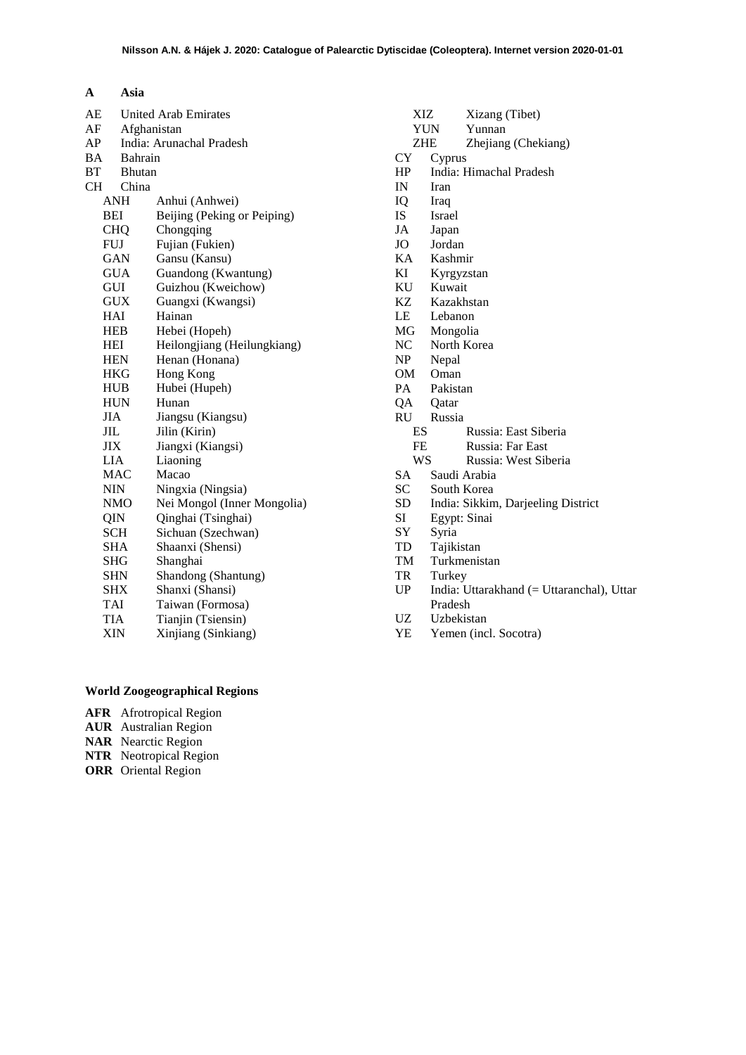| $\mathbf{A}$ | Asia                    |
|--------------|-------------------------|
|              | AE United Arab Emirates |

| AF        | Afghanistan   |                             |  |
|-----------|---------------|-----------------------------|--|
| AP        |               | India: Arunachal Pradesh    |  |
| BA        |               | <b>Bahrain</b>              |  |
| BT        | <b>Bhutan</b> |                             |  |
| <b>CH</b> | China         |                             |  |
|           | <b>ANH</b>    | Anhui (Anhwei)              |  |
|           | BEI           | Beijing (Peking or Peiping) |  |
|           | <b>CHQ</b>    | Chongqing                   |  |
|           | <b>FUJ</b>    | Fujian (Fukien)             |  |
|           | GAN           | Gansu (Kansu)               |  |
|           | <b>GUA</b>    | Guandong (Kwantung)         |  |
|           | GUI           | Guizhou (Kweichow)          |  |
|           | <b>GUX</b>    | Guangxi (Kwangsi)           |  |
|           | HAI           | Hainan                      |  |
|           | HEB           | Hebei (Hopeh)               |  |
|           | HEI           | Heilongjiang (Heilungkiang) |  |
|           | <b>HEN</b>    | Henan (Honana)              |  |
|           | HKG           | Hong Kong                   |  |
|           | <b>HUB</b>    | Hubei (Hupeh)               |  |
|           | <b>HUN</b>    | Hunan                       |  |
|           | JIA           | Jiangsu (Kiangsu)           |  |
|           | JIL           | Jilin (Kirin)               |  |
|           | JIX           | Jiangxi (Kiangsi)           |  |
|           | ${\rm LIA}$   | Liaoning                    |  |
|           | MAC           | Macao                       |  |
|           | <b>NIN</b>    | Ningxia (Ningsia)           |  |
|           | NMO           | Nei Mongol (Inner Mongolia) |  |
|           | QIN           | Qinghai (Tsinghai)          |  |
|           | <b>SCH</b>    | Sichuan (Szechwan)          |  |
|           | SHA           | Shaanxi (Shensi)            |  |
|           | SHG           | Shanghai                    |  |
|           | SHN           | Shandong (Shantung)         |  |
|           | <b>SHX</b>    | Shanxi (Shansi)             |  |
|           | TAI           | Taiwan (Formosa)            |  |
|           | TIA           | Tianjin (Tsiensin)          |  |
|           | XIN           | Xinjiang (Sinkiang)         |  |
|           |               |                             |  |

| XIZ             | Xizang (Tibet)                            |
|-----------------|-------------------------------------------|
|                 | <b>YUN</b><br>Yunnan                      |
| ZHE             | Zhejiang (Chekiang)                       |
| CY              | Cyprus                                    |
| HP              | India: Himachal Pradesh                   |
| IN              | Iran                                      |
| IQ              | Iraq                                      |
| <b>IS</b>       | <b>Israel</b>                             |
| JA              | Japan                                     |
| JO              | Jordan                                    |
| KA              | Kashmir                                   |
| KI              | Kyrgyzstan                                |
| KU              | Kuwait                                    |
| KZ              | Kazakhstan                                |
| LE              | Lebanon                                   |
| MG              | Mongolia                                  |
| NC              | North Korea                               |
| NP              | Nepal                                     |
| OM              | Oman                                      |
| PA.             | Pakistan                                  |
| QA              | Oatar                                     |
| RU              | Russia                                    |
| ES              | Russia: East Siberia                      |
| <b>FE</b><br>WS | Russia: Far East                          |
|                 | Russia: West Siberia<br>Saudi Arabia      |
| SA<br>SC        | South Korea                               |
| SD              | India: Sikkim, Darjeeling District        |
| SI              | Egypt: Sinai                              |
| SY              | Syria                                     |
| TD              | Tajikistan                                |
| TM              | Turkmenistan                              |
| TR              | Turkey                                    |
| UP              | India: Uttarakhand (= Uttaranchal), Uttar |
|                 | Pradesh                                   |
| <b>UZ</b>       | Uzbekistan                                |
| YE              | Yemen (incl. Socotra)                     |
|                 |                                           |
|                 |                                           |
|                 |                                           |
|                 |                                           |
|                 |                                           |
|                 |                                           |

# **World Zoogeographical Regions**

- **AFR** Afrotropical Region
- **AUR** Australian Region
- **NAR** Nearctic Region
- **NTR** Neotropical Region
- **ORR** Oriental Region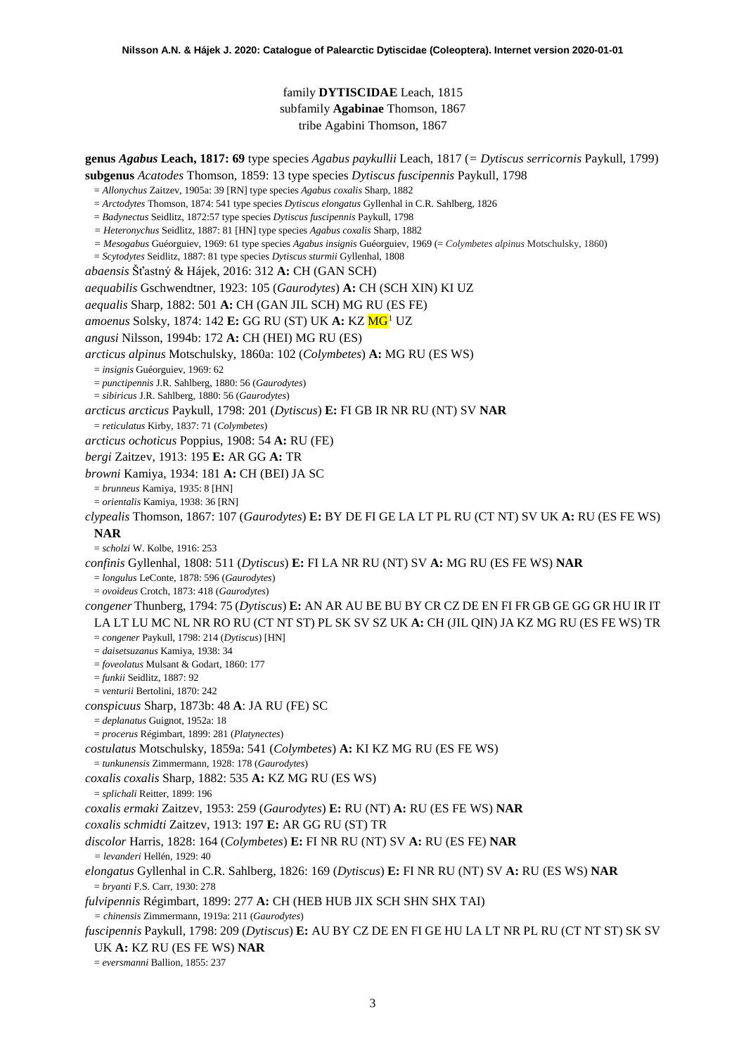# <span id="page-2-0"></span>family **DYTISCIDAE** Leach, 1815 subfamily **Agabinae** Thomson, 1867 tribe Agabini Thomson, 1867

**genus** *Agabus* **Leach, 1817: 69** type species *Agabus paykullii* Leach, 1817 (*= Dytiscus serricornis* Paykull, 1799)

**subgenus** *Acatodes* Thomson, 1859: 13 type species *Dytiscus fuscipennis* Paykull, 1798

- = *Allonychus* Zaitzev, 1905a: 39 [RN] type species *Agabus coxalis* Sharp, 1882
- = *Arctodytes* Thomson, 1874: 541 type species *Dytiscus elongatus* Gyllenhal in C.R. Sahlberg, 1826
- = *Badynectus* Seidlitz, 1872:57 type species *Dytiscus fuscipennis* Paykull, 1798
- *= Heteronychus* Seidlitz, 1887: 81 [HN] type species *Agabus coxalis* Sharp, 1882
- *= Mesogabus* Guéorguiev, 1969: 61 type species *Agabus insignis* Guéorguiev, 1969 (= *Colymbetes alpinus* Motschulsky, 1860)
- = *Scytodytes* Seidlitz, 1887: 81 type species *Dytiscus sturmii* Gyllenhal, 1808
- *abaensis* Šťastný & Hájek, 2016: 312 **A:** CH (GAN SCH)

*aequabilis* Gschwendtner, 1923: 105 (*Gaurodytes*) **A:** CH (SCH XIN) KI UZ

*aequalis* Sharp, 1882: 501 **A:** CH (GAN JIL SCH) MG RU (ES FE)

*amoenus* Solsky, [1](#page-52-0)874: 142 **E:** GG RU (ST) UK A: KZ MG<sup>1</sup> UZ

*angusi* Nilsson, 1994b: 172 **A:** CH (HEI) MG RU (ES)

*arcticus alpinus* Motschulsky, 1860a: 102 (*Colymbetes*) **A:** MG RU (ES WS)

= *insignis* Guéorguiev, 1969: 62

= *punctipennis* J.R. Sahlberg, 1880: 56 (*Gaurodytes*)

= *sibiricus* J.R. Sahlberg, 1880: 56 (*Gaurodytes*)

*arcticus arcticus* Paykull, 1798: 201 (*Dytiscus*) **E:** FI GB IR NR RU (NT) SV **NAR**

= *reticulatus* Kirby, 1837: 71 (*Colymbetes*)

*arcticus ochoticus* Poppius, 1908: 54 **A:** RU (FE)

*bergi* Zaitzev, 1913: 195 **E:** AR GG **A:** TR

*browni* Kamiya, 1934: 181 **A:** CH (BEI) JA SC

= *brunneus* Kamiya, 1935: 8 [HN]

= *orientalis* Kamiya, 1938: 36 [RN]

*clypealis* Thomson, 1867: 107 (*Gaurodytes*) **E:** BY DE FI GE LA LT PL RU (CT NT) SV UK **A:** RU (ES FE WS) **NAR**

= *scholzi* W. Kolbe, 1916: 253

*confinis* Gyllenhal, 1808: 511 (*Dytiscus*) **E:** FI LA NR RU (NT) SV **A:** MG RU (ES FE WS) **NAR**

= *longulus* LeConte, 1878: 596 (*Gaurodytes*)

= *ovoideus* Crotch, 1873: 418 (*Gaurodytes*)

*congener* Thunberg, 1794: 75 (*Dytiscus*) **E:** AN AR AU BE BU BY CR CZ DE EN FI FR GB GE GG GR HU IR IT LA LT LU MC NL NR RO RU (CT NT ST) PL SK SV SZ UK **A:** CH (JIL QIN) JA KZ MG RU (ES FE WS) TR

= *congener* Paykull, 1798: 214 (*Dytiscus*) [HN]

= *daisetsuzanus* Kamiya, 1938: 34

= *foveolatus* Mulsant & Godart, 1860: 177

= *funkii* Seidlitz, 1887: 92

= *venturii* Bertolini, 1870: 242

*conspicuus* Sharp, 1873b: 48 **A**: JA RU (FE) SC

= *deplanatus* Guignot, 1952a: 18

= *procerus* Régimbart, 1899: 281 (*Platynectes*)

*costulatus* Motschulsky, 1859a: 541 (*Colymbetes*) **A:** KI KZ MG RU (ES FE WS)

= *tunkunensis* Zimmermann, 1928: 178 (*Gaurodytes*)

*coxalis coxalis* Sharp, 1882: 535 **A:** KZ MG RU (ES WS)

= *splichali* Reitter, 1899: 196

*coxalis ermaki* Zaitzev, 1953: 259 (*Gaurodytes*) **E:** RU (NT) **A:** RU (ES FE WS) **NAR**

*coxalis schmidti* Zaitzev, 1913: 197 **E:** AR GG RU (ST) TR

*discolor* Harris, 1828: 164 (*Colymbetes*) **E:** FI NR RU (NT) SV **A:** RU (ES FE) **NAR**

*= levanderi* Hellén, 1929: 40

*elongatus* Gyllenhal in C.R. Sahlberg, 1826: 169 (*Dytiscus*) **E:** FI NR RU (NT) SV **A:** RU (ES WS) **NAR** = *bryanti* F.S. Carr, 1930: 278

*fulvipennis* Régimbart, 1899: 277 **A:** CH (HEB HUB JIX SCH SHN SHX TAI)

*= chinensis* Zimmermann, 1919a: 211 (*Gaurodytes*)

*fuscipennis* Paykull, 1798: 209 (*Dytiscus*) **E:** AU BY CZ DE EN FI GE HU LA LT NR PL RU (CT NT ST) SK SV

UK **A:** KZ RU (ES FE WS) **NAR**

= *eversmanni* Ballion, 1855: 237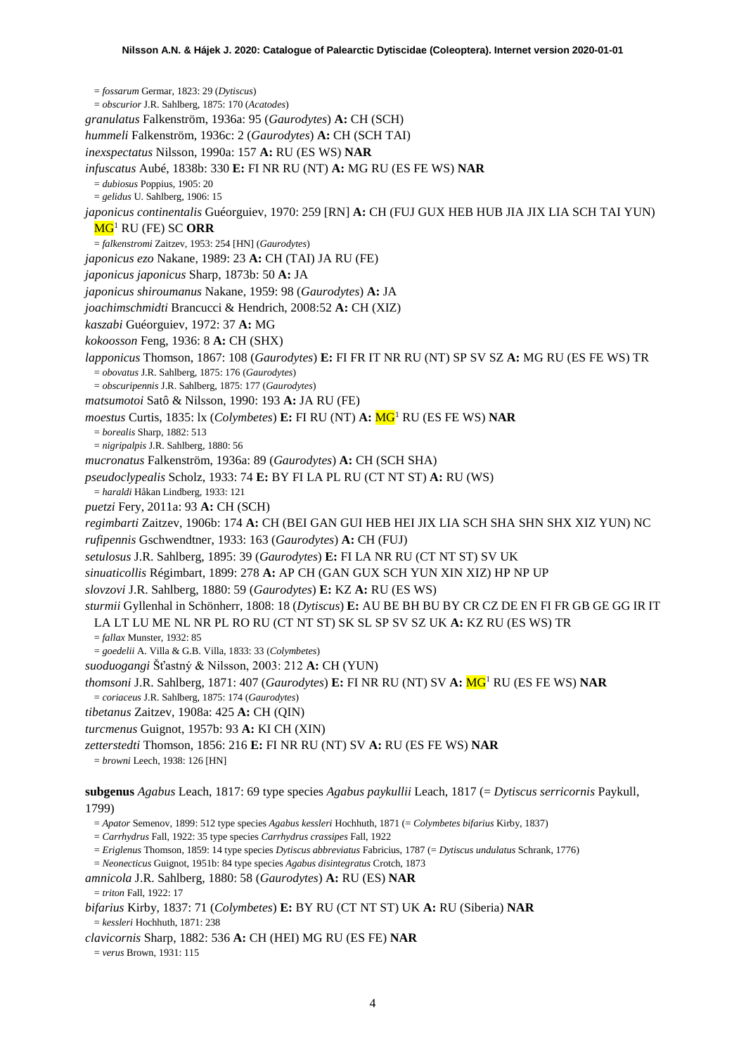= *fossarum* Germar, 1823: 29 (*Dytiscus*) = *obscurior* J.R. Sahlberg, 1875: 170 (*Acatodes*) *granulatus* Falkenström, 1936a: 95 (*Gaurodytes*) **A:** CH (SCH) *hummeli* Falkenström, 1936c: 2 (*Gaurodytes*) **A:** CH (SCH TAI) *inexspectatus* Nilsson, 1990a: 157 **A:** RU (ES WS) **NAR** *infuscatus* Aubé, 1838b: 330 **E:** FI NR RU (NT) **A:** MG RU (ES FE WS) **NAR** = *dubiosus* Poppius, 1905: 20 = *gelidus* U. Sahlberg, 1906: 15 *japonicus continentalis* Guéorguiev, 1970: 259 [RN] **A:** CH (FUJ GUX HEB HUB JIA JIX LIA SCH TAI YUN) M[G1](#page-2-0) RU (FE) SC **ORR** = *falkenstromi* Zaitzev, 1953: 254 [HN] (*Gaurodytes*) *japonicus ezo* Nakane, 1989: 23 **A:** CH (TAI) JA RU (FE) *japonicus japonicus* Sharp, 1873b: 50 **A:** JA *japonicus shiroumanus* Nakane, 1959: 98 (*Gaurodytes*) **A:** JA *joachimschmidti* Brancucci & Hendrich, 2008:52 **A:** CH (XIZ) *kaszabi* Guéorguiev, 1972: 37 **A:** MG *kokoosson* Feng, 1936: 8 **A:** CH (SHX) *lapponicus* Thomson, 1867: 108 (*Gaurodytes*) **E:** FI FR IT NR RU (NT) SP SV SZ **A:** MG RU (ES FE WS) TR = *obovatus* J.R. Sahlberg, 1875: 176 (*Gaurodytes*) = *obscuripennis* J.R. Sahlberg, 1875: 177 (*Gaurodytes*) *matsumotoi* Satô & Nilsson, 1990: 193 **A:** JA RU (FE) *moestus* Curtis, 1835: lx (*Colymbetes*) **E:** FI RU (NT) **A:** M[G1](#page-2-0) RU (ES FE WS) **NAR** = *borealis* Sharp, 1882: 513 = *nigripalpis* J.R. Sahlberg, 1880: 56 *mucronatus* Falkenström, 1936a: 89 (*Gaurodytes*) **A:** CH (SCH SHA) *pseudoclypealis* Scholz, 1933: 74 **E:** BY FI LA PL RU (CT NT ST) **A:** RU (WS) = *haraldi* Håkan Lindberg, 1933: 121 *puetzi* Fery, 2011a: 93 **A:** CH (SCH) *regimbarti* Zaitzev, 1906b: 174 **A:** CH (BEI GAN GUI HEB HEI JIX LIA SCH SHA SHN SHX XIZ YUN) NC *rufipennis* Gschwendtner, 1933: 163 (*Gaurodytes*) **A:** CH (FUJ) *setulosus* J.R. Sahlberg, 1895: 39 (*Gaurodytes*) **E:** FI LA NR RU (CT NT ST) SV UK *sinuaticollis* Régimbart, 1899: 278 **A:** AP CH (GAN GUX SCH YUN XIN XIZ) HP NP UP *slovzovi* J.R. Sahlberg, 1880: 59 (*Gaurodytes*) **E:** KZ **A:** RU (ES WS) *sturmii* Gyllenhal in Schönherr, 1808: 18 (*Dytiscus*) **E:** AU BE BH BU BY CR CZ DE EN FI FR GB GE GG IR IT LA LT LU ME NL NR PL RO RU (CT NT ST) SK SL SP SV SZ UK **A:** KZ RU (ES WS) TR = *fallax* Munster, 1932: 85 = *goedelii* A. Villa & G.B. Villa, 1833: 33 (*Colymbetes*) *suoduogangi* Šťastný & Nilsson, 2003: 212 **A:** CH (YUN) *thomsoni* J.R. Sahlberg, 1871: 407 (*Gaurodytes*) **E:** FI NR RU (NT) SV **A:** M[G1](#page-2-0) RU (ES FE WS) **NAR** = *coriaceus* J.R. Sahlberg, 1875: 174 (*Gaurodytes*) *tibetanus* Zaitzev, 1908a: 425 **A:** CH (QIN) *turcmenus* Guignot, 1957b: 93 **A:** KI CH (XIN) *zetterstedti* Thomson, 1856: 216 **E:** FI NR RU (NT) SV **A:** RU (ES FE WS) **NAR** = *browni* Leech, 1938: 126 [HN] **subgenus** *Agabus* Leach, 1817: 69 type species *Agabus paykullii* Leach, 1817 (= *Dytiscus serricornis* Paykull, 1799) = *Apator* Semenov, 1899: 512 type species *Agabus kessleri* Hochhuth, 1871 (= *Colymbetes bifarius* Kirby, 1837) = *Carrhydrus* Fall, 1922: 35 type species *Carrhydrus crassipes* Fall, 1922 = *Eriglenus* Thomson, 1859: 14 type species *Dytiscus abbreviatus* Fabricius, 1787 (= *Dytiscus undulatus* Schrank, 1776) = *Neonecticus* Guignot, 1951b: 84 type species *Agabus disintegratus* Crotch, 1873

*amnicola* J.R. Sahlberg, 1880: 58 (*Gaurodytes*) **A:** RU (ES) **NAR**  $=$  *triton* Fall, 1922: 17

*bifarius* Kirby, 1837: 71 (*Colymbetes*) **E:** BY RU (CT NT ST) UK **A:** RU (Siberia) **NAR** = *kessleri* Hochhuth, 1871: 238

*clavicornis* Sharp, 1882: 536 **A:** CH (HEI) MG RU (ES FE) **NAR**

= *verus* Brown, 1931: 115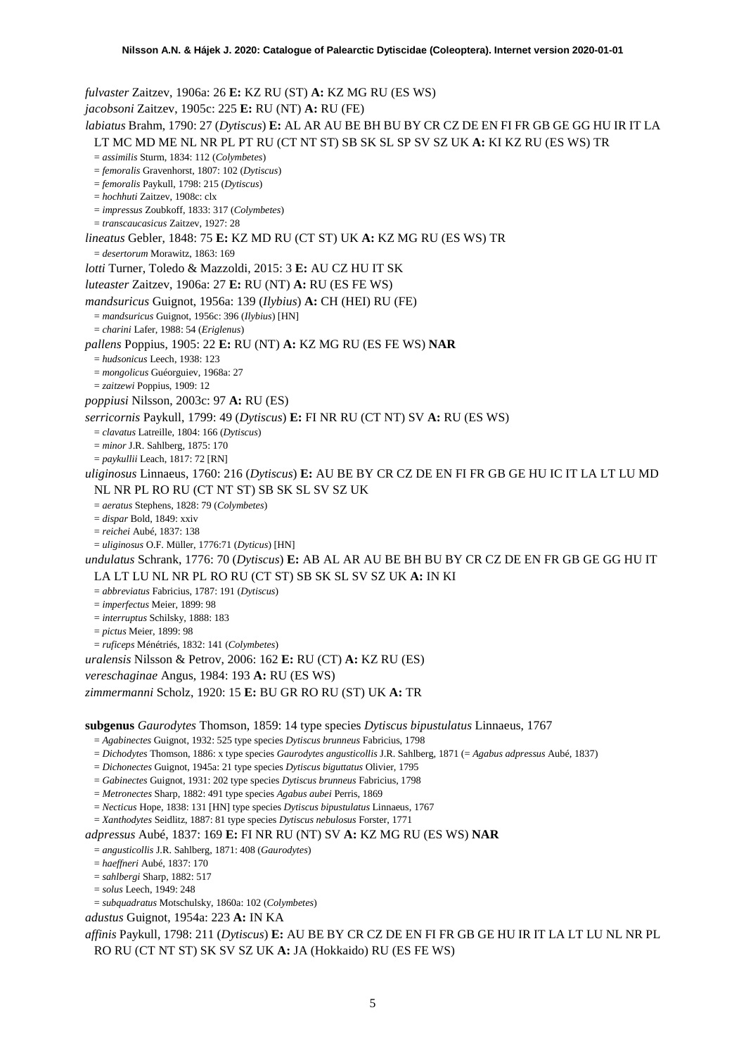*fulvaster* Zaitzev, 1906a: 26 **E:** KZ RU (ST) **A:** KZ MG RU (ES WS) *jacobsoni* Zaitzev, 1905c: 225 **E:** RU (NT) **A:** RU (FE) *labiatus* Brahm, 1790: 27 (*Dytiscus*) **E:** AL AR AU BE BH BU BY CR CZ DE EN FI FR GB GE GG HU IR IT LA LT MC MD ME NL NR PL PT RU (CT NT ST) SB SK SL SP SV SZ UK **A:** KI KZ RU (ES WS) TR = *assimilis* Sturm, 1834: 112 (*Colymbetes*) = *femoralis* Gravenhorst, 1807: 102 (*Dytiscus*) = *femoralis* Paykull, 1798: 215 (*Dytiscus*) = *hochhuti* Zaitzev, 1908c: clx = *impressus* Zoubkoff, 1833: 317 (*Colymbetes*) = *transcaucasicus* Zaitzev, 1927: 28 *lineatus* Gebler, 1848: 75 **E:** KZ MD RU (CT ST) UK **A:** KZ MG RU (ES WS) TR = *desertorum* Morawitz, 1863: 169 *lotti* Turner, Toledo & Mazzoldi, 2015: 3 **E:** AU CZ HU IT SK *luteaster* Zaitzev, 1906a: 27 **E:** RU (NT) **A:** RU (ES FE WS) *mandsuricus* Guignot, 1956a: 139 (*Ilybius*) **A:** CH (HEI) RU (FE) = *mandsuricus* Guignot, 1956c: 396 (*Ilybius*) [HN] = *charini* Lafer, 1988: 54 (*Eriglenus*) *pallens* Poppius, 1905: 22 **E:** RU (NT) **A:** KZ MG RU (ES FE WS) **NAR** = *hudsonicus* Leech, 1938: 123 = *mongolicus* Guéorguiev, 1968a: 27 = *zaitzewi* Poppius, 1909: 12 *poppiusi* Nilsson, 2003c: 97 **A:** RU (ES) *serricornis* Paykull, 1799: 49 (*Dytiscus*) **E:** FI NR RU (CT NT) SV **A:** RU (ES WS) = *clavatus* Latreille, 1804: 166 (*Dytiscus*) = *minor* J.R. Sahlberg, 1875: 170 = *paykullii* Leach, 1817: 72 [RN] *uliginosus* Linnaeus, 1760: 216 (*Dytiscus*) **E:** AU BE BY CR CZ DE EN FI FR GB GE HU IC IT LA LT LU MD NL NR PL RO RU (CT NT ST) SB SK SL SV SZ UK = *aeratus* Stephens, 1828: 79 (*Colymbetes*) = *dispar* Bold, 1849: xxiv = *reichei* Aubé, 1837: 138 = *uliginosus* O.F. Müller, 1776:71 (*Dyticus*) [HN] *undulatus* Schrank, 1776: 70 (*Dytiscus*) **E:** AB AL AR AU BE BH BU BY CR CZ DE EN FR GB GE GG HU IT LA LT LU NL NR PL RO RU (CT ST) SB SK SL SV SZ UK **A:** IN KI = *abbreviatus* Fabricius, 1787: 191 (*Dytiscus*) = *imperfectus* Meier, 1899: 98 = *interruptus* Schilsky, 1888: 183 = *pictus* Meier, 1899: 98 = *ruficeps* Ménétriés, 1832: 141 (*Colymbetes*) *uralensis* Nilsson & Petrov, 2006: 162 **E:** RU (CT) **A:** KZ RU (ES) *vereschaginae* Angus, 1984: 193 **A:** RU (ES WS) *zimmermanni* Scholz, 1920: 15 **E:** BU GR RO RU (ST) UK **A:** TR **subgenus** *Gaurodytes* Thomson, 1859: 14 type species *Dytiscus bipustulatus* Linnaeus, 1767 = *Agabinectes* Guignot, 1932: 525 type species *Dytiscus brunneus* Fabricius, 1798 = *Dichodytes* Thomson, 1886: x type species *Gaurodytes angusticollis* J.R. Sahlberg, 1871 (= *Agabus adpressus* Aubé, 1837) = *Dichonectes* Guignot, 1945a: 21 type species *Dytiscus biguttatus* Olivier, 1795 = *Gabinectes* Guignot, 1931: 202 type species *Dytiscus brunneus* Fabricius, 1798 = *Metronectes* Sharp, 1882: 491 type species *Agabus aubei* Perris, 1869 = *Necticus* Hope, 1838: 131 [HN] type species *Dytiscus bipustulatus* Linnaeus, 1767

= *Xanthodytes* Seidlitz, 1887: 81 type species *Dytiscus nebulosus* Forster, 1771

*adpressus* Aubé, 1837: 169 **E:** FI NR RU (NT) SV **A:** KZ MG RU (ES WS) **NAR**

= *angusticollis* J.R. Sahlberg, 1871: 408 (*Gaurodytes*)

= *haeffneri* Aubé, 1837: 170

= *sahlbergi* Sharp, 1882: 517

= *solus* Leech, 1949: 248

= *subquadratus* Motschulsky, 1860a: 102 (*Colymbetes*)

*adustus* Guignot, 1954a: 223 **A:** IN KA

*affinis* Paykull, 1798: 211 (*Dytiscus*) **E:** AU BE BY CR CZ DE EN FI FR GB GE HU IR IT LA LT LU NL NR PL RO RU (CT NT ST) SK SV SZ UK **A:** JA (Hokkaido) RU (ES FE WS)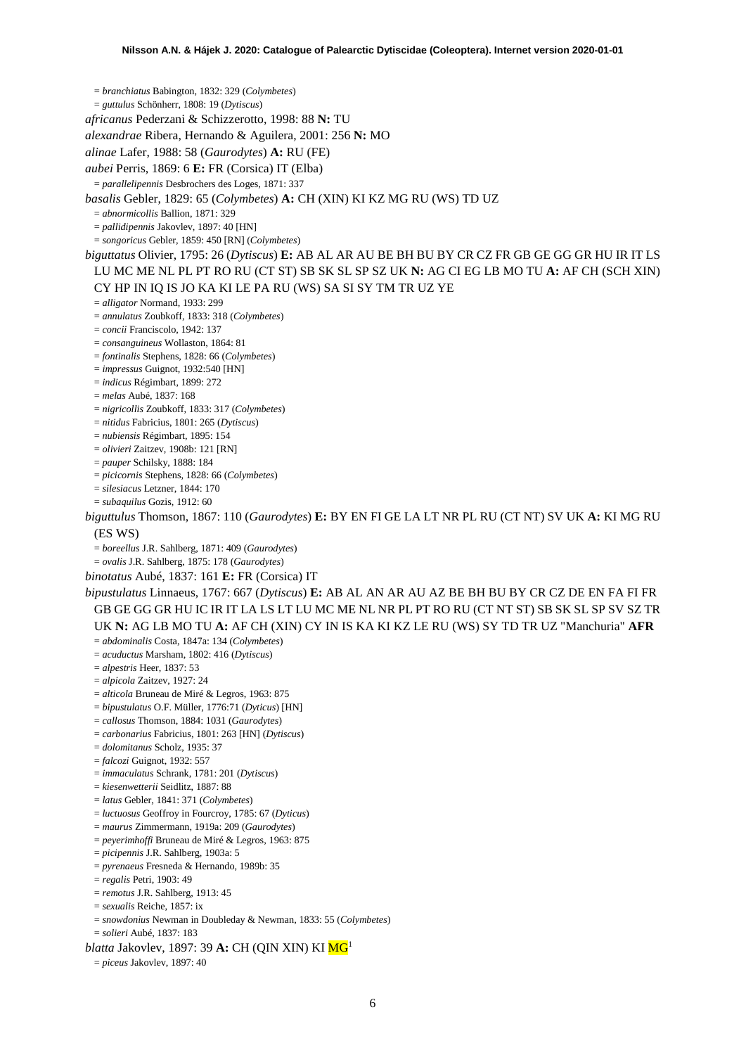= *branchiatus* Babington, 1832: 329 (*Colymbetes*)

= *guttulus* Schönherr, 1808: 19 (*Dytiscus*)

*africanus* Pederzani & Schizzerotto, 1998: 88 **N:** TU

*alexandrae* Ribera, Hernando & Aguilera, 2001: 256 **N:** MO

*alinae* Lafer, 1988: 58 (*Gaurodytes*) **A:** RU (FE)

*aubei* Perris, 1869: 6 **E:** FR (Corsica) IT (Elba)

= *parallelipennis* Desbrochers des Loges, 1871: 337

*basalis* Gebler, 1829: 65 (*Colymbetes*) **A:** CH (XIN) KI KZ MG RU (WS) TD UZ

= *abnormicollis* Ballion, 1871: 329

= *pallidipennis* Jakovlev, 1897: 40 [HN]

= *songoricus* Gebler, 1859: 450 [RN] (*Colymbetes*)

*biguttatus* Olivier, 1795: 26 (*Dytiscus*) **E:** AB AL AR AU BE BH BU BY CR CZ FR GB GE GG GR HU IR IT LS LU MC ME NL PL PT RO RU (CT ST) SB SK SL SP SZ UK **N:** AG CI EG LB MO TU **A:** AF CH (SCH XIN) CY HP IN IQ IS JO KA KI LE PA RU (WS) SA SI SY TM TR UZ YE

= *alligator* Normand, 1933: 299

= *annulatus* Zoubkoff, 1833: 318 (*Colymbetes*)

= *concii* Franciscolo, 1942: 137

= *consanguineus* Wollaston, 1864: 81

= *fontinalis* Stephens, 1828: 66 (*Colymbetes*)

= *impressus* Guignot, 1932:540 [HN]

= *indicus* Régimbart, 1899: 272

= *melas* Aubé, 1837: 168

= *nigricollis* Zoubkoff, 1833: 317 (*Colymbetes*)

= *nitidus* Fabricius, 1801: 265 (*Dytiscus*)

= *nubiensis* Régimbart, 1895: 154

= *olivieri* Zaitzev, 1908b: 121 [RN]

= *pauper* Schilsky, 1888: 184

= *picicornis* Stephens, 1828: 66 (*Colymbetes*)

= *silesiacus* Letzner, 1844: 170

= *subaquilus* Gozis, 1912: 60

*biguttulus* Thomson, 1867: 110 (*Gaurodytes*) **E:** BY EN FI GE LA LT NR PL RU (CT NT) SV UK **A:** KI MG RU (ES WS)

= *boreellus* J.R. Sahlberg, 1871: 409 (*Gaurodytes*)

= *ovalis* J.R. Sahlberg, 1875: 178 (*Gaurodytes*)

*binotatus* Aubé, 1837: 161 **E:** FR (Corsica) IT

*bipustulatus* Linnaeus, 1767: 667 (*Dytiscus*) **E:** AB AL AN AR AU AZ BE BH BU BY CR CZ DE EN FA FI FR GB GE GG GR HU IC IR IT LA LS LT LU MC ME NL NR PL PT RO RU (CT NT ST) SB SK SL SP SV SZ TR UK **N:** AG LB MO TU **A:** AF CH (XIN) CY IN IS KA KI KZ LE RU (WS) SY TD TR UZ "Manchuria" **AFR**

= *abdominalis* Costa, 1847a: 134 (*Colymbetes*)

= *acuductus* Marsham, 1802: 416 (*Dytiscus*)

= *alpestris* Heer, 1837: 53

= *alpicola* Zaitzev, 1927: 24

= *alticola* Bruneau de Miré & Legros, 1963: 875

= *bipustulatus* O.F. Müller, 1776:71 (*Dyticus*) [HN]

= *callosus* Thomson, 1884: 1031 (*Gaurodytes*)

= *carbonarius* Fabricius, 1801: 263 [HN] (*Dytiscus*)

= *dolomitanus* Scholz, 1935: 37

= *falcozi* Guignot, 1932: 557

= *immaculatus* Schrank, 1781: 201 (*Dytiscus*)

= *kiesenwetterii* Seidlitz, 1887: 88

= *latus* Gebler, 1841: 371 (*Colymbetes*)

= *luctuosus* Geoffroy in Fourcroy, 1785: 67 (*Dyticus*)

= *maurus* Zimmermann, 1919a: 209 (*Gaurodytes*)

= *peyerimhoffi* Bruneau de Miré & Legros, 1963: 875

= *picipennis* J.R. Sahlberg, 1903a: 5

= *pyrenaeus* Fresneda & Hernando, 1989b: 35

= *regalis* Petri, 1903: 49

= *remotus* J.R. Sahlberg, 1913: 45

= *sexualis* Reiche, 1857: ix

= *snowdonius* Newman in Doubleday & Newman, 1833: 55 (*Colymbetes*)

= *solieri* Aubé, 1837: 183

*blatta* Jakovlev, 1897: 39 **A:** CH (QIN XIN) KI M[G1](#page-2-0)

= *piceus* Jakovlev, 1897: 40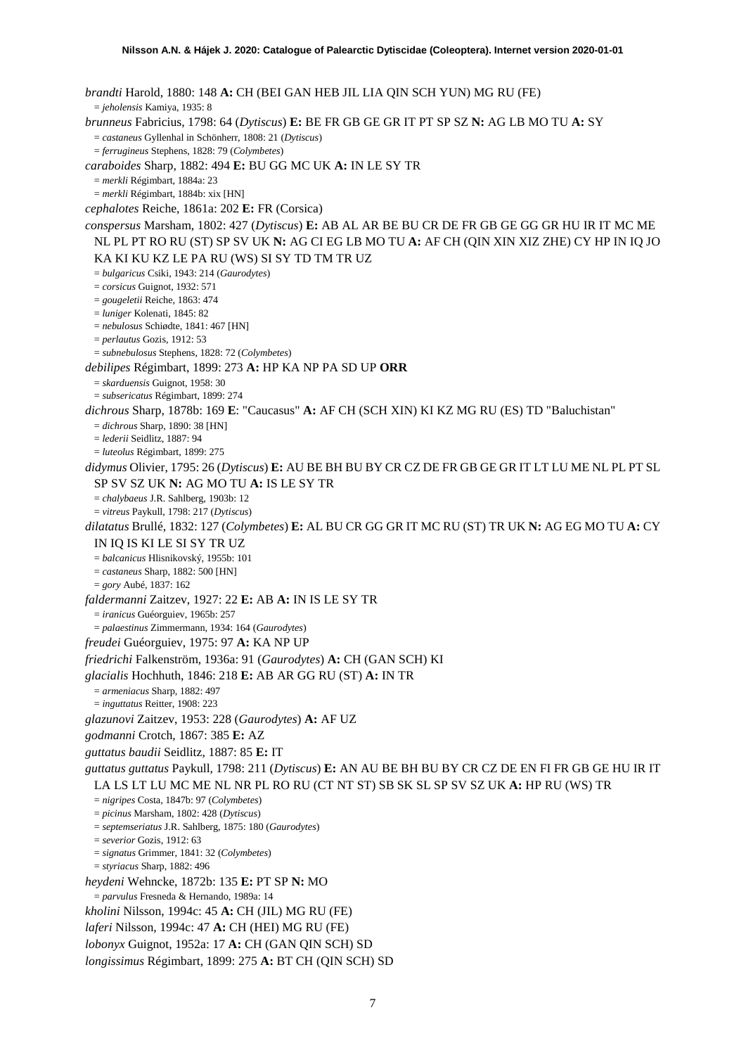*brandti* Harold, 1880: 148 **A:** CH (BEI GAN HEB JIL LIA QIN SCH YUN) MG RU (FE) = *jeholensis* Kamiya, 1935: 8 *brunneus* Fabricius, 1798: 64 (*Dytiscus*) **E:** BE FR GB GE GR IT PT SP SZ **N:** AG LB MO TU **A:** SY = *castaneus* Gyllenhal in Schönherr, 1808: 21 (*Dytiscus*) = *ferrugineus* Stephens, 1828: 79 (*Colymbetes*) *caraboides* Sharp, 1882: 494 **E:** BU GG MC UK **A:** IN LE SY TR = *merkli* Régimbart, 1884a: 23 = *merkli* Régimbart, 1884b: xix [HN] *cephalotes* Reiche, 1861a: 202 **E:** FR (Corsica) *conspersus* Marsham, 1802: 427 (*Dytiscus*) **E:** AB AL AR BE BU CR DE FR GB GE GG GR HU IR IT MC ME NL PL PT RO RU (ST) SP SV UK **N:** AG CI EG LB MO TU **A:** AF CH (QIN XIN XIZ ZHE) CY HP IN IQ JO KA KI KU KZ LE PA RU (WS) SI SY TD TM TR UZ = *bulgaricus* Csiki, 1943: 214 (*Gaurodytes*) = *corsicus* Guignot, 1932: 571 = *gougeletii* Reiche, 1863: 474 = *luniger* Kolenati, 1845: 82 = *nebulosus* Schiødte, 1841: 467 [HN] = *perlautus* Gozis, 1912: 53 = *subnebulosus* Stephens, 1828: 72 (*Colymbetes*) *debilipes* Régimbart, 1899: 273 **A:** HP KA NP PA SD UP **ORR** = *skarduensis* Guignot, 1958: 30 = *subsericatus* Régimbart, 1899: 274 *dichrous* Sharp, 1878b: 169 **E**: "Caucasus" **A:** AF CH (SCH XIN) KI KZ MG RU (ES) TD "Baluchistan" = *dichrous* Sharp, 1890: 38 [HN] = *lederii* Seidlitz, 1887: 94 = *luteolus* Régimbart, 1899: 275 *didymus* Olivier, 1795: 26 (*Dytiscus*) **E:** AU BE BH BU BY CR CZ DE FR GB GE GR IT LT LU ME NL PL PT SL SP SV SZ UK **N:** AG MO TU **A:** IS LE SY TR = *chalybaeus* J.R. Sahlberg, 1903b: 12 = *vitreus* Paykull, 1798: 217 (*Dytiscus*) *dilatatus* Brullé, 1832: 127 (*Colymbetes*) **E:** AL BU CR GG GR IT MC RU (ST) TR UK **N:** AG EG MO TU **A:** CY IN IQ IS KI LE SI SY TR UZ = *balcanicus* Hlisnikovský, 1955b: 101 = *castaneus* Sharp, 1882: 500 [HN] = *gory* Aubé, 1837: 162 *faldermanni* Zaitzev, 1927: 22 **E:** AB **A:** IN IS LE SY TR = *iranicus* Guéorguiev, 1965b: 257 = *palaestinus* Zimmermann, 1934: 164 (*Gaurodytes*) *freudei* Guéorguiev, 1975: 97 **A:** KA NP UP *friedrichi* Falkenström, 1936a: 91 (*Gaurodytes*) **A:** CH (GAN SCH) KI *glacialis* Hochhuth, 1846: 218 **E:** AB AR GG RU (ST) **A:** IN TR = *armeniacus* Sharp, 1882: 497 = *inguttatus* Reitter, 1908: 223 *glazunovi* Zaitzev, 1953: 228 (*Gaurodytes*) **A:** AF UZ *godmanni* Crotch, 1867: 385 **E:** AZ *guttatus baudii* Seidlitz, 1887: 85 **E:** IT *guttatus guttatus* Paykull, 1798: 211 (*Dytiscus*) **E:** AN AU BE BH BU BY CR CZ DE EN FI FR GB GE HU IR IT LA LS LT LU MC ME NL NR PL RO RU (CT NT ST) SB SK SL SP SV SZ UK **A:** HP RU (WS) TR = *nigripes* Costa, 1847b: 97 (*Colymbetes*) = *picinus* Marsham, 1802: 428 (*Dytiscus*) = *septemseriatus* J.R. Sahlberg, 1875: 180 (*Gaurodytes*) = *severior* Gozis, 1912: 63 = *signatus* Grimmer, 1841: 32 (*Colymbetes*) = *styriacus* Sharp, 1882: 496 *heydeni* Wehncke, 1872b: 135 **E:** PT SP **N:** MO = *parvulus* Fresneda & Hernando, 1989a: 14 *kholini* Nilsson, 1994c: 45 **A:** CH (JIL) MG RU (FE) *laferi* Nilsson, 1994c: 47 **A:** CH (HEI) MG RU (FE) *lobonyx* Guignot, 1952a: 17 **A:** CH (GAN QIN SCH) SD *longissimus* Régimbart, 1899: 275 **A:** BT CH (QIN SCH) SD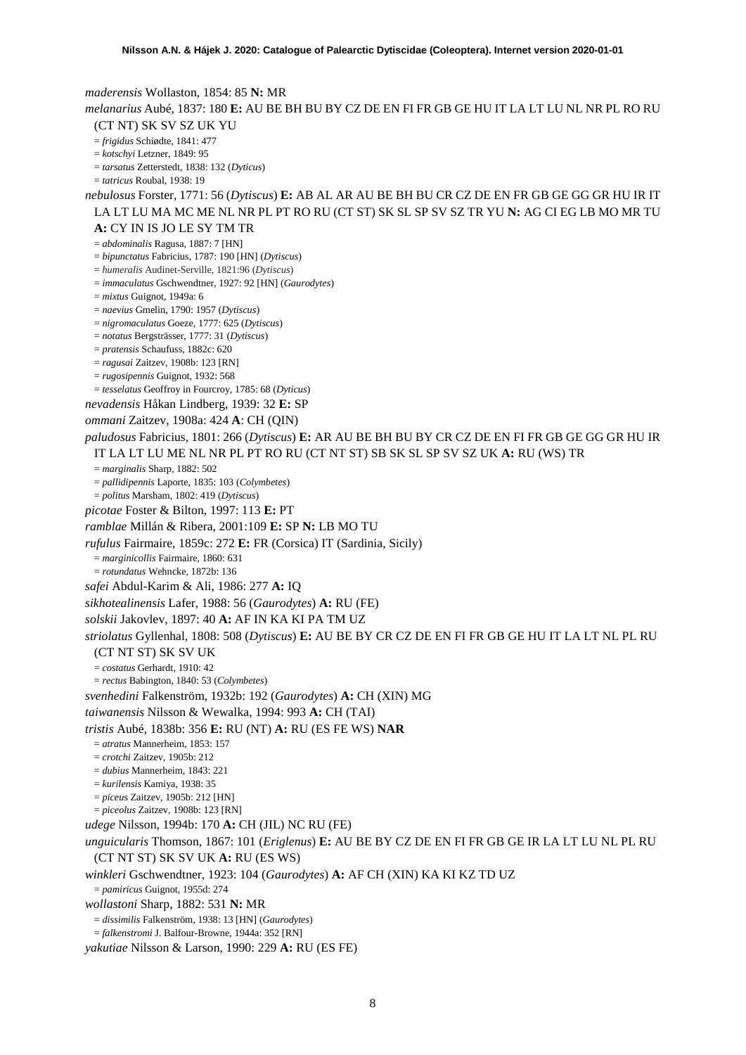*maderensis* Wollaston, 1854: 85 **N:** MR *melanarius* Aubé, 1837: 180 **E:** AU BE BH BU BY CZ DE EN FI FR GB GE HU IT LA LT LU NL NR PL RO RU (CT NT) SK SV SZ UK YU = *frigidus* Schiødte, 1841: 477 = *kotschyi* Letzner, 1849: 95 = *tarsatus* Zetterstedt, 1838: 132 (*Dyticus*) = *tatricus* Roubal, 1938: 19 *nebulosus* Forster, 1771: 56 (*Dytiscus*) **E:** AB AL AR AU BE BH BU CR CZ DE EN FR GB GE GG GR HU IR IT LA LT LU MA MC ME NL NR PL PT RO RU (CT ST) SK SL SP SV SZ TR YU **N:** AG CI EG LB MO MR TU **A:** CY IN IS JO LE SY TM TR = *abdominalis* Ragusa, 1887: 7 [HN] = *bipunctatus* Fabricius, 1787: 190 [HN] (*Dytiscus*) = *humeralis* Audinet-Serville, 1821:96 (*Dytiscus*) = *immaculatus* Gschwendtner, 1927: 92 [HN] (*Gaurodytes*) = *mixtus* Guignot, 1949a: 6 = *naevius* Gmelin, 1790: 1957 (*Dytiscus*) = *nigromaculatus* Goeze, 1777: 625 (*Dytiscus*) = *notatus* Bergsträsser, 1777: 31 (*Dytiscus*) = *pratensis* Schaufuss, 1882c: 620 = *ragusai* Zaitzev, 1908b: 123 [RN] = *rugosipennis* Guignot, 1932: 568 = *tesselatus* Geoffroy in Fourcroy, 1785: 68 (*Dyticus*) *nevadensis* Håkan Lindberg, 1939: 32 **E:** SP *ommani* Zaitzev, 1908a: 424 **A**: CH (QIN) *paludosus* Fabricius, 1801: 266 (*Dytiscus*) **E:** AR AU BE BH BU BY CR CZ DE EN FI FR GB GE GG GR HU IR IT LA LT LU ME NL NR PL PT RO RU (CT NT ST) SB SK SL SP SV SZ UK **A:** RU (WS) TR = *marginalis* Sharp, 1882: 502 = *pallidipennis* Laporte, 1835: 103 (*Colymbetes*) = *politus* Marsham, 1802: 419 (*Dytiscus*) *picotae* Foster & Bilton, 1997: 113 **E:** PT *ramblae* Millán & Ribera, 2001:109 **E:** SP **N:** LB MO TU *rufulus* Fairmaire, 1859c: 272 **E:** FR (Corsica) IT (Sardinia, Sicily) = *marginicollis* Fairmaire, 1860: 631 = *rotundatus* Wehncke, 1872b: 136 *safei* Abdul-Karim & Ali, 1986: 277 **A:** IQ *sikhotealinensis* Lafer, 1988: 56 (*Gaurodytes*) **A:** RU (FE) *solskii* Jakovlev, 1897: 40 **A:** AF IN KA KI PA TM UZ *striolatus* Gyllenhal, 1808: 508 (*Dytiscus*) **E:** AU BE BY CR CZ DE EN FI FR GB GE HU IT LA LT NL PL RU (CT NT ST) SK SV UK = *costatus* Gerhardt, 1910: 42 = *rectus* Babington, 1840: 53 (*Colymbetes*) *svenhedini* Falkenström, 1932b: 192 (*Gaurodytes*) **A:** CH (XIN) MG *taiwanensis* Nilsson & Wewalka, 1994: 993 **A:** CH (TAI) *tristis* Aubé, 1838b: 356 **E:** RU (NT) **A:** RU (ES FE WS) **NAR** = *atratus* Mannerheim, 1853: 157 = *crotchi* Zaitzev, 1905b: 212 = *dubius* Mannerheim, 1843: 221 = *kurilensis* Kamiya, 1938: 35 = *piceu*s Zaitzev, 1905b: 212 [HN] = *piceolus* Zaitzev, 1908b: 123 [RN] *udege* Nilsson, 1994b: 170 **A:** CH (JIL) NC RU (FE) *unguicularis* Thomson, 1867: 101 (*Eriglenus*) **E:** AU BE BY CZ DE EN FI FR GB GE IR LA LT LU NL PL RU (CT NT ST) SK SV UK **A:** RU (ES WS) *winkleri* Gschwendtner, 1923: 104 (*Gaurodytes*) **A:** AF CH (XIN) KA KI KZ TD UZ = *pamiricus* Guignot, 1955d: 274 *wollastoni* Sharp, 1882: 531 **N:** MR = *dissimilis* Falkenström, 1938: 13 [HN] (*Gaurodytes*) = *falkenstromi* J. Balfour-Browne, 1944a: 352 [RN] *yakutiae* Nilsson & Larson, 1990: 229 **A:** RU (ES FE)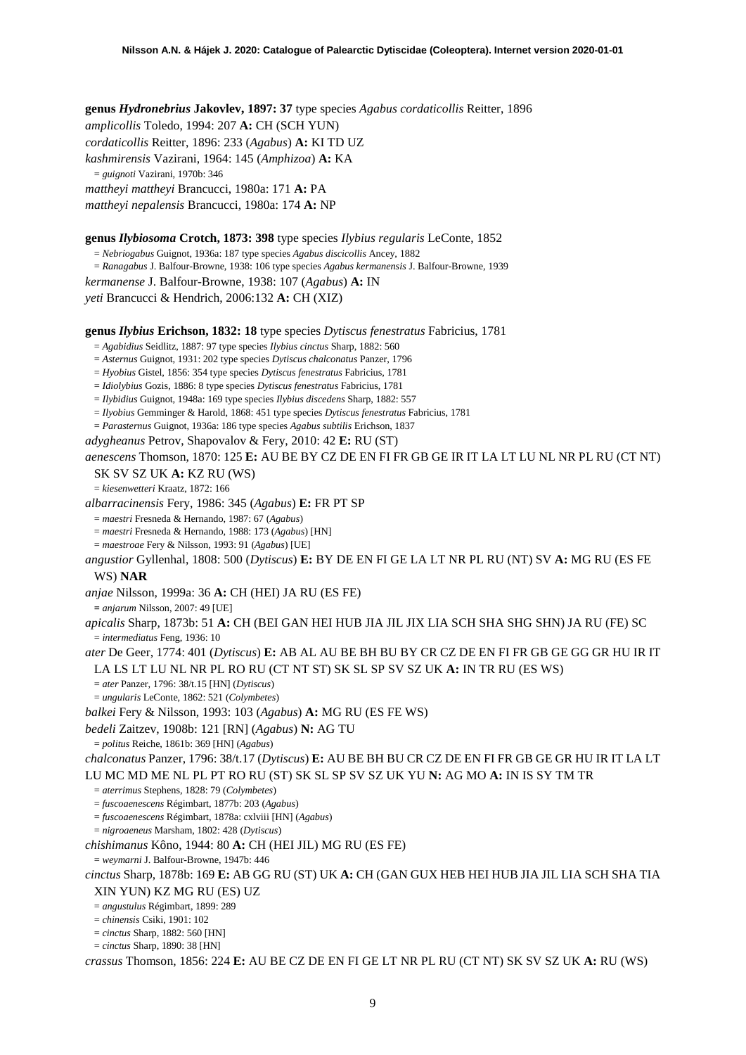**genus** *Hydronebrius* **Jakovlev, 1897: 37** type species *Agabus cordaticollis* Reitter, 1896 *amplicollis* Toledo, 1994: 207 **A:** CH (SCH YUN) *cordaticollis* Reitter, 1896: 233 (*Agabus*) **A:** KI TD UZ *kashmirensis* Vazirani, 1964: 145 (*Amphizoa*) **A:** KA = *guignoti* Vazirani, 1970b: 346 *mattheyi mattheyi* Brancucci, 1980a: 171 **A:** PA *mattheyi nepalensis* Brancucci, 1980a: 174 **A:** NP

### **genus** *Ilybiosoma* **Crotch, 1873: 398** type species *Ilybius regularis* LeConte, 1852

= *Nebriogabus* Guignot, 1936a: 187 type species *Agabus discicollis* Ancey, 1882 = *Ranagabus* J. Balfour-Browne, 1938: 106 type species *Agabus kermanensis* J. Balfour-Browne, 1939 *kermanense* J. Balfour-Browne, 1938: 107 (*Agabus*) **A:** IN *yeti* Brancucci & Hendrich, 2006:132 **A:** CH (XIZ)

**genus** *Ilybius* **Erichson, 1832: 18** type species *Dytiscus fenestratus* Fabricius, 1781

= *Agabidius* Seidlitz, 1887: 97 type species *Ilybius cinctus* Sharp, 1882: 560

= *Asternus* Guignot, 1931: 202 type species *Dytiscus chalconatus* Panzer, 1796

= *Hyobius* Gistel, 1856: 354 type species *Dytiscus fenestratus* Fabricius, 1781

= *Idiolybius* Gozis, 1886: 8 type species *Dytiscus fenestratus* Fabricius, 1781

= *Ilybidius* Guignot, 1948a: 169 type species *Ilybius discedens* Sharp, 1882: 557

= *Ilyobius* Gemminger & Harold, 1868: 451 type species *Dytiscus fenestratus* Fabricius, 1781

= *Parasternus* Guignot, 1936a: 186 type species *Agabus subtilis* Erichson, 1837

*adygheanus* Petrov, Shapovalov & Fery, 2010: 42 **E:** RU (ST)

*aenescens* Thomson, 1870: 125 **E:** AU BE BY CZ DE EN FI FR GB GE IR IT LA LT LU NL NR PL RU (CT NT) SK SV SZ UK **A:** KZ RU (WS)

= *kiesenwetteri* Kraatz, 1872: 166

*albarracinensis* Fery, 1986: 345 (*Agabus*) **E:** FR PT SP

= *maestri* Fresneda & Hernando, 1987: 67 (*Agabus*)

= *maestri* Fresneda & Hernando, 1988: 173 (*Agabus*) [HN]

= *maestroae* Fery & Nilsson, 1993: 91 (*Agabus*) [UE]

*angustior* Gyllenhal, 1808: 500 (*Dytiscus*) **E:** BY DE EN FI GE LA LT NR PL RU (NT) SV **A:** MG RU (ES FE WS) **NAR**

*anjae* Nilsson, 1999a: 36 **A:** CH (HEI) JA RU (ES FE)

**=** *anjarum* Nilsson, 2007: 49 [UE]

*apicalis* Sharp, 1873b: 51 **A:** CH (BEI GAN HEI HUB JIA JIL JIX LIA SCH SHA SHG SHN) JA RU (FE) SC = *intermediatus* Feng, 1936: 10

*ater* De Geer, 1774: 401 (*Dytiscus*) **E:** AB AL AU BE BH BU BY CR CZ DE EN FI FR GB GE GG GR HU IR IT LA LS LT LU NL NR PL RO RU (CT NT ST) SK SL SP SV SZ UK **A:** IN TR RU (ES WS)

= *ater* Panzer, 1796: 38/t.15 [HN] (*Dytiscus*)

= *ungularis* LeConte, 1862: 521 (*Colymbetes*)

*balkei* Fery & Nilsson, 1993: 103 (*Agabus*) **A:** MG RU (ES FE WS)

*bedeli* Zaitzev, 1908b: 121 [RN] (*Agabus*) **N:** AG TU

= *politus* Reiche, 1861b: 369 [HN] (*Agabus*)

*chalconatus* Panzer, 1796: 38/t.17 (*Dytiscus*) **E:** AU BE BH BU CR CZ DE EN FI FR GB GE GR HU IR IT LA LT LU MC MD ME NL PL PT RO RU (ST) SK SL SP SV SZ UK YU **N:** AG MO **A:** IN IS SY TM TR

= *aterrimus* Stephens, 1828: 79 (*Colymbetes*)

= *fuscoaenescens* Régimbart, 1877b: 203 (*Agabus*)

= *fuscoaenescens* Régimbart, 1878a: cxlviii [HN] (*Agabus*)

= *nigroaeneus* Marsham, 1802: 428 (*Dytiscus*)

*chishimanus* Kôno, 1944: 80 **A:** CH (HEI JIL) MG RU (ES FE)

= *weymarni* J. Balfour-Browne, 1947b: 446

*cinctus* Sharp, 1878b: 169 **E:** AB GG RU (ST) UK **A:** CH (GAN GUX HEB HEI HUB JIA JIL LIA SCH SHA TIA XIN YUN) KZ MG RU (ES) UZ

= *angustulus* Régimbart, 1899: 289

= *chinensis* Csiki, 1901: 102

= *cinctus* Sharp, 1882: 560 [HN]

= *cinctus* Sharp, 1890: 38 [HN]

*crassus* Thomson, 1856: 224 **E:** AU BE CZ DE EN FI GE LT NR PL RU (CT NT) SK SV SZ UK **A:** RU (WS)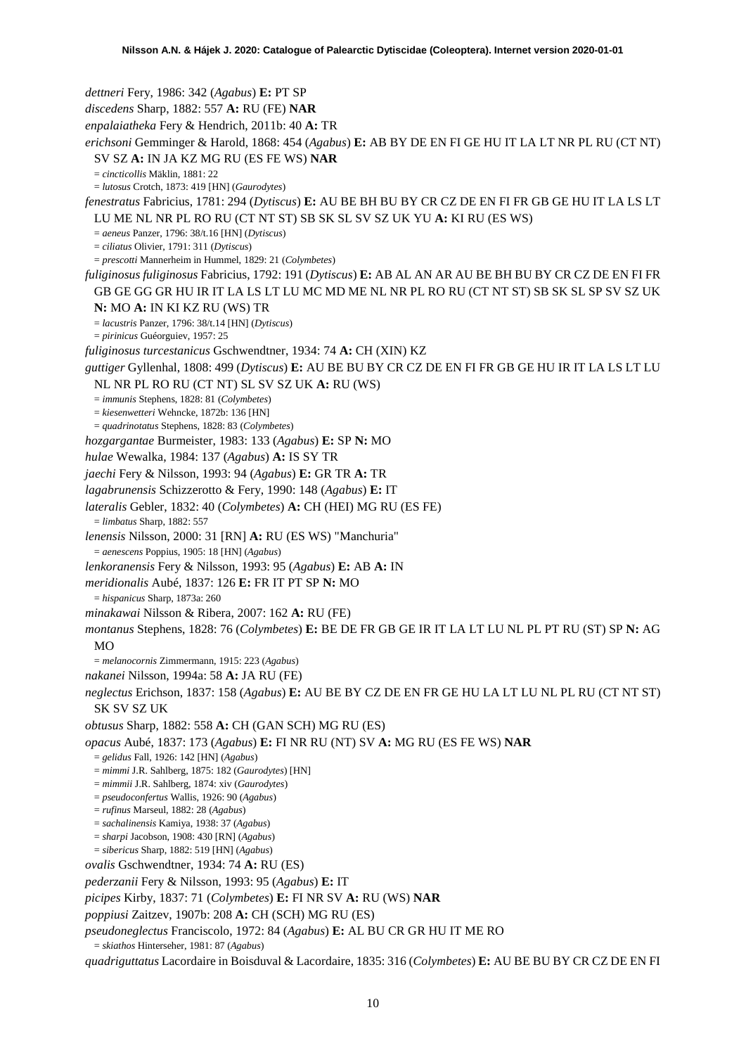*dettneri* Fery, 1986: 342 (*Agabus*) **E:** PT SP *discedens* Sharp, 1882: 557 **A:** RU (FE) **NAR** *enpalaiatheka* Fery & Hendrich, 2011b: 40 **A:** TR *erichsoni* Gemminger & Harold, 1868: 454 (*Agabus*) **E:** AB BY DE EN FI GE HU IT LA LT NR PL RU (CT NT) SV SZ **A:** IN JA KZ MG RU (ES FE WS) **NAR** = *cincticollis* Mäklin, 1881: 22 = *lutosus* Crotch, 1873: 419 [HN] (*Gaurodytes*) *fenestratus* Fabricius, 1781: 294 (*Dytiscus*) **E:** AU BE BH BU BY CR CZ DE EN FI FR GB GE HU IT LA LS LT LU ME NL NR PL RO RU (CT NT ST) SB SK SL SV SZ UK YU **A:** KI RU (ES WS) = *aeneus* Panzer, 1796: 38/t.16 [HN] (*Dytiscus*) = *ciliatus* Olivier, 1791: 311 (*Dytiscus*) = *prescotti* Mannerheim in Hummel, 1829: 21 (*Colymbetes*) *fuliginosus fuliginosus* Fabricius, 1792: 191 (*Dytiscus*) **E:** AB AL AN AR AU BE BH BU BY CR CZ DE EN FI FR GB GE GG GR HU IR IT LA LS LT LU MC MD ME NL NR PL RO RU (CT NT ST) SB SK SL SP SV SZ UK **N:** MO **A:** IN KI KZ RU (WS) TR = *lacustris* Panzer, 1796: 38/t.14 [HN] (*Dytiscus*) = *pirinicus* Guéorguiev, 1957: 25 *fuliginosus turcestanicus* Gschwendtner, 1934: 74 **A:** CH (XIN) KZ *guttiger* Gyllenhal, 1808: 499 (*Dytiscus*) **E:** AU BE BU BY CR CZ DE EN FI FR GB GE HU IR IT LA LS LT LU NL NR PL RO RU (CT NT) SL SV SZ UK **A:** RU (WS) = *immunis* Stephens, 1828: 81 (*Colymbetes*) = *kiesenwetteri* Wehncke, 1872b: 136 [HN] = *quadrinotatus* Stephens, 1828: 83 (*Colymbetes*) *hozgargantae* Burmeister, 1983: 133 (*Agabus*) **E:** SP **N:** MO *hulae* Wewalka, 1984: 137 (*Agabus*) **A:** IS SY TR *jaechi* Fery & Nilsson, 1993: 94 (*Agabus*) **E:** GR TR **A:** TR *lagabrunensis* Schizzerotto & Fery, 1990: 148 (*Agabus*) **E:** IT *lateralis* Gebler, 1832: 40 (*Colymbetes*) **A:** CH (HEI) MG RU (ES FE) = *limbatus* Sharp, 1882: 557 *lenensis* Nilsson, 2000: 31 [RN] **A:** RU (ES WS) "Manchuria" = *aenescens* Poppius, 1905: 18 [HN] (*Agabus*) *lenkoranensis* Fery & Nilsson, 1993: 95 (*Agabus*) **E:** AB **A:** IN *meridionalis* Aubé, 1837: 126 **E:** FR IT PT SP **N:** MO = *hispanicus* Sharp, 1873a: 260 *minakawai* Nilsson & Ribera, 2007: 162 **A:** RU (FE) *montanus* Stephens, 1828: 76 (*Colymbetes*) **E:** BE DE FR GB GE IR IT LA LT LU NL PL PT RU (ST) SP **N:** AG  $MO$ = *melanocornis* Zimmermann, 1915: 223 (*Agabus*) *nakanei* Nilsson, 1994a: 58 **A:** JA RU (FE) *neglectus* Erichson, 1837: 158 (*Agabus*) **E:** AU BE BY CZ DE EN FR GE HU LA LT LU NL PL RU (CT NT ST) SK SV SZ UK *obtusus* Sharp, 1882: 558 **A:** CH (GAN SCH) MG RU (ES) *opacus* Aubé, 1837: 173 (*Agabus*) **E:** FI NR RU (NT) SV **A:** MG RU (ES FE WS) **NAR** = *gelidus* Fall, 1926: 142 [HN] (*Agabus*) = *mimmi* J.R. Sahlberg, 1875: 182 (*Gaurodytes*) [HN] = *mimmii* J.R. Sahlberg, 1874: xiv (*Gaurodytes*) = *pseudoconfertus* Wallis, 1926: 90 (*Agabus*) = *rufinus* Marseul, 1882: 28 (*Agabus*) = *sachalinensis* Kamiya, 1938: 37 (*Agabus*) = *sharpi* Jacobson, 1908: 430 [RN] (*Agabus*) = *sibericus* Sharp, 1882: 519 [HN] (*Agabus*) *ovalis* Gschwendtner, 1934: 74 **A:** RU (ES) *pederzanii* Fery & Nilsson, 1993: 95 (*Agabus*) **E:** IT *picipes* Kirby, 1837: 71 (*Colymbetes*) **E:** FI NR SV **A:** RU (WS) **NAR** *poppiusi* Zaitzev, 1907b: 208 **A:** CH (SCH) MG RU (ES) *pseudoneglectus* Franciscolo, 1972: 84 (*Agabus*) **E:** AL BU CR GR HU IT ME RO = *skiathos* Hinterseher, 1981: 87 (*Agabus*)

*quadriguttatus* Lacordaire in Boisduval & Lacordaire, 1835: 316 (*Colymbetes*) **E:** AU BE BU BY CR CZ DE EN FI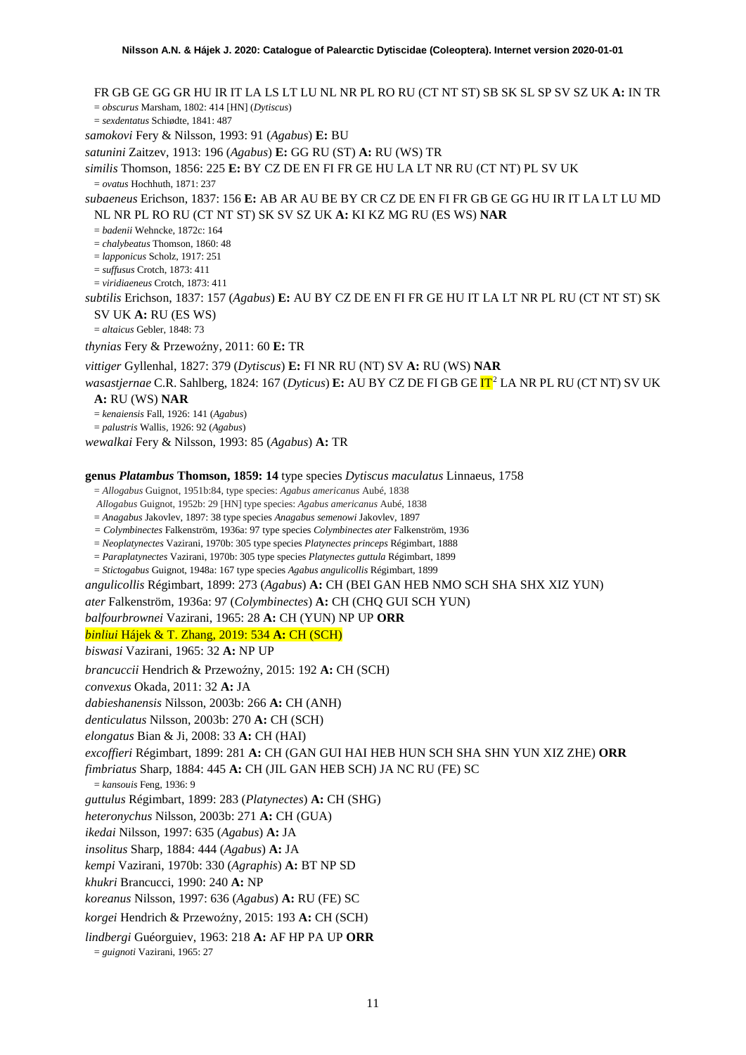FR GB GE GG GR HU IR IT LA LS LT LU NL NR PL RO RU (CT NT ST) SB SK SL SP SV SZ UK **A:** IN TR = *obscurus* Marsham, 1802: 414 [HN] (*Dytiscus*) = *sexdentatus* Schiødte, 1841: 487 *samokovi* Fery & Nilsson, 1993: 91 (*Agabus*) **E:** BU *satunini* Zaitzev, 1913: 196 (*Agabus*) **E:** GG RU (ST) **A:** RU (WS) TR *similis* Thomson, 1856: 225 **E:** BY CZ DE EN FI FR GE HU LA LT NR RU (CT NT) PL SV UK = *ovatus* Hochhuth, 1871: 237 *subaeneus* Erichson, 1837: 156 **E:** AB AR AU BE BY CR CZ DE EN FI FR GB GE GG HU IR IT LA LT LU MD NL NR PL RO RU (CT NT ST) SK SV SZ UK **A:** KI KZ MG RU (ES WS) **NAR** = *badenii* Wehncke, 1872c: 164 = *chalybeatus* Thomson, 1860: 48 = *lapponicus* Scholz, 1917: 251 = *suffusus* Crotch, 1873: 411 = *viridiaeneus* Crotch, 1873: 411 *subtilis* Erichson, 1837: 157 (*Agabus*) **E:** AU BY CZ DE EN FI FR GE HU IT LA LT NR PL RU (CT NT ST) SK SV UK **A:** RU (ES WS) = *altaicus* Gebler, 1848: 73 *thynias* Fery & Przewoźny, 2011: 60 E: TR *vittiger* Gyllenhal, 1827: 379 (*Dytiscus*) **E:** FI NR RU (NT) SV **A:** RU (WS) **NAR** *wasastjernae* C.R. Sahlberg, 1824: 167 (*Dyticus*) **E:** AU BY CZ DE FI GB GE IT[2](#page-52-1) LA NR PL RU (CT NT) SV UK **A:** RU (WS) **NAR** = *kenaiensis* Fall, 1926: 141 (*Agabus*) = *palustris* Wallis, 1926: 92 (*Agabus*) *wewalkai* Fery & Nilsson, 1993: 85 (*Agabus*) **A:** TR **genus** *Platambus* **Thomson, 1859: 14** type species *Dytiscus maculatus* Linnaeus, 1758 = *Allogabus* Guignot, 1951b:84, type species: *Agabus americanus* Aubé, 1838 *Allogabus* Guignot, 1952b: 29 [HN] type species: *Agabus americanus* Aubé, 1838 = *Anagabus* Jakovlev, 1897: 38 type species *Anagabus semenowi* Jakovlev, 1897 *= Colymbinectes* Falkenström, 1936a: 97 type species *Colymbinectes ater* Falkenström, 1936 = *Neoplatynectes* Vazirani, 1970b: 305 type species *Platynectes princeps* Régimbart, 1888 = *Paraplatynectes* Vazirani, 1970b: 305 type species *Platynectes guttula* Régimbart, 1899 = *Stictogabus* Guignot, 1948a: 167 type species *Agabus angulicollis* Régimbart, 1899 *angulicollis* Régimbart, 1899: 273 (*Agabus*) **A:** CH (BEI GAN HEB NMO SCH SHA SHX XIZ YUN) *ater* Falkenström, 1936a: 97 (*Colymbinectes*) **A:** CH (CHQ GUI SCH YUN) *balfourbrownei* Vazirani, 1965: 28 **A:** CH (YUN) NP UP **ORR** *binliui* Hájek & T. Zhang, 2019: 534 **A:** CH (SCH) *biswasi* Vazirani, 1965: 32 **A:** NP UP *brancuccii* Hendrich & Przewoźny, 2015: 192 A: CH (SCH) *convexus* Okada, 2011: 32 **A:** JA *dabieshanensis* Nilsson, 2003b: 266 **A:** CH (ANH) *denticulatus* Nilsson, 2003b: 270 **A:** CH (SCH) *elongatus* Bian & Ji, 2008: 33 **A:** CH (HAI) *excoffieri* Régimbart, 1899: 281 **A:** CH (GAN GUI HAI HEB HUN SCH SHA SHN YUN XIZ ZHE) **ORR** *fimbriatus* Sharp, 1884: 445 **A:** CH (JIL GAN HEB SCH) JA NC RU (FE) SC = *kansouis* Feng, 1936: 9 *guttulus* Régimbart, 1899: 283 (*Platynectes*) **A:** CH (SHG) *heteronychus* Nilsson, 2003b: 271 **A:** CH (GUA) *ikedai* Nilsson, 1997: 635 (*Agabus*) **A:** JA *insolitus* Sharp, 1884: 444 (*Agabus*) **A:** JA *kempi* Vazirani, 1970b: 330 (*Agraphis*) **A:** BT NP SD *khukri* Brancucci, 1990: 240 **A:** NP

*koreanus* Nilsson, 1997: 636 (*Agabus*) **A:** RU (FE) SC

*korgei* Hendrich & Przewoźny, 2015: 193 A: CH (SCH)

*lindbergi* Guéorguiev, 1963: 218 **A:** AF HP PA UP **ORR**

= *guignoti* Vazirani, 1965: 27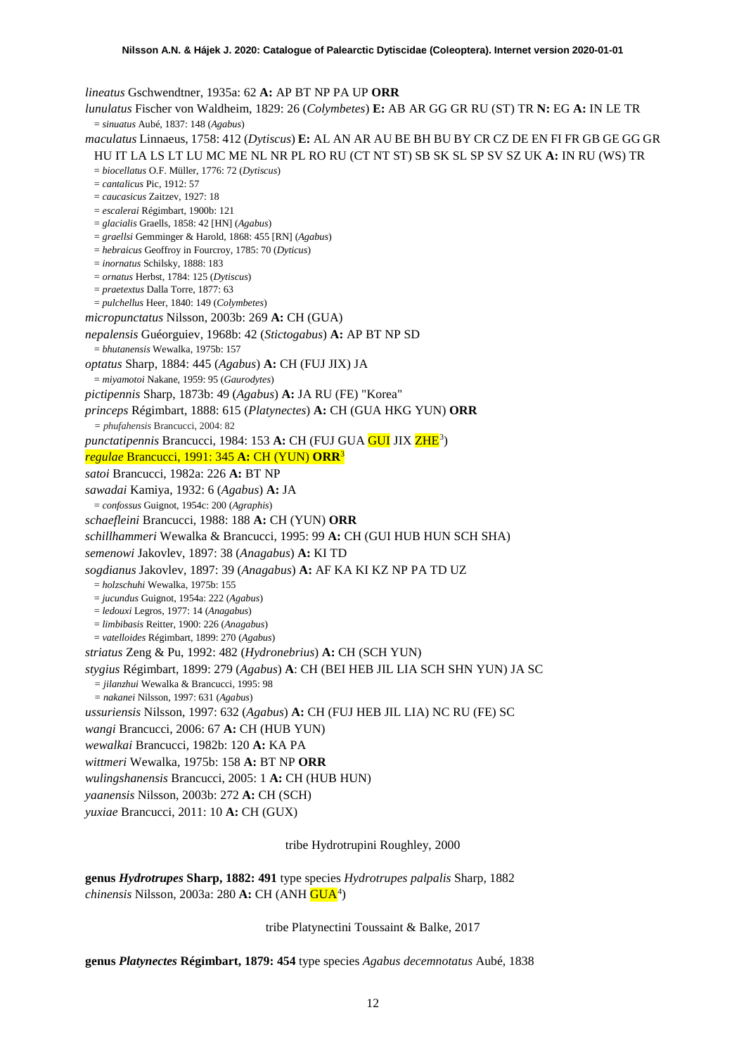*lineatus* Gschwendtner, 1935a: 62 **A:** AP BT NP PA UP **ORR**

*lunulatus* Fischer von Waldheim, 1829: 26 (*Colymbetes*) **E:** AB AR GG GR RU (ST) TR **N:** EG **A:** IN LE TR = *sinuatus* Aubé, 1837: 148 (*Agabus*) *maculatus* Linnaeus, 1758: 412 (*Dytiscus*) **E:** AL AN AR AU BE BH BU BY CR CZ DE EN FI FR GB GE GG GR HU IT LA LS LT LU MC ME NL NR PL RO RU (CT NT ST) SB SK SL SP SV SZ UK **A:** IN RU (WS) TR = *biocellatus* O.F. Müller, 1776: 72 (*Dytiscus*) = *cantalicus* Pic, 1912: 57 = *caucasicus* Zaitzev, 1927: 18 = *escalerai* Régimbart, 1900b: 121 = *glacialis* Graells, 1858: 42 [HN] (*Agabus*) = *graellsi* Gemminger & Harold, 1868: 455 [RN] (*Agabus*) = *hebraicus* Geoffroy in Fourcroy, 1785: 70 (*Dyticus*) = *inornatus* Schilsky, 1888: 183 = *ornatus* Herbst, 1784: 125 (*Dytiscus*) = *praetextus* Dalla Torre, 1877: 63 = *pulchellus* Heer, 1840: 149 (*Colymbetes*) *micropunctatus* Nilsson, 2003b: 269 **A:** CH (GUA) *nepalensis* Guéorguiev, 1968b: 42 (*Stictogabus*) **A:** AP BT NP SD = *bhutanensis* Wewalka, 1975b: 157 *optatus* Sharp, 1884: 445 (*Agabus*) **A:** CH (FUJ JIX) JA = *miyamotoi* Nakane, 1959: 95 (*Gaurodytes*) *pictipennis* Sharp, 1873b: 49 (*Agabus*) **A:** JA RU (FE) "Korea" *princeps* Régimbart, 1888: 615 (*Platynectes*) **A:** CH (GUA HKG YUN) **ORR** *= phufahensis* Brancucci, 2004: 82 punctatipennis Brancucci, 1984: 15[3](#page-52-2) **A:** CH (FUJ GUA <mark>GUI</mark> JIX ZHE<sup>3</sup>) *regulae* Brancucci, 1991: 345 **A:** CH (YUN) **ORR**<sup>3</sup> *satoi* Brancucci, 1982a: 226 **A:** BT NP *sawadai* Kamiya, 1932: 6 (*Agabus*) **A:** JA = *confossus* Guignot, 1954c: 200 (*Agraphis*) *schaefleini* Brancucci, 1988: 188 **A:** CH (YUN) **ORR** *schillhammeri* Wewalka & Brancucci, 1995: 99 **A:** CH (GUI HUB HUN SCH SHA) *semenowi* Jakovlev, 1897: 38 (*Anagabus*) **A:** KI TD *sogdianus* Jakovlev, 1897: 39 (*Anagabus*) **A:** AF KA KI KZ NP PA TD UZ = *holzschuhi* Wewalka, 1975b: 155 = *jucundus* Guignot, 1954a: 222 (*Agabus*) = *ledouxi* Legros, 1977: 14 (*Anagabus*) = *limbibasis* Reitter, 1900: 226 (*Anagabus*) = *vatelloides* Régimbart, 1899: 270 (*Agabus*) *striatus* Zeng & Pu, 1992: 482 (*Hydronebrius*) **A:** CH (SCH YUN) *stygius* Régimbart, 1899: 279 (*Agabus*) **A**: CH (BEI HEB JIL LIA SCH SHN YUN) JA SC *= jilanzhui* Wewalka & Brancucci, 1995: 98 *= nakanei* Nilsson, 1997: 631 (*Agabus*) *ussuriensis* Nilsson, 1997: 632 (*Agabus*) **A:** CH (FUJ HEB JIL LIA) NC RU (FE) SC *wangi* Brancucci, 2006: 67 **A:** CH (HUB YUN) *wewalkai* Brancucci, 1982b: 120 **A:** KA PA *wittmeri* Wewalka, 1975b: 158 **A:** BT NP **ORR** *wulingshanensis* Brancucci, 2005: 1 **A:** CH (HUB HUN) *yaanensis* Nilsson, 2003b: 272 **A:** CH (SCH) *yuxiae* Brancucci, 2011: 10 **A:** CH (GUX) tribe Hydrotrupini Roughley, 2000

**genus** *Hydrotrupes* **Sharp, 1882: 491** type species *Hydrotrupes palpalis* Sharp, 1882 *chinensis* Nilsson, 2003a: 280 **A:** CH (ANH GUA[4](#page-52-3) )

tribe Platynectini Toussaint & Balke, 2017

**genus** *Platynectes* **Régimbart, 1879: 454** type species *Agabus decemnotatus* Aubé, 1838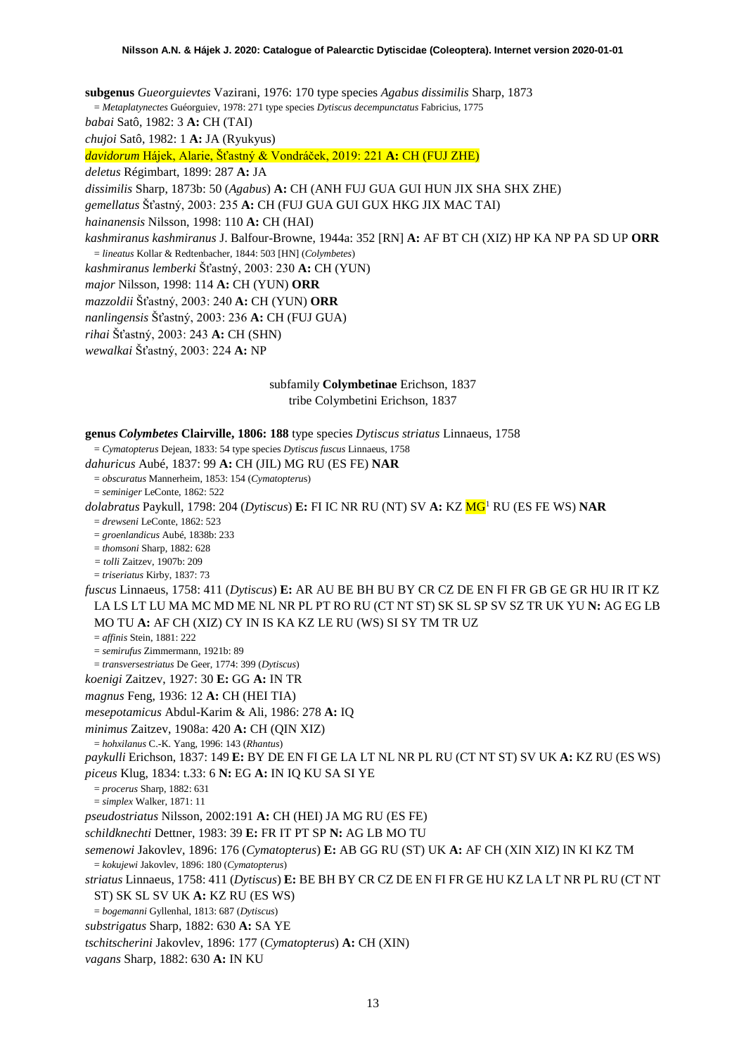**subgenus** *Gueorguievtes* Vazirani, 1976: 170 type species *Agabus dissimilis* Sharp, 1873 = *Metaplatynectes* Guéorguiev, 1978: 271 type species *Dytiscus decempunctatus* Fabricius, 1775 *babai* Satô, 1982: 3 **A:** CH (TAI) *chujoi* Satô, 1982: 1 **A:** JA (Ryukyus) *davidorum* Hájek, Alarie, Šťastný & Vondráček, 2019: 221 **A:** CH (FUJ ZHE) *deletus* Régimbart, 1899: 287 **A:** JA *dissimilis* Sharp, 1873b: 50 (*Agabus*) **A:** CH (ANH FUJ GUA GUI HUN JIX SHA SHX ZHE) *gemellatus* Šťastný, 2003: 235 **A:** CH (FUJ GUA GUI GUX HKG JIX MAC TAI) *hainanensis* Nilsson, 1998: 110 **A:** CH (HAI) *kashmiranus kashmiranus* J. Balfour-Browne, 1944a: 352 [RN] **A:** AF BT CH (XIZ) HP KA NP PA SD UP **ORR** = *lineatus* Kollar & Redtenbacher, 1844: 503 [HN] (*Colymbetes*) *kashmiranus lemberki* Šťastný, 2003: 230 **A:** CH (YUN) *major* Nilsson, 1998: 114 **A:** CH (YUN) **ORR** *mazzoldii* Šťastný, 2003: 240 **A:** CH (YUN) **ORR** *nanlingensis* Šťastný, 2003: 236 **A:** CH (FUJ GUA)

*rihai* Šťastný, 2003: 243 **A:** CH (SHN)

*wewalkai* Šťastný, 2003: 224 **A:** NP

# subfamily **Colymbetinae** Erichson, 1837 tribe Colymbetini Erichson, 1837

#### **genus** *Colymbetes* **Clairville, 1806: 188** type species *Dytiscus striatus* Linnaeus, 1758

= *Cymatopterus* Dejean, 1833: 54 type species *Dytiscus fuscus* Linnaeus, 1758

*dahuricus* Aubé, 1837: 99 **A:** CH (JIL) MG RU (ES FE) **NAR**

= *obscuratus* Mannerheim, 1853: 154 (*Cymatopteru*s)

= *seminiger* LeConte, 1862: 522

*dolabratus* Paykull, 1798: 204 (*Dytiscus*) **E:** FI IC NR RU (NT) SV **A:** KZ M[G1](#page-2-0) RU (ES FE WS) **NAR**

 $=$  *drewseni* LeConte, 1862: 523

= *groenlandicus* Aubé, 1838b: 233

= *thomsoni* Sharp, 1882: 628

*= tolli* Zaitzev, 1907b: 209

= *triseriatus* Kirby, 1837: 73

*fuscus* Linnaeus, 1758: 411 (*Dytiscus*) **E:** AR AU BE BH BU BY CR CZ DE EN FI FR GB GE GR HU IR IT KZ LA LS LT LU MA MC MD ME NL NR PL PT RO RU (CT NT ST) SK SL SP SV SZ TR UK YU **N:** AG EG LB MO TU **A:** AF CH (XIZ) CY IN IS KA KZ LE RU (WS) SI SY TM TR UZ

= *affinis* Stein, 1881: 222

= *semirufus* Zimmermann, 1921b: 89

= *transversestriatus* De Geer, 1774: 399 (*Dytiscus*)

*koenigi* Zaitzev, 1927: 30 **E:** GG **A:** IN TR

*magnus* Feng, 1936: 12 **A:** CH (HEI TIA)

*mesepotamicus* Abdul-Karim & Ali, 1986: 278 **A:** IQ

*minimus* Zaitzev, 1908a: 420 **A:** CH (QIN XIZ)

= *hohxilanus* C.-K. Yang, 1996: 143 (*Rhantus*)

*paykulli* Erichson, 1837: 149 **E:** BY DE EN FI GE LA LT NL NR PL RU (CT NT ST) SV UK **A:** KZ RU (ES WS) *piceus* Klug, 1834: t.33: 6 **N:** EG **A:** IN IQ KU SA SI YE

= *procerus* Sharp, 1882: 631

= *simplex* Walker, 1871: 11

*pseudostriatus* Nilsson, 2002:191 **A:** CH (HEI) JA MG RU (ES FE)

*schildknechti* Dettner, 1983: 39 **E:** FR IT PT SP **N:** AG LB MO TU

*semenowi* Jakovlev, 1896: 176 (*Cymatopterus*) **E:** AB GG RU (ST) UK **A:** AF CH (XIN XIZ) IN KI KZ TM = *kokujewi* Jakovlev, 1896: 180 (*Cymatopterus*)

*striatus* Linnaeus, 1758: 411 (*Dytiscus*) **E:** BE BH BY CR CZ DE EN FI FR GE HU KZ LA LT NR PL RU (CT NT ST) SK SL SV UK **A:** KZ RU (ES WS)

= *bogemanni* Gyllenhal, 1813: 687 (*Dytiscus*)

*substrigatus* Sharp, 1882: 630 **A:** SA YE

*tschitscherini* Jakovlev, 1896: 177 (*Cymatopterus*) **A:** CH (XIN)

*vagans* Sharp, 1882: 630 **A:** IN KU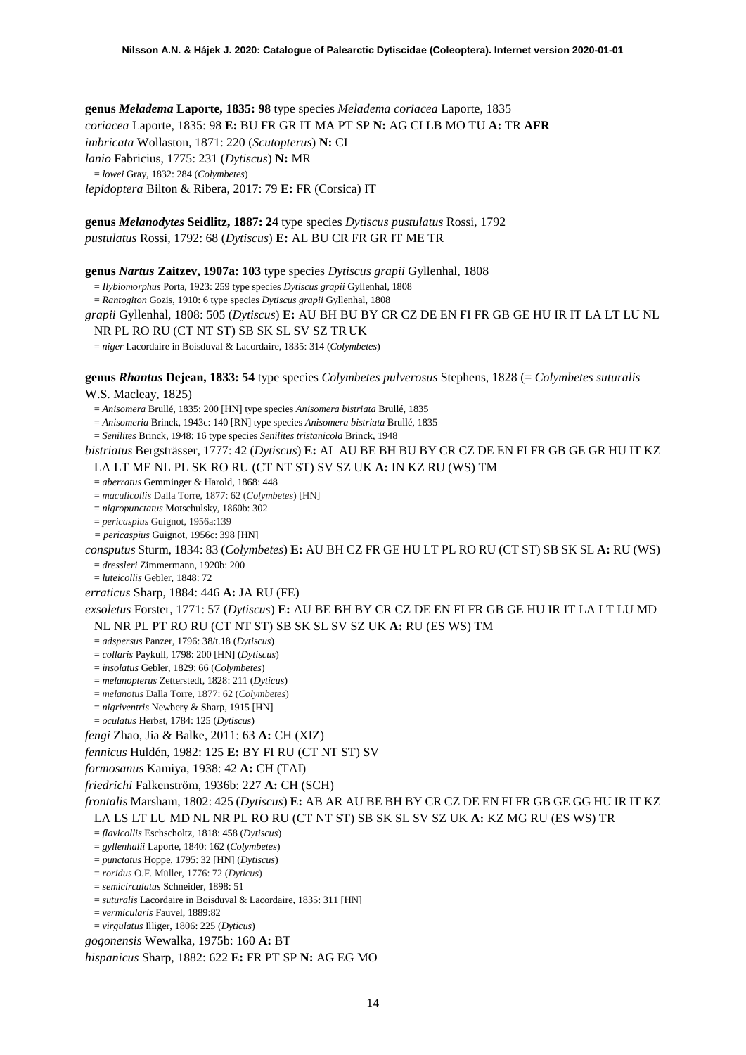**genus** *Meladema* **Laporte, 1835: 98** type species *Meladema coriacea* Laporte, 1835 *coriacea* Laporte, 1835: 98 **E:** BU FR GR IT MA PT SP **N:** AG CI LB MO TU **A:** TR **AFR** *imbricata* Wollaston, 1871: 220 (*Scutopterus*) **N:** CI *lanio* Fabricius, 1775: 231 (*Dytiscus*) **N:** MR = *lowei* Gray, 1832: 284 (*Colymbetes*) *lepidoptera* Bilton & Ribera, 2017: 79 **E:** FR (Corsica) IT

**genus** *Melanodytes* **Seidlitz, 1887: 24** type species *Dytiscus pustulatus* Rossi, 1792 *pustulatus* Rossi, 1792: 68 (*Dytiscus*) **E:** AL BU CR FR GR IT ME TR

**genus** *Nartus* **Zaitzev, 1907a: 103** type species *Dytiscus grapii* Gyllenhal, 1808

= *Ilybiomorphus* Porta, 1923: 259 type species *Dytiscus grapii* Gyllenhal, 1808

= *Rantogiton* Gozis, 1910: 6 type species *Dytiscus grapii* Gyllenhal, 1808

*grapii* Gyllenhal, 1808: 505 (*Dytiscus*) **E:** AU BH BU BY CR CZ DE EN FI FR GB GE HU IR IT LA LT LU NL

NR PL RO RU (CT NT ST) SB SK SL SV SZ TR UK

= *niger* Lacordaire in Boisduval & Lacordaire, 1835: 314 (*Colymbetes*)

**genus** *Rhantus* **Dejean, 1833: 54** type species *Colymbetes pulverosus* Stephens, 1828 (= *Colymbetes suturalis*

W.S. Macleay, 1825)

= *Anisomera* Brullé, 1835: 200 [HN] type species *Anisomera bistriata* Brullé, 1835

= *Anisomeria* Brinck, 1943c: 140 [RN] type species *Anisomera bistriata* Brullé, 1835

= *Senilites* Brinck, 1948: 16 type species *Senilites tristanicola* Brinck, 1948

*bistriatus* Bergsträsser, 1777: 42 (*Dytiscus*) **E:** AL AU BE BH BU BY CR CZ DE EN FI FR GB GE GR HU IT KZ

LA LT ME NL PL SK RO RU (CT NT ST) SV SZ UK **A:** IN KZ RU (WS) TM

= *aberratus* Gemminger & Harold, 1868: 448

= *maculicollis* Dalla Torre, 1877: 62 (*Colymbetes*) [HN]

= *nigropunctatus* Motschulsky, 1860b: 302 = *pericaspius* Guignot, 1956a:139

*= pericaspius* Guignot, 1956c: 398 [HN]

*consputus* Sturm, 1834: 83 (*Colymbetes*) **E:** AU BH CZ FR GE HU LT PL RO RU (CT ST) SB SK SL **A:** RU (WS) = *dressleri* Zimmermann, 1920b: 200

= *luteicollis* Gebler, 1848: 72

*erraticus* Sharp, 1884: 446 **A:** JA RU (FE)

*exsoletus* Forster, 1771: 57 (*Dytiscus*) **E:** AU BE BH BY CR CZ DE EN FI FR GB GE HU IR IT LA LT LU MD NL NR PL PT RO RU (CT NT ST) SB SK SL SV SZ UK **A:** RU (ES WS) TM

= *adspersus* Panzer, 1796: 38/t.18 (*Dytiscus*)

= *collaris* Paykull, 1798: 200 [HN] (*Dytiscus*)

= *insolatus* Gebler, 1829: 66 (*Colymbetes*)

= *melanopterus* Zetterstedt, 1828: 211 (*Dyticus*)

= *melanotus* Dalla Torre, 1877: 62 (*Colymbetes*)

= *nigriventris* Newbery & Sharp, 1915 [HN]

= *oculatus* Herbst, 1784: 125 (*Dytiscus*)

*fengi* Zhao, Jia & Balke, 2011: 63 **A:** CH (XIZ)

*fennicus* Huldén, 1982: 125 **E:** BY FI RU (CT NT ST) SV

*formosanus* Kamiya, 1938: 42 **A:** CH (TAI)

*friedrichi* Falkenström, 1936b: 227 **A:** CH (SCH)

*frontalis* Marsham, 1802: 425 (*Dytiscus*) **E:** AB AR AU BE BH BY CR CZ DE EN FI FR GB GE GG HU IR IT KZ LA LS LT LU MD NL NR PL RO RU (CT NT ST) SB SK SL SV SZ UK **A:** KZ MG RU (ES WS) TR

= *flavicollis* Eschscholtz, 1818: 458 (*Dytiscus*)

= *gyllenhalii* Laporte, 1840: 162 (*Colymbetes*)

= *punctatus* Hoppe, 1795: 32 [HN] (*Dytiscus*)

= *roridus* O.F. Müller, 1776: 72 (*Dyticus*)

= *semicirculatus* Schneider, 1898: 51

= *suturalis* Lacordaire in Boisduval & Lacordaire, 1835: 311 [HN]

= *vermicularis* Fauvel, 1889:82

= *virgulatus* Illiger, 1806: 225 (*Dyticus*)

*gogonensis* Wewalka, 1975b: 160 **A:** BT

*hispanicus* Sharp, 1882: 622 **E:** FR PT SP **N:** AG EG MO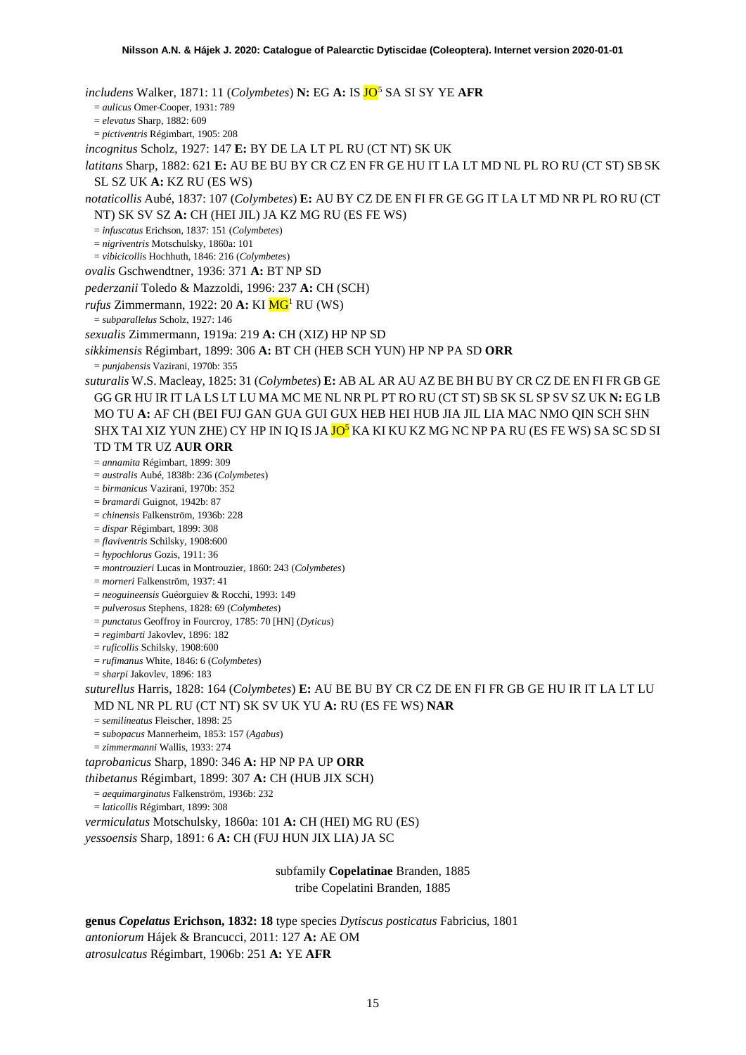*includens* Walker, 1871: 11 (*Colymbetes*) **N:** EG **A:** IS JO<sup>[5](#page-52-4)</sup> SA SI SY YE AFR = *aulicus* Omer-Cooper, 1931: 789 = *elevatus* Sharp, 1882: 609 = *pictiventris* Régimbart, 1905: 208 *incognitus* Scholz, 1927: 147 **E:** BY DE LA LT PL RU (CT NT) SK UK *latitans* Sharp, 1882: 621 **E:** AU BE BU BY CR CZ EN FR GE HU IT LA LT MD NL PL RO RU (CT ST) SBSK SL SZ UK **A:** KZ RU (ES WS) *notaticollis* Aubé, 1837: 107 (*Colymbetes*) **E:** AU BY CZ DE EN FI FR GE GG IT LA LT MD NR PL RO RU (CT NT) SK SV SZ **A:** CH (HEI JIL) JA KZ MG RU (ES FE WS) = *infuscatus* Erichson, 1837: 151 (*Colymbetes*) = *nigriventris* Motschulsky, 1860a: 101 = *vibicicollis* Hochhuth, 1846: 216 (*Colymbetes*) *ovalis* Gschwendtner, 1936: 371 **A:** BT NP SD *pederzanii* Toledo & Mazzoldi, 1996: 237 **A:** CH (SCH) *rufus* Zimmermann, 1922: 20 **A:** KI **MG**<sup>1</sup> RU (WS) = *subparallelus* Scholz, 1927: 146 *sexualis* Zimmermann, 1919a: 219 **A:** CH (XIZ) HP NP SD *sikkimensis* Régimbart, 1899: 306 **A:** BT CH (HEB SCH YUN) HP NP PA SD **ORR** = *punjabensis* Vazirani, 1970b: 355 *suturalis* W.S. Macleay, 1825: 31 (*Colymbetes*) **E:** AB AL AR AU AZ BE BH BU BY CR CZ DE EN FI FR GB GE GG GR HU IR IT LA LS LT LU MA MC ME NL NR PL PT RO RU (CT ST) SB SK SL SP SV SZ UK **N:** EG LB MO TU **A:** AF CH (BEI FUJ GAN GUA GUI GUX HEB HEI HUB JIA JIL LIA MAC NMO QIN SCH SHN SHX TAI XIZ YUN ZHE) CY HP IN IQ IS JA <mark>JO<sup>5</sup></mark> KA KI KU KZ MG NC NP PA RU (ES FE WS) SA SC SD SI TD TM TR UZ **AUR ORR** = *annamita* Régimbart, 1899: 309 = *australis* Aubé, 1838b: 236 (*Colymbetes*) = *birmanicus* Vazirani, 1970b: 352 = *bramardi* Guignot, 1942b: 87 = *chinensis* Falkenström, 1936b: 228 = *dispar* Régimbart, 1899: 308 = *flaviventris* Schilsky, 1908:600 = *hypochlorus* Gozis, 1911: 36 = *montrouzieri* Lucas in Montrouzier, 1860: 243 (*Colymbetes*) = *morneri* Falkenström, 1937: 41 = *neoguineensis* Guéorguiev & Rocchi, 1993: 149 = *pulverosus* Stephens, 1828: 69 (*Colymbetes*) = *punctatus* Geoffroy in Fourcroy, 1785: 70 [HN] (*Dyticus*) = *regimbarti* Jakovlev, 1896: 182 = *ruficollis* Schilsky, 1908:600 = *rufimanus* White, 1846: 6 (*Colymbetes*) = *sharpi* Jakovlev, 1896: 183 *suturellus* Harris, 1828: 164 (*Colymbetes*) **E:** AU BE BU BY CR CZ DE EN FI FR GB GE HU IR IT LA LT LU MD NL NR PL RU (CT NT) SK SV UK YU **A:** RU (ES FE WS) **NAR** = *semilineatus* Fleischer, 1898: 25 = *subopacus* Mannerheim, 1853: 157 (*Agabus*) = *zimmermanni* Wallis, 1933: 274 *taprobanicus* Sharp, 1890: 346 **A:** HP NP PA UP **ORR** *thibetanus* Régimbart, 1899: 307 **A:** CH (HUB JIX SCH) = *aequimarginatus* Falkenström, 1936b: 232 = *laticollis* Régimbart, 1899: 308 *vermiculatus* Motschulsky, 1860a: 101 **A:** CH (HEI) MG RU (ES) *yessoensis* Sharp, 1891: 6 **A:** CH (FUJ HUN JIX LIA) JA SC

> subfamily **Copelatinae** Branden, 1885 tribe Copelatini Branden, 1885

**genus** *Copelatus* **Erichson, 1832: 18** type species *Dytiscus posticatus* Fabricius, 1801 *antoniorum* Hájek & Brancucci, 2011: 127 **A:** AE OM *atrosulcatus* Régimbart, 1906b: 251 **A:** YE **AFR**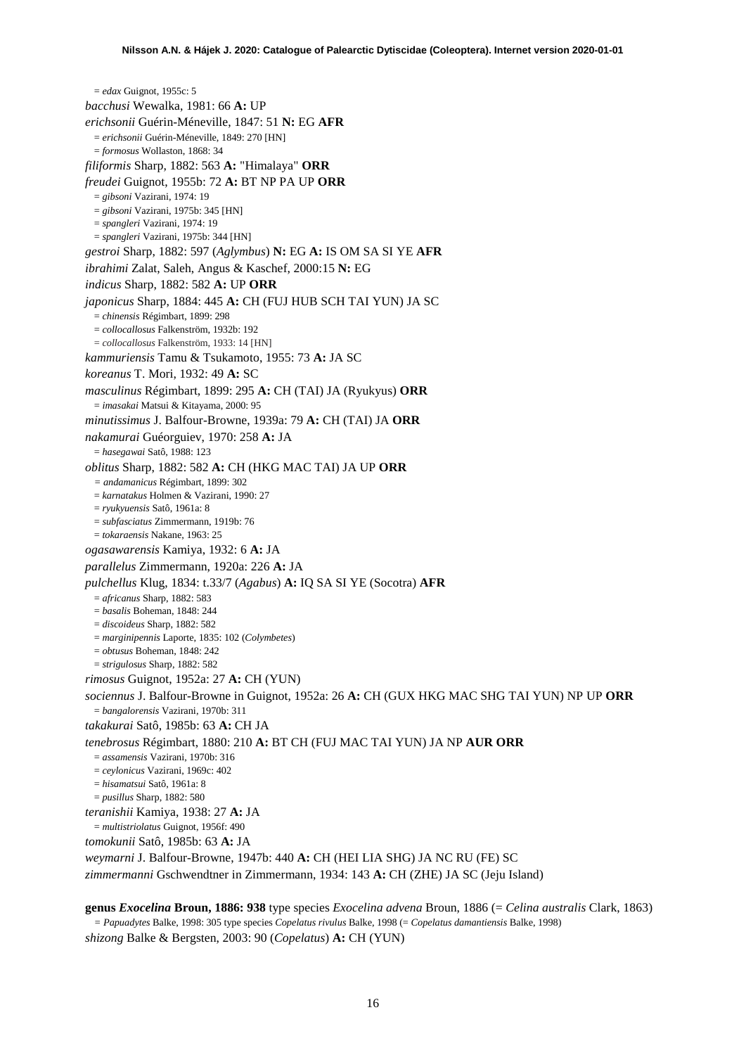= *edax* Guignot, 1955c: 5 *bacchusi* Wewalka, 1981: 66 **A:** UP *erichsonii* Guérin-Méneville, 1847: 51 **N:** EG **AFR** = *erichsonii* Guérin-Méneville, 1849: 270 [HN] = *formosus* Wollaston, 1868: 34 *filiformis* Sharp, 1882: 563 **A:** "Himalaya" **ORR** *freudei* Guignot, 1955b: 72 **A:** BT NP PA UP **ORR** = *gibsoni* Vazirani, 1974: 19 = *gibsoni* Vazirani, 1975b: 345 [HN] = *spangleri* Vazirani, 1974: 19 = *spangleri* Vazirani, 1975b: 344 [HN] *gestroi* Sharp, 1882: 597 (*Aglymbus*) **N:** EG **A:** IS OM SA SI YE **AFR** *ibrahimi* Zalat, Saleh, Angus & Kaschef, 2000:15 **N:** EG *indicus* Sharp, 1882: 582 **A:** UP **ORR** *japonicus* Sharp, 1884: 445 **A:** CH (FUJ HUB SCH TAI YUN) JA SC = *chinensis* Régimbart, 1899: 298 = *collocallosus* Falkenström, 1932b: 192 = *collocallosus* Falkenström, 1933: 14 [HN] *kammuriensis* Tamu & Tsukamoto, 1955: 73 **A:** JA SC *koreanus* T. Mori, 1932: 49 **A:** SC *masculinus* Régimbart, 1899: 295 **A:** CH (TAI) JA (Ryukyus) **ORR** = *imasakai* Matsui & Kitayama, 2000: 95 *minutissimus* J. Balfour-Browne, 1939a: 79 **A:** CH (TAI) JA **ORR** *nakamurai* Guéorguiev, 1970: 258 **A:** JA = *hasegawai* Satô, 1988: 123 *oblitus* Sharp, 1882: 582 **A:** CH (HKG MAC TAI) JA UP **ORR** *= andamanicus* Régimbart, 1899: 302 = *karnatakus* Holmen & Vazirani, 1990: 27 = *ryukyuensis* Satô, 1961a: 8 = *subfasciatus* Zimmermann, 1919b: 76 = *tokaraensis* Nakane, 1963: 25 *ogasawarensis* Kamiya, 1932: 6 **A:** JA *parallelus* Zimmermann, 1920a: 226 **A:** JA *pulchellus* Klug, 1834: t.33/7 (*Agabus*) **A:** IQ SA SI YE (Socotra) **AFR** = *africanus* Sharp, 1882: 583 = *basalis* Boheman, 1848: 244 = *discoideus* Sharp, 1882: 582 = *marginipennis* Laporte, 1835: 102 (*Colymbetes*) = *obtusus* Boheman, 1848: 242 = *strigulosus* Sharp, 1882: 582 *rimosus* Guignot, 1952a: 27 **A:** CH (YUN) *sociennus* J. Balfour-Browne in Guignot, 1952a: 26 **A:** CH (GUX HKG MAC SHG TAI YUN) NP UP **ORR** = *bangalorensis* Vazirani, 1970b: 311 *takakurai* Satô, 1985b: 63 **A:** CH JA *tenebrosus* Régimbart, 1880: 210 **A:** BT CH (FUJ MAC TAI YUN) JA NP **AUR ORR** = *assamensis* Vazirani, 1970b: 316 = *ceylonicus* Vazirani, 1969c: 402 = *hisamatsui* Satô, 1961a: 8 = *pusillus* Sharp, 1882: 580 *teranishii* Kamiya, 1938: 27 **A:** JA = *multistriolatus* Guignot, 1956f: 490 *tomokunii* Satô, 1985b: 63 **A:** JA *weymarni* J. Balfour-Browne, 1947b: 440 **A:** CH (HEI LIA SHG) JA NC RU (FE) SC *zimmermanni* Gschwendtner in Zimmermann, 1934: 143 **A:** CH (ZHE) JA SC (Jeju Island)

**genus** *Exocelina* **Broun, 1886: 938** type species *Exocelina advena* Broun, 1886 (= *Celina australis* Clark, 1863) *= Papuadytes* Balke, 1998: 305 type species *Copelatus rivulus* Balke, 1998 (= *Copelatus damantiensis* Balke, 1998) *shizong* Balke & Bergsten, 2003: 90 (*Copelatus*) **A:** CH (YUN)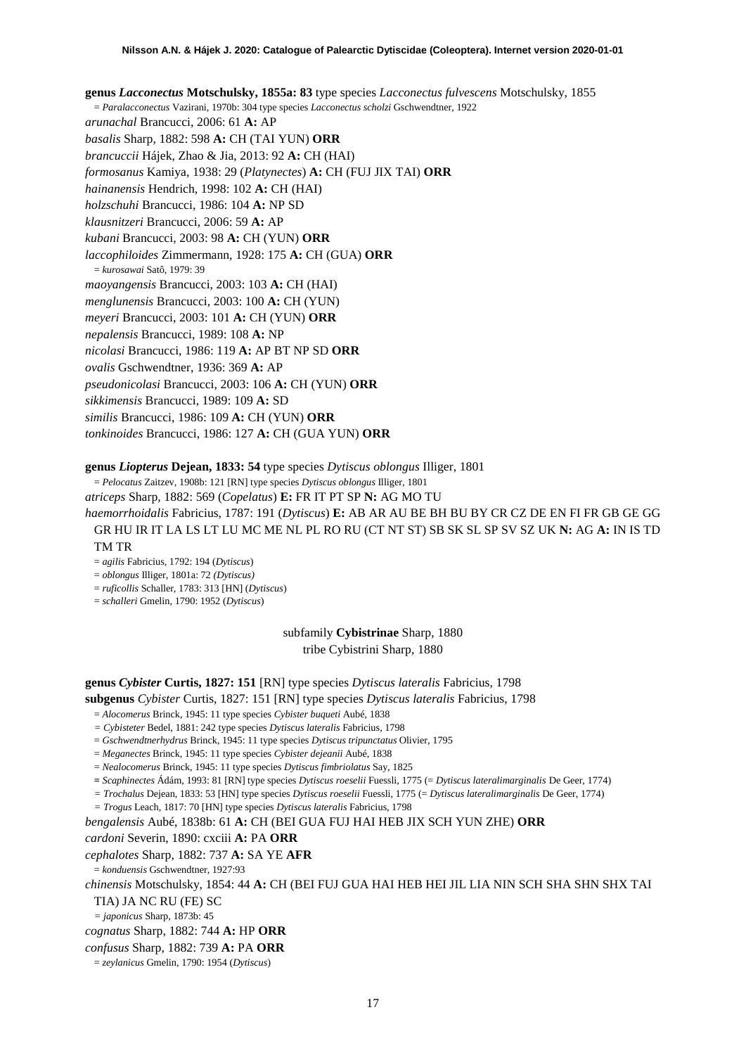**genus** *Lacconectus* **Motschulsky, 1855a: 83** type species *Lacconectus fulvescens* Motschulsky, 1855 = *Paralacconectus* Vazirani, 1970b: 304 type species *Lacconectus scholzi* Gschwendtner, 1922 *arunachal* Brancucci, 2006: 61 **A:** AP *basalis* Sharp, 1882: 598 **A:** CH (TAI YUN) **ORR** *brancuccii* Hájek, Zhao & Jia, 2013: 92 **A:** CH (HAI) *formosanus* Kamiya, 1938: 29 (*Platynectes*) **A:** CH (FUJ JIX TAI) **ORR** *hainanensis* Hendrich, 1998: 102 **A:** CH (HAI) *holzschuhi* Brancucci, 1986: 104 **A:** NP SD *klausnitzeri* Brancucci, 2006: 59 **A:** AP *kubani* Brancucci, 2003: 98 **A:** CH (YUN) **ORR** *laccophiloides* Zimmermann, 1928: 175 **A:** CH (GUA) **ORR** = *kurosawai* Satô, 1979: 39 *maoyangensis* Brancucci, 2003: 103 **A:** CH (HAI) *menglunensis* Brancucci, 2003: 100 **A:** CH (YUN) *meyeri* Brancucci, 2003: 101 **A:** CH (YUN) **ORR** *nepalensis* Brancucci, 1989: 108 **A:** NP *nicolasi* Brancucci, 1986: 119 **A:** AP BT NP SD **ORR** *ovalis* Gschwendtner, 1936: 369 **A:** AP *pseudonicolasi* Brancucci, 2003: 106 **A:** CH (YUN) **ORR** *sikkimensis* Brancucci, 1989: 109 **A:** SD

*similis* Brancucci, 1986: 109 **A:** CH (YUN) **ORR**

*tonkinoides* Brancucci, 1986: 127 **A:** CH (GUA YUN) **ORR**

## **genus** *Liopterus* **Dejean, 1833: 54** type species *Dytiscus oblongus* Illiger, 1801

= *Pelocatus* Zaitzev, 1908b: 121 [RN] type species *Dytiscus oblongus* Illiger, 1801

*atriceps* Sharp, 1882: 569 (*Copelatus*) **E:** FR IT PT SP **N:** AG MO TU

*haemorrhoidalis* Fabricius, 1787: 191 (*Dytiscus*) **E:** AB AR AU BE BH BU BY CR CZ DE EN FI FR GB GE GG GR HU IR IT LA LS LT LU MC ME NL PL RO RU (CT NT ST) SB SK SL SP SV SZ UK **N:** AG **A:** IN IS TD TM TR

= *agilis* Fabricius, 1792: 194 (*Dytiscus*)

= *oblongus* Illiger, 1801a: 72 *(Dytiscus)*

= *ruficollis* Schaller, 1783: 313 [HN] (*Dytiscus*)

= *schalleri* Gmelin, 1790: 1952 (*Dytiscus*)

subfamily **Cybistrinae** Sharp, 1880 tribe Cybistrini Sharp, 1880

## **genus** *Cybister* **Curtis, 1827: 151** [RN] type species *Dytiscus lateralis* Fabricius, 1798 **subgenus** *Cybister* Curtis, 1827: 151 [RN] type species *Dytiscus lateralis* Fabricius, 1798

= *Alocomerus* Brinck, 1945: 11 type species *Cybister buqueti* Aubé, 1838

*= Cybisteter* Bedel, 1881: 242 type species *Dytiscus lateralis* Fabricius, 1798

= *Gschwendtnerhydrus* Brinck, 1945: 11 type species *Dytiscus tripunctatus* Olivier, 1795

= *Meganectes* Brinck, 1945: 11 type species *Cybister dejeanii* Aubé, 1838

= *Nealocomerus* Brinck, 1945: 11 type species *Dytiscus fimbriolatus* Say, 1825

**=** *Scaphinectes* Ádám, 1993: 81 [RN] type species *Dytiscus roeselii* Fuessli, 1775 (= *Dytiscus lateralimarginalis* De Geer, 1774)

*= Trochalus* Dejean, 1833: 53 [HN] type species *Dytiscus roeselii* Fuessli, 1775 (= *Dytiscus lateralimarginalis* De Geer, 1774)

*= Trogus* Leach, 1817: 70 [HN] type species *Dytiscus lateralis* Fabricius, 1798

*bengalensis* Aubé, 1838b: 61 **A:** CH (BEI GUA FUJ HAI HEB JIX SCH YUN ZHE) **ORR** *cardoni* Severin, 1890: cxciii **A:** PA **ORR**

*cephalotes* Sharp, 1882: 737 **A:** SA YE **AFR**

= *konduensis* Gschwendtner, 1927:93

*chinensis* Motschulsky, 1854: 44 **A:** CH (BEI FUJ GUA HAI HEB HEI JIL LIA NIN SCH SHA SHN SHX TAI TIA) JA NC RU (FE) SC

*= japonicus* Sharp, 1873b: 45

*cognatus* Sharp, 1882: 744 **A:** HP **ORR**

*confusus* Sharp, 1882: 739 **A:** PA **ORR**

= *zeylanicus* Gmelin, 1790: 1954 (*Dytiscus*)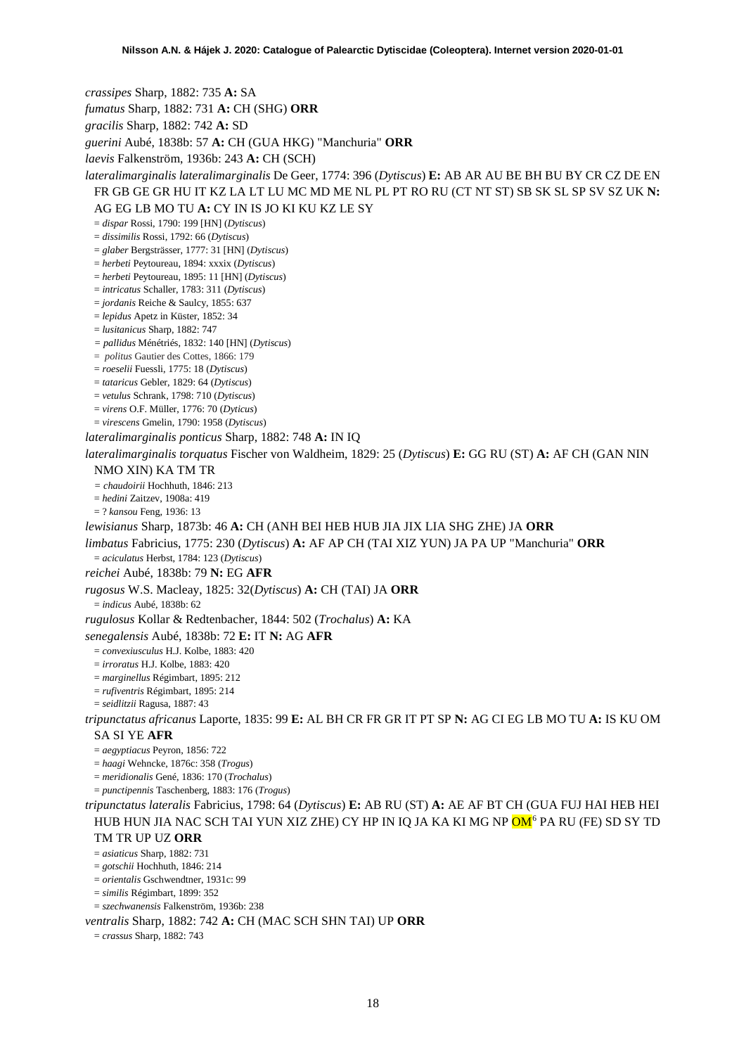*crassipes* Sharp, 1882: 735 **A:** SA *fumatus* Sharp, 1882: 731 **A:** CH (SHG) **ORR** *gracilis* Sharp, 1882: 742 **A:** SD *guerini* Aubé, 1838b: 57 **A:** CH (GUA HKG) "Manchuria" **ORR** *laevis* Falkenström, 1936b: 243 **A:** CH (SCH) *lateralimarginalis lateralimarginalis* De Geer, 1774: 396 (*Dytiscus*) **E:** AB AR AU BE BH BU BY CR CZ DE EN FR GB GE GR HU IT KZ LA LT LU MC MD ME NL PL PT RO RU (CT NT ST) SB SK SL SP SV SZ UK **N:**  AG EG LB MO TU **A:** CY IN IS JO KI KU KZ LE SY = *dispar* Rossi, 1790: 199 [HN] (*Dytiscus*) = *dissimilis* Rossi, 1792: 66 (*Dytiscus*) = *glaber* Bergsträsser, 1777: 31 [HN] (*Dytiscus*) = *herbeti* Peytoureau, 1894: xxxix (*Dytiscus*) = *herbeti* Peytoureau, 1895: 11 [HN] (*Dytiscus*) = *intricatus* Schaller, 1783: 311 (*Dytiscus*) = *jordanis* Reiche & Saulcy, 1855: 637 = *lepidus* Apetz in Küster, 1852: 34 = *lusitanicus* Sharp, 1882: 747 *= pallidus* Ménétriés, 1832: 140 [HN] (*Dytiscus*) = *politus* Gautier des Cottes, 1866: 179 = *roeselii* Fuessli, 1775: 18 (*Dytiscus*) = *tataricus* Gebler, 1829: 64 (*Dytiscus*) = *vetulus* Schrank, 1798: 710 (*Dytiscus*) = *virens* O.F. Müller, 1776: 70 (*Dyticus*) = *virescens* Gmelin, 1790: 1958 (*Dytiscus*) *lateralimarginalis ponticus* Sharp, 1882: 748 **A:** IN IQ *lateralimarginalis torquatus* Fischer von Waldheim, 1829: 25 (*Dytiscus*) **E:** GG RU (ST) **A:** AF CH (GAN NIN NMO XIN) KA TM TR *= chaudoirii* Hochhuth, 1846: 213 = *hedini* Zaitzev, 1908a: 419 = ? *kansou* Feng, 1936: 13 *lewisianus* Sharp, 1873b: 46 **A:** CH (ANH BEI HEB HUB JIA JIX LIA SHG ZHE) JA **ORR** *limbatus* Fabricius, 1775: 230 (*Dytiscus*) **A:** AF AP CH (TAI XIZ YUN) JA PA UP "Manchuria" **ORR** = *aciculatus* Herbst, 1784: 123 (*Dytiscus*) *reichei* Aubé, 1838b: 79 **N:** EG **AFR** *rugosus* W.S. Macleay, 1825: 32(*Dytiscus*) **A:** CH (TAI) JA **ORR** = *indicus* Aubé, 1838b: 62 *rugulosus* Kollar & Redtenbacher, 1844: 502 (*Trochalus*) **A:** KA *senegalensis* Aubé, 1838b: 72 **E:** IT **N:** AG **AFR** = *convexiusculus* H.J. Kolbe, 1883: 420 = *irroratus* H.J. Kolbe, 1883: 420 = *marginellus* Régimbart, 1895: 212 = *rufiventris* Régimbart, 1895: 214 = *seidlitzii* Ragusa, 1887: 43 *tripunctatus africanus* Laporte, 1835: 99 **E:** AL BH CR FR GR IT PT SP **N:** AG CI EG LB MO TU **A:** IS KU OM SA SI YE **AFR** = *aegyptiacus* Peyron, 1856: 722 = *haagi* Wehncke, 1876c: 358 (*Trogus*) = *meridionalis* Gené, 1836: 170 (*Trochalus*) = *punctipennis* Taschenberg, 1883: 176 (*Trogus*) *tripunctatus lateralis* Fabricius, 1798: 64 (*Dytiscus*) **E:** AB RU (ST) **A:** AE AF BT CH (GUA FUJ HAI HEB HEI HUB HUN JIA NAC SCH TAI YUN XIZ ZHE) CY HP IN IQ JA KA KI MG NP <mark>OM</mark><sup>[6](#page-52-5)</sup> PA RU (FE) SD SY TD TM TR UP UZ **ORR** = *asiaticus* Sharp, 1882: 731 = *gotschii* Hochhuth, 1846: 214 = *orientalis* Gschwendtner, 1931c: 99 = *similis* Régimbart, 1899: 352 = *szechwanensis* Falkenström, 1936b: 238 *ventralis* Sharp, 1882: 742 **A:** CH (MAC SCH SHN TAI) UP **ORR** = *crassus* Sharp, 1882: 743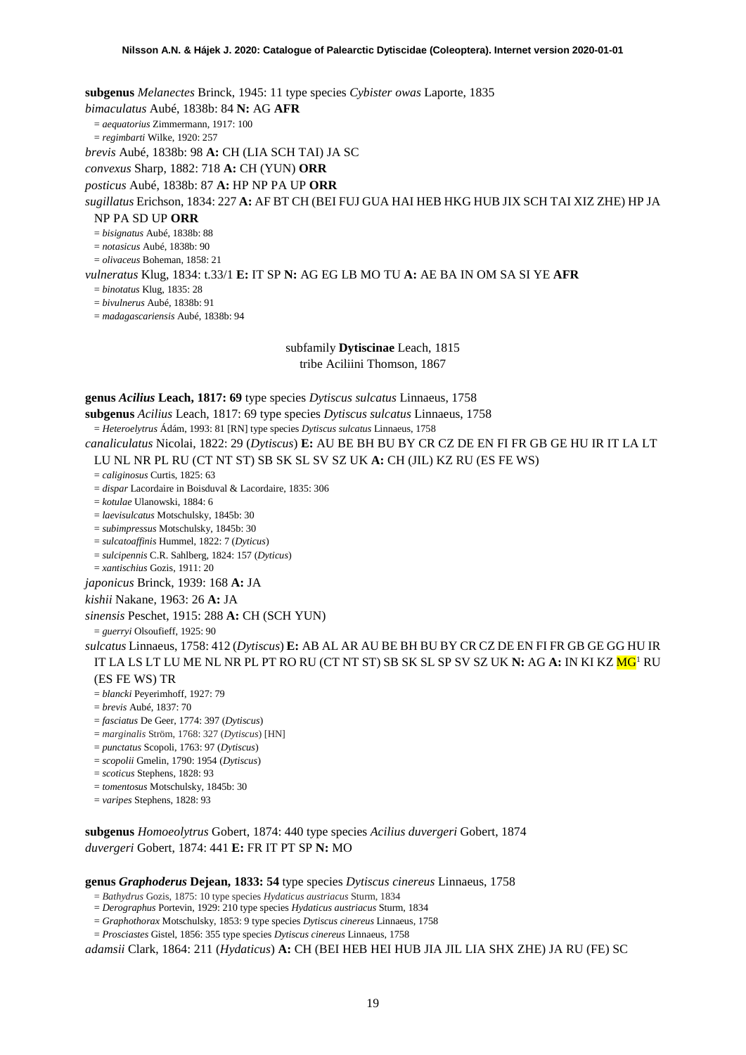**subgenus** *Melanectes* Brinck, 1945: 11 type species *Cybister owas* Laporte, 1835

*bimaculatus* Aubé, 1838b: 84 **N:** AG **AFR**

= *aequatorius* Zimmermann, 1917: 100

= *regimbarti* Wilke, 1920: 257

*brevis* Aubé, 1838b: 98 **A:** CH (LIA SCH TAI) JA SC

*convexus* Sharp, 1882: 718 **A:** CH (YUN) **ORR**

*posticus* Aubé, 1838b: 87 **A:** HP NP PA UP **ORR**

*sugillatus* Erichson, 1834: 227 **A:** AF BT CH (BEI FUJ GUA HAI HEB HKG HUB JIX SCH TAI XIZ ZHE) HP JA

#### NP PA SD UP **ORR**

= *bisignatus* Aubé, 1838b: 88

= *notasicus* Aubé, 1838b: 90

= *olivaceus* Boheman, 1858: 21

*vulneratus* Klug, 1834: t.33/1 **E:** IT SP **N:** AG EG LB MO TU **A:** AE BA IN OM SA SI YE **AFR**

= *binotatus* Klug, 1835: 28

= *bivulnerus* Aubé, 1838b: 91

= *madagascariensis* Aubé, 1838b: 94

subfamily **Dytiscinae** Leach, 1815 tribe Aciliini Thomson, 1867

**genus** *Acilius* **Leach, 1817: 69** type species *Dytiscus sulcatus* Linnaeus, 1758

**subgenus** *Acilius* Leach, 1817: 69 type species *Dytiscus sulcatus* Linnaeus, 1758

= *Heteroelytrus* Ádám, 1993: 81 [RN] type species *Dytiscus sulcatus* Linnaeus, 1758

*canaliculatus* Nicolai, 1822: 29 (*Dytiscus*) **E:** AU BE BH BU BY CR CZ DE EN FI FR GB GE HU IR IT LA LT LU NL NR PL RU (CT NT ST) SB SK SL SV SZ UK **A:** CH (JIL) KZ RU (ES FE WS)

= *caliginosus* Curtis, 1825: 63

= *dispar* Lacordaire in Boisduval & Lacordaire, 1835: 306

= *kotulae* Ulanowski, 1884: 6

= *laevisulcatus* Motschulsky, 1845b: 30

= *subimpressus* Motschulsky, 1845b: 30

= *sulcatoaffinis* Hummel, 1822: 7 (*Dyticus*)

= *sulcipennis* C.R. Sahlberg, 1824: 157 (*Dyticus*)

= *xantischius* Gozis, 1911: 20

*japonicus* Brinck, 1939: 168 **A:** JA

*kishii* Nakane, 1963: 26 **A:** JA

*sinensis* Peschet, 1915: 288 **A:** CH (SCH YUN)

= *guerryi* Olsoufieff, 1925: 90

*sulcatus* Linnaeus, 1758: 412 (*Dytiscus*) **E:** AB AL AR AU BE BH BU BY CR CZ DE EN FI FR GB GE GG HU IR IT LA LS LT LU ME NL NR PL PT RO RU (CT NT ST) SB SK SL SP SV SZ UK **N:** AG **A:** IN KI KZ M[G1](#page-2-0) RU (ES FE WS) TR

= *blancki* Peyerimhoff, 1927: 79

= *brevis* Aubé, 1837: 70

= *fasciatus* De Geer, 1774: 397 (*Dytiscus*)

= *marginalis* Ström, 1768: 327 (*Dytiscus*) [HN]

= *punctatus* Scopoli, 1763: 97 (*Dytiscus*)

= *scopolii* Gmelin, 1790: 1954 (*Dytiscus*)

= *scoticus* Stephens, 1828: 93

= *tomentosus* Motschulsky, 1845b: 30

= *varipes* Stephens, 1828: 93

**subgenus** *Homoeolytrus* Gobert, 1874: 440 type species *Acilius duvergeri* Gobert, 1874 *duvergeri* Gobert, 1874: 441 **E:** FR IT PT SP **N:** MO

#### **genus** *Graphoderus* **Dejean, 1833: 54** type species *Dytiscus cinereus* Linnaeus, 1758

= *Bathydrus* Gozis, 1875: 10 type species *Hydaticus austriacus* Sturm, 1834

= *Derographus* Portevin, 1929: 210 type species *Hydaticus austriacus* Sturm, 1834

= *Graphothorax* Motschulsky, 1853: 9 type species *Dytiscus cinereus* Linnaeus, 1758

= *Prosciastes* Gistel, 1856: 355 type species *Dytiscus cinereus* Linnaeus, 1758

*adamsii* Clark, 1864: 211 (*Hydaticus*) **A:** CH (BEI HEB HEI HUB JIA JIL LIA SHX ZHE) JA RU (FE) SC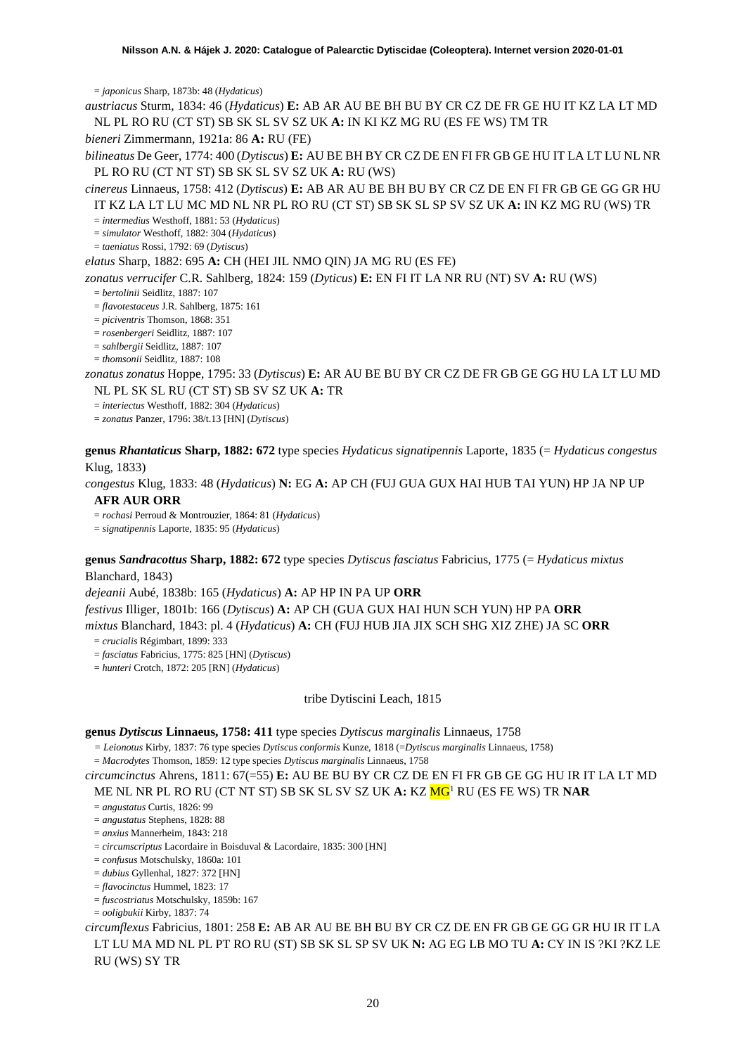= *japonicus* Sharp, 1873b: 48 (*Hydaticus*)

*austriacus* Sturm, 1834: 46 (*Hydaticus*) **E:** AB AR AU BE BH BU BY CR CZ DE FR GE HU IT KZ LA LT MD NL PL RO RU (CT ST) SB SK SL SV SZ UK **A:** IN KI KZ MG RU (ES FE WS) TM TR

*bieneri* Zimmermann, 1921a: 86 **A:** RU (FE)

*bilineatus* De Geer, 1774: 400 (*Dytiscus*) **E:** AU BE BH BY CR CZ DE EN FI FR GB GE HU IT LA LT LU NL NR PL RO RU (CT NT ST) SB SK SL SV SZ UK **A:** RU (WS)

*cinereus* Linnaeus, 1758: 412 (*Dytiscus*) **E:** AB AR AU BE BH BU BY CR CZ DE EN FI FR GB GE GG GR HU IT KZ LA LT LU MC MD NL NR PL RO RU (CT ST) SB SK SL SP SV SZ UK **A:** IN KZ MG RU (WS) TR

= *intermedius* Westhoff, 1881: 53 (*Hydaticus*)

= *simulator* Westhoff, 1882: 304 (*Hydaticus*)

= *taeniatus* Rossi, 1792: 69 (*Dytiscus*)

*elatus* Sharp, 1882: 695 **A:** CH (HEI JIL NMO QIN) JA MG RU (ES FE)

*zonatus verrucifer* C.R. Sahlberg, 1824: 159 (*Dyticus*) **E:** EN FI IT LA NR RU (NT) SV **A:** RU (WS)

= *bertolinii* Seidlitz, 1887: 107

= *flavotestaceus* J.R. Sahlberg, 1875: 161

= *piciventris* Thomson, 1868: 351

= *rosenbergeri* Seidlitz, 1887: 107

= *sahlbergii* Seidlitz, 1887: 107

= *thomsonii* Seidlitz, 1887: 108

*zonatus zonatus* Hoppe, 1795: 33 (*Dytiscus*) **E:** AR AU BE BU BY CR CZ DE FR GB GE GG HU LA LT LU MD NL PL SK SL RU (CT ST) SB SV SZ UK **A:** TR

= *interiectus* Westhoff, 1882: 304 (*Hydaticus*)

= *zonatus* Panzer, 1796: 38/t.13 [HN] (*Dytiscus*)

**genus** *Rhantaticus* **Sharp, 1882: 672** type species *Hydaticus signatipennis* Laporte, 1835 (= *Hydaticus congestus*  Klug, 1833)

*congestus* Klug, 1833: 48 (*Hydaticus*) **N:** EG **A:** AP CH (FUJ GUA GUX HAI HUB TAI YUN) HP JA NP UP **AFR AUR ORR**

= *rochasi* Perroud & Montrouzier, 1864: 81 (*Hydaticus*)

= *signatipennis* Laporte, 1835: 95 (*Hydaticus*)

**genus** *Sandracottus* **Sharp, 1882: 672** type species *Dytiscus fasciatus* Fabricius, 1775 (= *Hydaticus mixtus*

Blanchard, 1843)

*dejeanii* Aubé, 1838b: 165 (*Hydaticus*) **A:** AP HP IN PA UP **ORR**

*festivus* Illiger, 1801b: 166 (*Dytiscus*) **A:** AP CH (GUA GUX HAI HUN SCH YUN) HP PA **ORR**

*mixtus* Blanchard, 1843: pl. 4 (*Hydaticus*) **A:** CH (FUJ HUB JIA JIX SCH SHG XIZ ZHE) JA SC **ORR**

= *crucialis* Régimbart, 1899: 333

= *fasciatus* Fabricius, 1775: 825 [HN] (*Dytiscus*)

= *hunteri* Crotch, 1872: 205 [RN] (*Hydaticus*)

tribe Dytiscini Leach, 1815

**genus** *Dytiscus* **Linnaeus, 1758: 411** type species *Dytiscus marginalis* Linnaeus, 1758

*= Leionotus* Kirby, 1837: 76 type species *Dytiscus conformis* Kunze, 1818 (=*Dytiscus marginalis* Linnaeus, 1758)

= *Macrodytes* Thomson, 1859: 12 type species *Dytiscus marginalis* Linnaeus, 1758

*circumcinctus* Ahrens, 1811: 67(=55) **E:** AU BE BU BY CR CZ DE EN FI FR GB GE GG HU IR IT LA LT MD ME NL NR PL RO RU (CT NT ST) SB SK SL SV SZ UK **A:** KZ M[G1](#page-2-0) RU (ES FE WS) TR **NAR**

= *angustatus* Curtis, 1826: 99

= *angustatus* Stephens, 1828: 88

= *anxius* Mannerheim, 1843: 218

= *circumscriptus* Lacordaire in Boisduval & Lacordaire, 1835: 300 [HN]

= *confusus* Motschulsky, 1860a: 101

= *dubius* Gyllenhal, 1827: 372 [HN]

= *flavocinctus* Hummel, 1823: 17

= *fuscostriatus* Motschulsky, 1859b: 167

= *ooligbukii* Kirby, 1837: 74

*circumflexus* Fabricius, 1801: 258 **E:** AB AR AU BE BH BU BY CR CZ DE EN FR GB GE GG GR HU IR IT LA LT LU MA MD NL PL PT RO RU (ST) SB SK SL SP SV UK **N:** AG EG LB MO TU **A:** CY IN IS ?KI ?KZ LE RU (WS) SY TR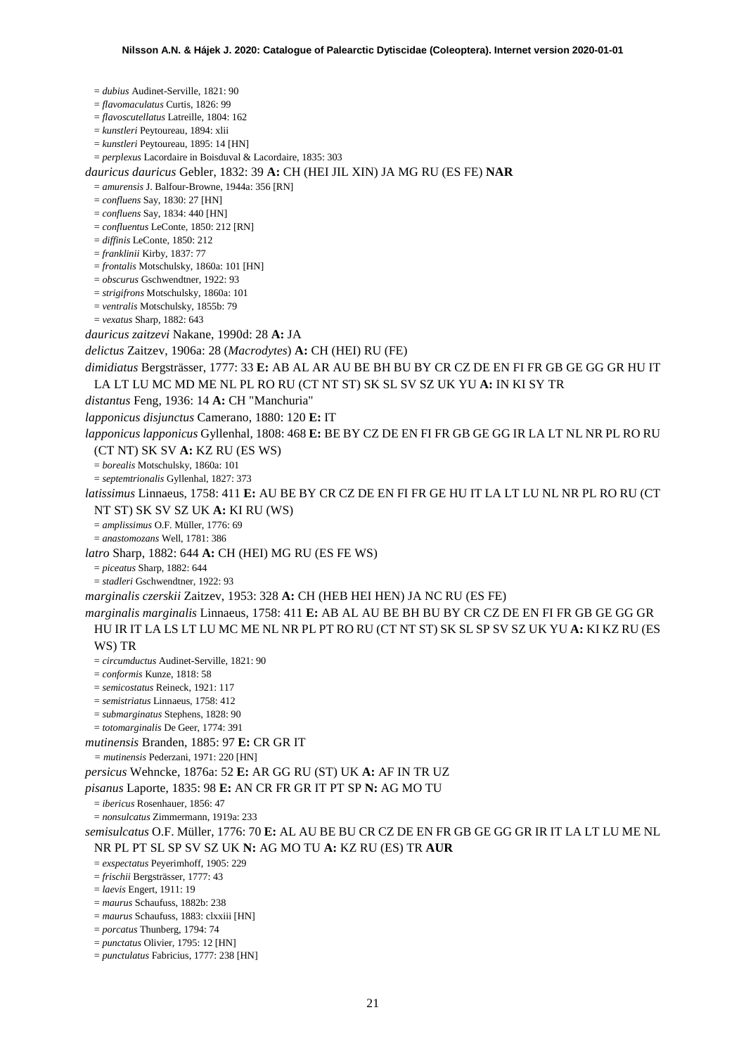= *dubius* Audinet-Serville, 1821: 90 = *flavomaculatus* Curtis, 1826: 99 = *flavoscutellatus* Latreille, 1804: 162 = *kunstleri* Peytoureau, 1894: xlii = *kunstleri* Peytoureau, 1895: 14 [HN] = *perplexus* Lacordaire in Boisduval & Lacordaire, 1835: 303 *dauricus dauricus* Gebler, 1832: 39 **A:** CH (HEI JIL XIN) JA MG RU (ES FE) **NAR** = *amurensis* J. Balfour-Browne, 1944a: 356 [RN] = *confluens* Say, 1830: 27 [HN] = *confluens* Say, 1834: 440 [HN] = *confluentus* LeConte, 1850: 212 [RN] = *diffinis* LeConte, 1850: 212 = *franklinii* Kirby, 1837: 77 = *frontalis* Motschulsky, 1860a: 101 [HN] = *obscurus* Gschwendtner, 1922: 93 = *strigifrons* Motschulsky, 1860a: 101 = *ventralis* Motschulsky, 1855b: 79 = *vexatus* Sharp, 1882: 643 *dauricus zaitzevi* Nakane, 1990d: 28 **A:** JA *delictus* Zaitzev, 1906a: 28 (*Macrodytes*) **A:** CH (HEI) RU (FE) *dimidiatus* Bergsträsser, 1777: 33 **E:** AB AL AR AU BE BH BU BY CR CZ DE EN FI FR GB GE GG GR HU IT LA LT LU MC MD ME NL PL RO RU (CT NT ST) SK SL SV SZ UK YU **A:** IN KI SY TR *distantus* Feng, 1936: 14 **A:** CH "Manchuria" *lapponicus disjunctus* Camerano, 1880: 120 **E:** IT *lapponicus lapponicus* Gyllenhal, 1808: 468 **E:** BE BY CZ DE EN FI FR GB GE GG IR LA LT NL NR PL RO RU (CT NT) SK SV **A:** KZ RU (ES WS) = *borealis* Motschulsky, 1860a: 101 = *septemtrionalis* Gyllenhal, 1827: 373 *latissimus* Linnaeus, 1758: 411 **E:** AU BE BY CR CZ DE EN FI FR GE HU IT LA LT LU NL NR PL RO RU (CT NT ST) SK SV SZ UK **A:** KI RU (WS) = *amplissimus* O.F. Müller, 1776: 69 = *anastomozans* Well, 1781: 386 *latro* Sharp, 1882: 644 **A:** CH (HEI) MG RU (ES FE WS) = *piceatus* Sharp, 1882: 644 = *stadleri* Gschwendtner, 1922: 93 *marginalis czerskii* Zaitzev, 1953: 328 **A:** CH (HEB HEI HEN) JA NC RU (ES FE) *marginalis marginalis* Linnaeus, 1758: 411 **E:** AB AL AU BE BH BU BY CR CZ DE EN FI FR GB GE GG GR HU IR IT LA LS LT LU MC ME NL NR PL PT RO RU (CT NT ST) SK SL SP SV SZ UK YU **A:** KI KZ RU (ES WS) TR = *circumductus* Audinet-Serville, 1821: 90 = *conformis* Kunze, 1818: 58 = *semicostatus* Reineck, 1921: 117 = *semistriatus* Linnaeus, 1758: 412 = *submarginatus* Stephens, 1828: 90 = *totomarginalis* De Geer, 1774: 391 *mutinensis* Branden, 1885: 97 **E:** CR GR IT *= mutinensis* Pederzani, 1971: 220 [HN] *persicus* Wehncke, 1876a: 52 **E:** AR GG RU (ST) UK **A:** AF IN TR UZ *pisanus* Laporte, 1835: 98 **E:** AN CR FR GR IT PT SP **N:** AG MO TU = *ibericus* Rosenhauer, 1856: 47 = *nonsulcatus* Zimmermann, 1919a: 233 *semisulcatus* O.F. Müller, 1776: 70 **E:** AL AU BE BU CR CZ DE EN FR GB GE GG GR IR IT LA LT LU ME NL NR PL PT SL SP SV SZ UK **N:** AG MO TU **A:** KZ RU (ES) TR **AUR** = *exspectatus* Peyerimhoff, 1905: 229 = *frischii* Bergsträsser, 1777: 43 = *laevis* Engert, 1911: 19 = *maurus* Schaufuss, 1882b: 238 = *maurus* Schaufuss, 1883: clxxiii [HN] = *porcatus* Thunberg, 1794: 74 = *punctatus* Olivier, 1795: 12 [HN] = *punctulatus* Fabricius, 1777: 238 [HN]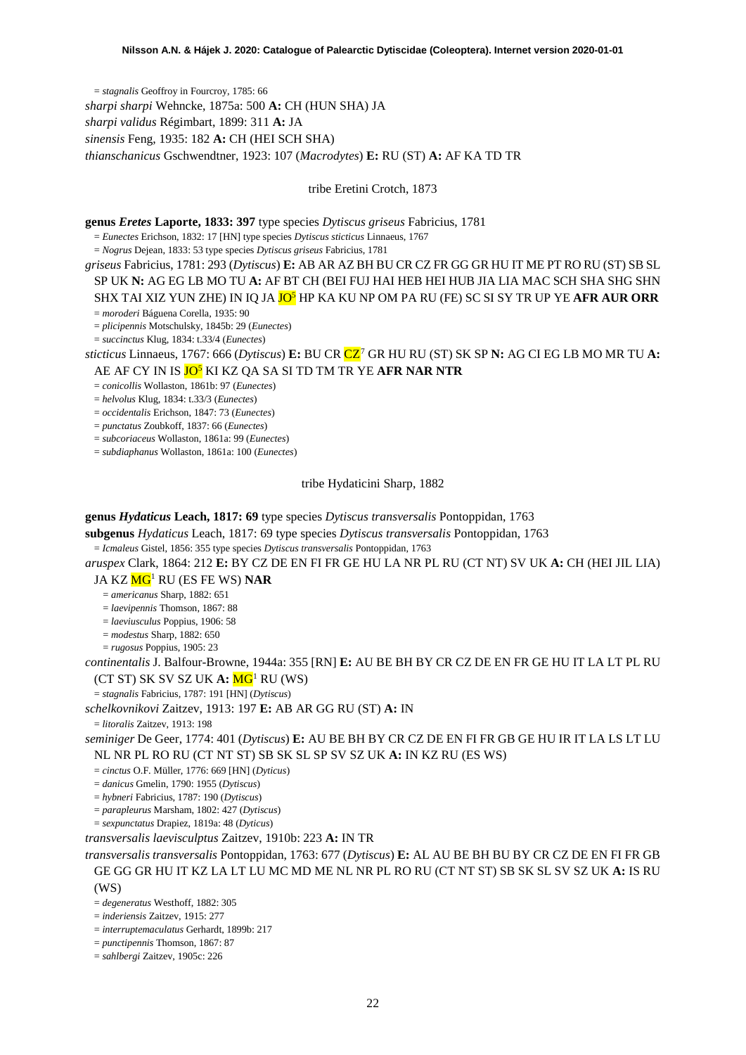= *stagnalis* Geoffroy in Fourcroy, 1785: 66 *sharpi sharpi* Wehncke, 1875a: 500 **A:** CH (HUN SHA) JA *sharpi validus* Régimbart, 1899: 311 **A:** JA *sinensis* Feng, 1935: 182 **A:** CH (HEI SCH SHA) *thianschanicus* Gschwendtner, 1923: 107 (*Macrodytes*) **E:** RU (ST) **A:** AF KA TD TR

#### tribe Eretini Crotch, 1873

**genus** *Eretes* **Laporte, 1833: 397** type species *Dytiscus griseus* Fabricius, 1781

= *Eunectes* Erichson, 1832: 17 [HN] type species *Dytiscus sticticus* Linnaeus, 1767

= *Nogrus* Dejean, 1833: 53 type species *Dytiscus griseus* Fabricius, 1781

*griseus* Fabricius, 1781: 293 (*Dytiscus*) **E:** AB AR AZ BH BU CR CZ FR GG GR HU IT ME PT RO RU (ST) SB SL SP UK **N:** AG EG LB MO TU **A:** AF BT CH (BEI FUJ HAI HEB HEI HUB JIA LIA MAC SCH SHA SHG SHN SHX TAI XIZ YUN ZHE) IN IQ JA JO5 HP KA KU NP OM PA RU (FE) SC SI SY TR UP YE **AFR AUR ORR**

= *moroderi* Báguena Corella, 1935: 90

= *plicipennis* Motschulsky, 1845b: 29 (*Eunectes*)

= *succinctus* Klug, 1834: t.33/4 (*Eunectes*)

*sticticus* Linnaeus, 1767: 666 (*Dytiscus*) **E:** BU CR CZ[7](#page-52-6) GR HU RU (ST) SK SP **N:** AG CI EG LB MO MR TU **A:** AE AF CY IN IS JO5 KI KZ QA SA SI TD TM TR YE **AFR NAR NTR**

= *conicollis* Wollaston, 1861b: 97 (*Eunectes*)

= *helvolus* Klug, 1834: t.33/3 (*Eunectes*)

= *occidentalis* Erichson, 1847: 73 (*Eunectes*)

= *punctatus* Zoubkoff, 1837: 66 (*Eunectes*)

= *subcoriaceus* Wollaston, 1861a: 99 (*Eunectes*)

= *subdiaphanus* Wollaston, 1861a: 100 (*Eunectes*)

#### tribe Hydaticini Sharp, 1882

## **genus** *Hydaticus* **Leach, 1817: 69** type species *Dytiscus transversalis* Pontoppidan, 1763

**subgenus** *Hydaticus* Leach, 1817: 69 type species *Dytiscus transversalis* Pontoppidan, 1763

= *Icmaleus* Gistel, 1856: 355 type species *Dytiscus transversalis* Pontoppidan, 1763

*aruspex* Clark, 1864: 212 **E:** BY CZ DE EN FI FR GE HU LA NR PL RU (CT NT) SV UK **A:** CH (HEI JIL LIA)

JA KZ M[G1](#page-2-0) RU (ES FE WS) **NAR**

= *americanus* Sharp, 1882: 651

= *laevipennis* Thomson, 1867: 88

= *laeviusculus* Poppius, 1906: 58

= *modestus* Sharp, 1882: 650

= *rugosus* Poppius, 1905: 23

*continentalis* J. Balfour-Browne, 1944a: 355 [RN] **E:** AU BE BH BY CR CZ DE EN FR GE HU IT LA LT PL RU (CT ST) SK SV SZ UK **A:** M[G1](#page-2-0) RU (WS)

= *stagnalis* Fabricius, 1787: 191 [HN] (*Dytiscus*)

*schelkovnikovi* Zaitzev, 1913: 197 **E:** AB AR GG RU (ST) **A:** IN

= *litoralis* Zaitzev, 1913: 198

*seminiger* De Geer, 1774: 401 (*Dytiscus*) **E:** AU BE BH BY CR CZ DE EN FI FR GB GE HU IR IT LA LS LT LU NL NR PL RO RU (CT NT ST) SB SK SL SP SV SZ UK **A:** IN KZ RU (ES WS)

= *cinctus* O.F. Müller, 1776: 669 [HN] (*Dyticus*)

= *danicus* Gmelin, 1790: 1955 (*Dytiscus*)

= *hybneri* Fabricius, 1787: 190 (*Dytiscus*)

= *parapleurus* Marsham, 1802: 427 (*Dytiscus*)

= *sexpunctatus* Drapiez, 1819a: 48 (*Dyticus*)

*transversalis laevisculptus* Zaitzev, 1910b: 223 **A:** IN TR

*transversalis transversalis* Pontoppidan, 1763: 677 (*Dytiscus*) **E:** AL AU BE BH BU BY CR CZ DE EN FI FR GB GE GG GR HU IT KZ LA LT LU MC MD ME NL NR PL RO RU (CT NT ST) SB SK SL SV SZ UK **A:** IS RU (WS)

= *degeneratus* Westhoff, 1882: 305

= *inderiensis* Zaitzev, 1915: 277

= *interruptemaculatus* Gerhardt, 1899b: 217

= *punctipennis* Thomson, 1867: 87

= *sahlbergi* Zaitzev, 1905c: 226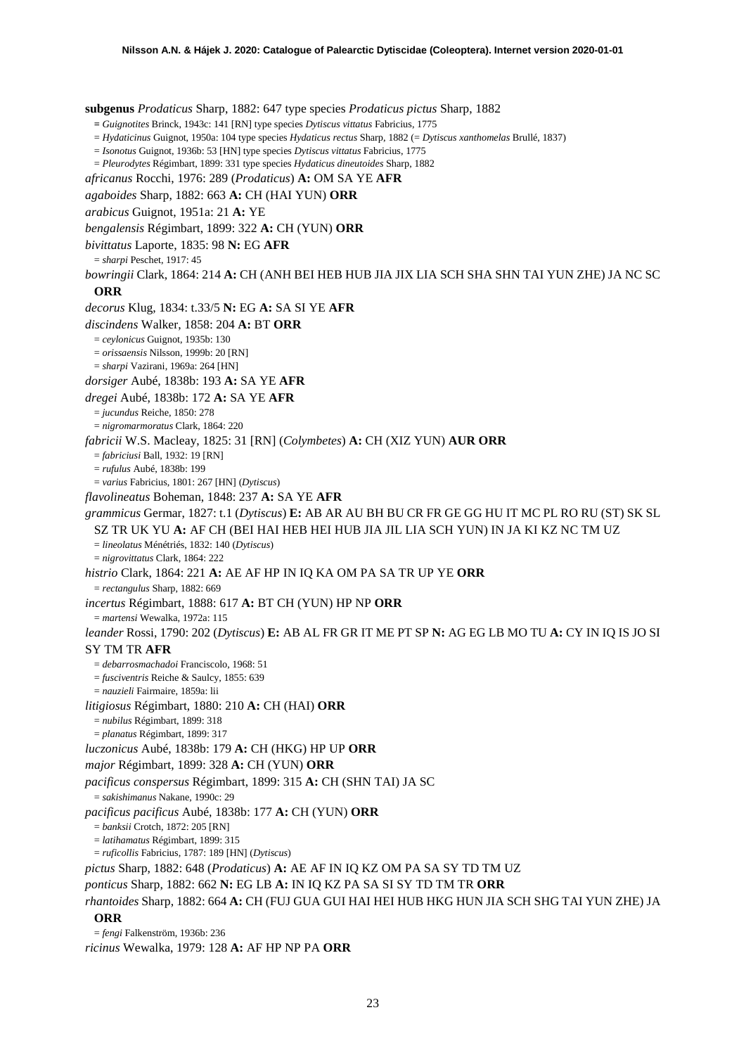**subgenus** *Prodaticus* Sharp, 1882: 647 type species *Prodaticus pictus* Sharp, 1882 **=** *Guignotites* Brinck, 1943c: 141 [RN] type species *Dytiscus vittatus* Fabricius, 1775 = *Hydaticinus* Guignot, 1950a: 104 type species *Hydaticus rectus* Sharp, 1882 (= *Dytiscus xanthomelas* Brullé, 1837) = *Isonotus* Guignot, 1936b: 53 [HN] type species *Dytiscus vittatus* Fabricius, 1775 = *Pleurodytes* Régimbart, 1899: 331 type species *Hydaticus dineutoides* Sharp, 1882 *africanus* Rocchi, 1976: 289 (*Prodaticus*) **A:** OM SA YE **AFR** *agaboides* Sharp, 1882: 663 **A:** CH (HAI YUN) **ORR** *arabicus* Guignot, 1951a: 21 **A:** YE *bengalensis* Régimbart, 1899: 322 **A:** CH (YUN) **ORR** *bivittatus* Laporte, 1835: 98 **N:** EG **AFR** = *sharpi* Peschet, 1917: 45 *bowringii* Clark, 1864: 214 **A:** CH (ANH BEI HEB HUB JIA JIX LIA SCH SHA SHN TAI YUN ZHE) JA NC SC **ORR** *decorus* Klug, 1834: t.33/5 **N:** EG **A:** SA SI YE **AFR** *discindens* Walker, 1858: 204 **A:** BT **ORR** = *ceylonicus* Guignot, 1935b: 130 = *orissaensis* Nilsson, 1999b: 20 [RN] = *sharpi* Vazirani, 1969a: 264 [HN] *dorsiger* Aubé, 1838b: 193 **A:** SA YE **AFR** *dregei* Aubé, 1838b: 172 **A:** SA YE **AFR** = *jucundus* Reiche, 1850: 278 = *nigromarmoratus* Clark, 1864: 220 *fabricii* W.S. Macleay, 1825: 31 [RN] (*Colymbetes*) **A:** CH (XIZ YUN) **AUR ORR** = *fabriciusi* Ball, 1932: 19 [RN] = *rufulus* Aubé, 1838b: 199 = *varius* Fabricius, 1801: 267 [HN] (*Dytiscus*) *flavolineatus* Boheman, 1848: 237 **A:** SA YE **AFR** *grammicus* Germar, 1827: t.1 (*Dytiscus*) **E:** AB AR AU BH BU CR FR GE GG HU IT MC PL RO RU (ST) SK SL SZ TR UK YU **A:** AF CH (BEI HAI HEB HEI HUB JIA JIL LIA SCH YUN) IN JA KI KZ NC TM UZ = *lineolatus* Ménétriés, 1832: 140 (*Dytiscus*) = *nigrovittatus* Clark, 1864: 222 *histrio* Clark, 1864: 221 **A:** AE AF HP IN IQ KA OM PA SA TR UP YE **ORR** = *rectangulus* Sharp, 1882: 669 *incertus* Régimbart, 1888: 617 **A:** BT CH (YUN) HP NP **ORR** = *martensi* Wewalka, 1972a: 115 *leander* Rossi, 1790: 202 (*Dytiscus*) **E:** AB AL FR GR IT ME PT SP **N:** AG EG LB MO TU **A:** CY IN IQ IS JO SI SY TM TR **AFR** = *debarrosmachadoi* Franciscolo, 1968: 51 = *fusciventris* Reiche & Saulcy, 1855: 639 = *nauzieli* Fairmaire, 1859a: lii *litigiosus* Régimbart, 1880: 210 **A:** CH (HAI) **ORR** = *nubilus* Régimbart, 1899: 318 = *planatus* Régimbart, 1899: 317 *luczonicus* Aubé, 1838b: 179 **A:** CH (HKG) HP UP **ORR** *major* Régimbart, 1899: 328 **A:** CH (YUN) **ORR** *pacificus conspersus* Régimbart, 1899: 315 **A:** CH (SHN TAI) JA SC = *sakishimanus* Nakane, 1990c: 29 *pacificus pacificus* Aubé, 1838b: 177 **A:** CH (YUN) **ORR** = *banksii* Crotch, 1872: 205 [RN] = *latihamatus* Régimbart, 1899: 315 = *ruficollis* Fabricius, 1787: 189 [HN] (*Dytiscus*) *pictus* Sharp, 1882: 648 (*Prodaticus*) **A:** AE AF IN IQ KZ OM PA SA SY TD TM UZ *ponticus* Sharp, 1882: 662 **N:** EG LB **A:** IN IQ KZ PA SA SI SY TD TM TR **ORR** *rhantoides* Sharp, 1882: 664 **A:** CH (FUJ GUA GUI HAI HEI HUB HKG HUN JIA SCH SHG TAI YUN ZHE) JA **ORR** = *fengi* Falkenström, 1936b: 236

*ricinus* Wewalka, 1979: 128 **A:** AF HP NP PA **ORR**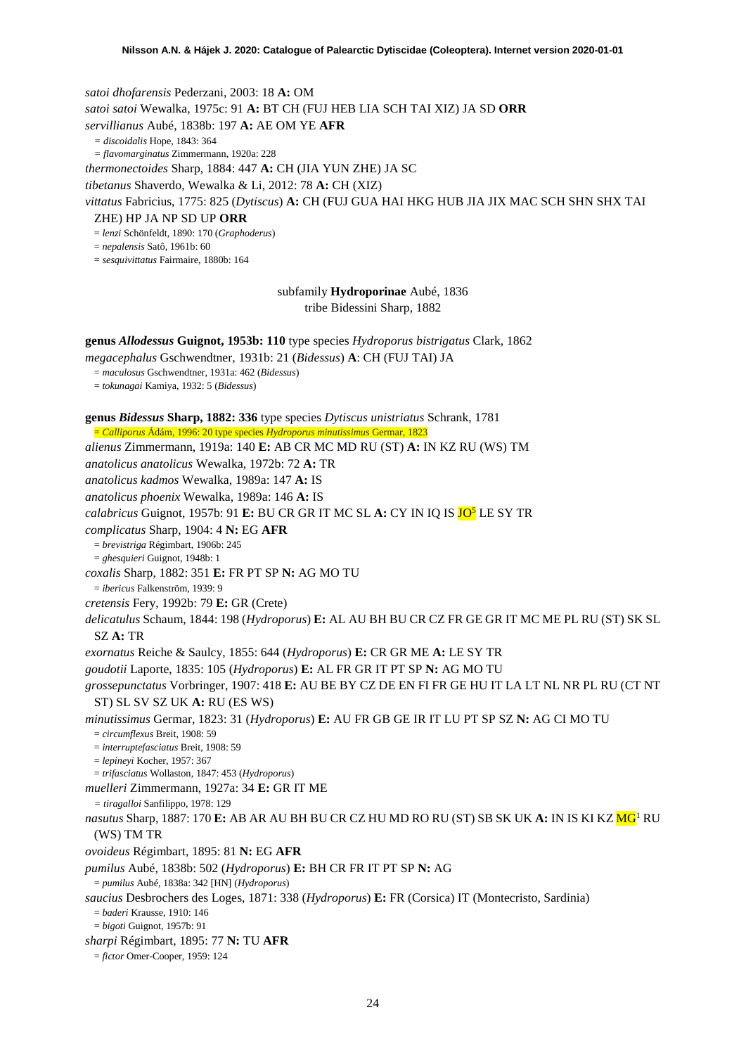*satoi dhofarensis* Pederzani, 2003: 18 **A:** OM *satoi satoi* Wewalka, 1975c: 91 **A:** BT CH (FUJ HEB LIA SCH TAI XIZ) JA SD **ORR** *servillianus* Aubé, 1838b: 197 **A:** AE OM YE **AFR** *= discoidalis* Hope, 1843: 364 *= flavomarginatus* Zimmermann, 1920a: 228 *thermonectoides* Sharp, 1884: 447 **A:** CH (JIA YUN ZHE) JA SC *tibetanus* Shaverdo, Wewalka & Li, 2012: 78 **A:** CH (XIZ) *vittatus* Fabricius, 1775: 825 (*Dytiscus*) **A:** CH (FUJ GUA HAI HKG HUB JIA JIX MAC SCH SHN SHX TAI ZHE) HP JA NP SD UP **ORR** = *lenzi* Schönfeldt, 1890: 170 (*Graphoderus*) = *nepalensis* Satô, 1961b: 60 = *sesquivittatus* Fairmaire, 1880b: 164 subfamily **Hydroporinae** Aubé, 1836 tribe Bidessini Sharp, 1882 **genus** *Allodessus* **Guignot, 1953b: 110** type species *Hydroporus bistrigatus* Clark, 1862 *megacephalus* Gschwendtner, 1931b: 21 (*Bidessus*) **A**: CH (FUJ TAI) JA = *maculosus* Gschwendtner, 1931a: 462 (*Bidessus*) = *tokunagai* Kamiya, 1932: 5 (*Bidessus*) **genus** *Bidessus* **Sharp, 1882: 336** type species *Dytiscus unistriatus* Schrank, 1781 = *Calliporus* Ádám, 1996: 20 type species *Hydroporus minutissimus* Germar, 1823 *alienus* Zimmermann, 1919a: 140 **E:** AB CR MC MD RU (ST) **A:** IN KZ RU (WS) TM *anatolicus anatolicus* Wewalka, 1972b: 72 **A:** TR *anatolicus kadmos* Wewalka, 1989a: 147 **A:** IS *anatolicus phoenix* Wewalka, 1989a: 146 **A:** IS *calabricus* Guignot, 1957b: 91 **E:** BU CR GR IT MC SL **A:** CY IN IQ IS JO5 LE SY TR *complicatus* Sharp, 1904: 4 **N:** EG **AFR** = *brevistriga* Régimbart, 1906b: 245 = *ghesquieri* Guignot, 1948b: 1 *coxalis* Sharp, 1882: 351 **E:** FR PT SP **N:** AG MO TU = *ibericus* Falkenström, 1939: 9 *cretensis* Fery, 1992b: 79 **E:** GR (Crete) *delicatulus* Schaum, 1844: 198 (*Hydroporus*) **E:** AL AU BH BU CR CZ FR GE GR IT MC ME PL RU (ST) SK SL SZ **A:** TR *exornatus* Reiche & Saulcy, 1855: 644 (*Hydroporus*) **E:** CR GR ME **A:** LE SY TR *goudotii* Laporte, 1835: 105 (*Hydroporus*) **E:** AL FR GR IT PT SP **N:** AG MO TU *grossepunctatus* Vorbringer, 1907: 418 **E:** AU BE BY CZ DE EN FI FR GE HU IT LA LT NL NR PL RU (CT NT ST) SL SV SZ UK **A:** RU (ES WS) *minutissimus* Germar, 1823: 31 (*Hydroporus*) **E:** AU FR GB GE IR IT LU PT SP SZ **N:** AG CI MO TU = *circumflexus* Breit, 1908: 59 = *interruptefasciatus* Breit, 1908: 59 = *lepineyi* Kocher, 1957: 367 = *trifasciatus* Wollaston, 1847: 453 (*Hydroporus*) *muelleri* Zimmermann, 1927a: 34 **E:** GR IT ME *= tiragalloi* Sanfilippo, 1978: 129 *nasutus* Sharp, 1887: 170 **E:** AB AR AU BH BU CR CZ HU MD RO RU (ST) SB SK UK **A:** IN IS KI KZ M[G1](#page-2-0) RU (WS) TM TR *ovoideus* Régimbart, 1895: 81 **N:** EG **AFR** *pumilus* Aubé, 1838b: 502 (*Hydroporus*) **E:** BH CR FR IT PT SP **N:** AG

= *pumilus* Aubé, 1838a: 342 [HN] (*Hydroporus*)

*saucius* Desbrochers des Loges, 1871: 338 (*Hydroporus*) **E:** FR (Corsica) IT (Montecristo, Sardinia) = *baderi* Krausse, 1910: 146

= *bigoti* Guignot, 1957b: 91

*sharpi* Régimbart, 1895: 77 **N:** TU **AFR**

= *fictor* Omer-Cooper, 1959: 124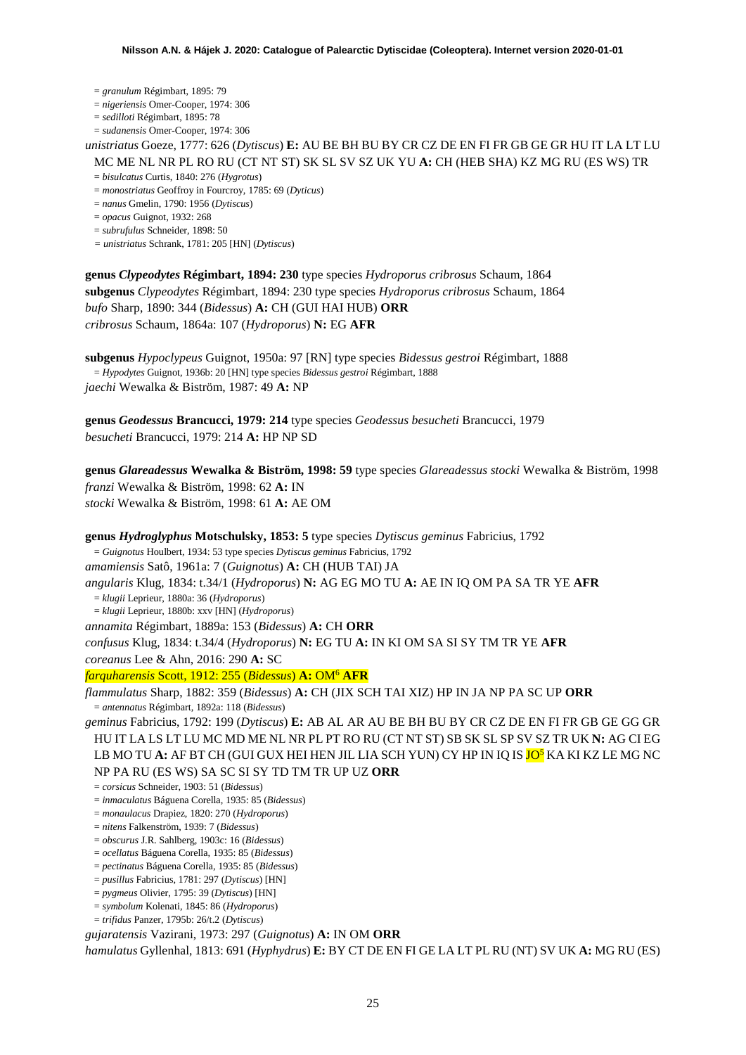= *granulum* Régimbart, 1895: 79

= *nigeriensis* Omer-Cooper, 1974: 306

= *sedilloti* Régimbart, 1895: 78

= *sudanensis* Omer-Cooper, 1974: 306

*unistriatus* Goeze, 1777: 626 (*Dytiscus*) **E:** AU BE BH BU BY CR CZ DE EN FI FR GB GE GR HU IT LA LT LU MC ME NL NR PL RO RU (CT NT ST) SK SL SV SZ UK YU **A:** CH (HEB SHA) KZ MG RU (ES WS) TR

= *bisulcatus* Curtis, 1840: 276 (*Hygrotus*)

= *monostriatus* Geoffroy in Fourcroy, 1785: 69 (*Dyticus*)

= *nanus* Gmelin, 1790: 1956 (*Dytiscus*)

= *opacus* Guignot, 1932: 268

= *subrufulus* Schneider, 1898: 50

*= unistriatus* Schrank, 1781: 205 [HN] (*Dytiscus*)

**genus** *Clypeodytes* **Régimbart, 1894: 230** type species *Hydroporus cribrosus* Schaum, 1864 **subgenus** *Clypeodytes* Régimbart, 1894: 230 type species *Hydroporus cribrosus* Schaum, 1864 *bufo* Sharp, 1890: 344 (*Bidessus*) **A:** CH (GUI HAI HUB) **ORR** *cribrosus* Schaum, 1864a: 107 (*Hydroporus*) **N:** EG **AFR**

**subgenus** *Hypoclypeus* Guignot, 1950a: 97 [RN] type species *Bidessus gestroi* Régimbart, 1888 = *Hypodytes* Guignot, 1936b: 20 [HN] type species *Bidessus gestroi* Régimbart, 1888 *jaechi* Wewalka & Biström, 1987: 49 **A:** NP

**genus** *Geodessus* **Brancucci, 1979: 214** type species *Geodessus besucheti* Brancucci, 1979 *besucheti* Brancucci, 1979: 214 **A:** HP NP SD

**genus** *Glareadessus* **Wewalka & Biström, 1998: 59** type species *Glareadessus stocki* Wewalka & Biström, 1998 *franzi* Wewalka & Biström, 1998: 62 **A:** IN *stocki* Wewalka & Biström, 1998: 61 **A:** AE OM

**genus** *Hydroglyphus* **Motschulsky, 1853: 5** type species *Dytiscus geminus* Fabricius, 1792 = *Guignotus* Houlbert, 1934: 53 type species *Dytiscus geminus* Fabricius, 1792 *amamiensis* Satô, 1961a: 7 (*Guignotus*) **A:** CH (HUB TAI) JA *angularis* Klug, 1834: t.34/1 (*Hydroporus*) **N:** AG EG MO TU **A:** AE IN IQ OM PA SA TR YE **AFR** = *klugii* Leprieur, 1880a: 36 (*Hydroporus*) = *klugii* Leprieur, 1880b: xxv [HN] (*Hydroporus*) *annamita* Régimbart, 1889a: 153 (*Bidessus*) **A:** CH **ORR** *confusus* Klug, 1834: t.34/4 (*Hydroporus*) **N:** EG TU **A:** IN KI OM SA SI SY TM TR YE **AFR** *coreanus* Lee & Ahn, 2016: 290 **A:** SC *farquharensis* Scott, 1912: 255 (*Bidessus*) **A:** OM6 **AFR** *flammulatus* Sharp, 1882: 359 (*Bidessus*) **A:** CH (JIX SCH TAI XIZ) HP IN JA NP PA SC UP **ORR** = *antennatus* Régimbart, 1892a: 118 (*Bidessus*) *geminus* Fabricius, 1792: 199 (*Dytiscus*) **E:** AB AL AR AU BE BH BU BY CR CZ DE EN FI FR GB GE GG GR HU IT LA LS LT LU MC MD ME NL NR PL PT RO RU (CT NT ST) SB SK SL SP SV SZ TR UK **N:** AG CI EG LB MO TU **A:** AF BT CH (GUI GUX HEI HEN JIL LIA SCH YUN) CY HP IN IQ IS <mark>JO<sup>5</sup></mark> KA KI KZ LE MG NC NP PA RU (ES WS) SA SC SI SY TD TM TR UP UZ **ORR** = *corsicus* Schneider, 1903: 51 (*Bidessus*) = *inmaculatus* Báguena Corella, 1935: 85 (*Bidessus*) = *monaulacus* Drapiez, 1820: 270 (*Hydroporus*) = *nitens* Falkenström, 1939: 7 (*Bidessus*) = *obscurus* J.R. Sahlberg, 1903c: 16 (*Bidessus*) = *ocellatus* Báguena Corella, 1935: 85 (*Bidessus*) = *pectinatus* Báguena Corella, 1935: 85 (*Bidessus*) = *pusillus* Fabricius, 1781: 297 (*Dytiscus*) [HN] = *pygmeus* Olivier, 1795: 39 (*Dytiscus*) [HN] = *symbolum* Kolenati, 1845: 86 (*Hydroporus*)

= *trifidus* Panzer, 1795b: 26/t.2 (*Dytiscus*)

*gujaratensis* Vazirani, 1973: 297 (*Guignotus*) **A:** IN OM **ORR**

*hamulatus* Gyllenhal, 1813: 691 (*Hyphydrus*) **E:** BY CT DE EN FI GE LA LT PL RU (NT) SV UK **A:** MG RU (ES)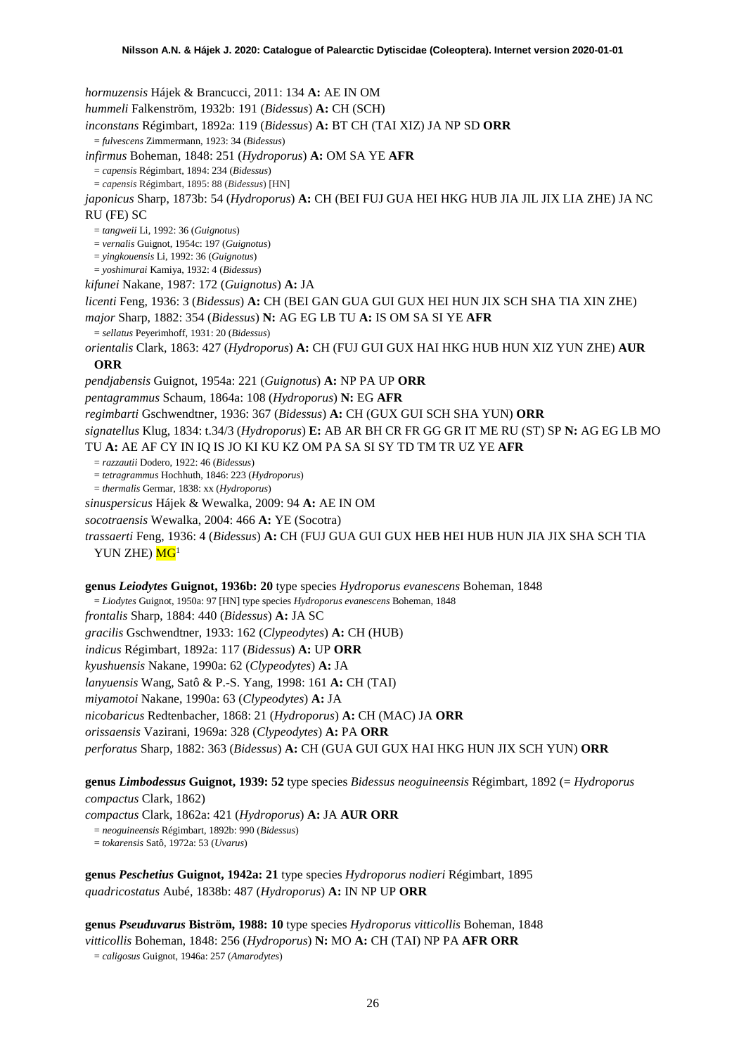*hormuzensis* Hájek & Brancucci, 2011: 134 **A:** AE IN OM *hummeli* Falkenström, 1932b: 191 (*Bidessus*) **A:** CH (SCH) *inconstans* Régimbart, 1892a: 119 (*Bidessus*) **A:** BT CH (TAI XIZ) JA NP SD **ORR** = *fulvescens* Zimmermann, 1923: 34 (*Bidessus*) *infirmus* Boheman, 1848: 251 (*Hydroporus*) **A:** OM SA YE **AFR** = *capensis* Régimbart, 1894: 234 (*Bidessus*) = *capensis* Régimbart, 1895: 88 (*Bidessus*) [HN] *japonicus* Sharp, 1873b: 54 (*Hydroporus*) **A:** CH (BEI FUJ GUA HEI HKG HUB JIA JIL JIX LIA ZHE) JA NC RU (FE) SC = *tangweii* Li, 1992: 36 (*Guignotus*) = *vernalis* Guignot, 1954c: 197 (*Guignotus*) = *yingkouensis* Li, 1992: 36 (*Guignotus*) = *yoshimurai* Kamiya, 1932: 4 (*Bidessus*) *kifunei* Nakane, 1987: 172 (*Guignotus*) **A:** JA *licenti* Feng, 1936: 3 (*Bidessus*) **A:** CH (BEI GAN GUA GUI GUX HEI HUN JIX SCH SHA TIA XIN ZHE) *major* Sharp, 1882: 354 (*Bidessus*) **N:** AG EG LB TU **A:** IS OM SA SI YE **AFR** = *sellatus* Peyerimhoff, 1931: 20 (*Bidessus*) *orientalis* Clark, 1863: 427 (*Hydroporus*) **A:** CH (FUJ GUI GUX HAI HKG HUB HUN XIZ YUN ZHE) **AUR ORR** *pendjabensis* Guignot, 1954a: 221 (*Guignotus*) **A:** NP PA UP **ORR** *pentagrammus* Schaum, 1864a: 108 (*Hydroporus*) **N:** EG **AFR** *regimbarti* Gschwendtner, 1936: 367 (*Bidessus*) **A:** CH (GUX GUI SCH SHA YUN) **ORR** *signatellus* Klug, 1834: t.34/3 (*Hydroporus*) **E:** AB AR BH CR FR GG GR IT ME RU (ST) SP **N:** AG EG LB MO TU **A:** AE AF CY IN IQ IS JO KI KU KZ OM PA SA SI SY TD TM TR UZ YE **AFR**  = *razzautii* Dodero, 1922: 46 (*Bidessus*) = *tetragrammus* Hochhuth, 1846: 223 (*Hydroporus*) = *thermalis* Germar, 1838: xx (*Hydroporus*) *sinuspersicus* Hájek & Wewalka, 2009: 94 **A:** AE IN OM *socotraensis* Wewalka, 2004: 466 **A:** YE (Socotra) *trassaerti* Feng, 1936: 4 (*Bidessus*) **A:** CH (FUJ GUA GUI GUX HEB HEI HUB HUN JIA JIX SHA SCH TIA YUN ZHE)  $MG<sup>1</sup>$ **genus** *Leiodytes* **Guignot, 1936b: 20** type species *Hydroporus evanescens* Boheman, 1848 = *Liodytes* Guignot, 1950a: 97 [HN] type species *Hydroporus evanescens* Boheman, 1848 *frontalis* Sharp, 1884: 440 (*Bidessus*) **A:** JA SC *gracilis* Gschwendtner, 1933: 162 (*Clypeodytes*) **A:** CH (HUB) *indicus* Régimbart, 1892a: 117 (*Bidessus*) **A:** UP **ORR** *kyushuensis* Nakane, 1990a: 62 (*Clypeodytes*) **A:** JA *lanyuensis* Wang, Satô & P.-S. Yang, 1998: 161 **A:** CH (TAI) *miyamotoi* Nakane, 1990a: 63 (*Clypeodytes*) **A:** JA *nicobaricus* Redtenbacher, 1868: 21 (*Hydroporus*) **A:** CH (MAC) JA **ORR** *orissaensis* Vazirani, 1969a: 328 (*Clypeodytes*) **A:** PA **ORR** *perforatus* Sharp, 1882: 363 (*Bidessus*) **A:** CH (GUA GUI GUX HAI HKG HUN JIX SCH YUN) **ORR**

**genus** *Limbodessus* **Guignot, 1939: 52** type species *Bidessus neoguineensis* Régimbart, 1892 (= *Hydroporus compactus* Clark, 1862)

*compactus* Clark, 1862a: 421 (*Hydroporus*) **A:** JA **AUR ORR**

= *neoguineensis* Régimbart, 1892b: 990 (*Bidessus*)

= *tokarensis* Satô, 1972a: 53 (*Uvarus*)

**genus** *Peschetius* **Guignot, 1942a: 21** type species *Hydroporus nodieri* Régimbart, 1895 *quadricostatus* Aubé, 1838b: 487 (*Hydroporus*) **A:** IN NP UP **ORR**

**genus** *Pseuduvarus* **Biström, 1988: 10** type species *Hydroporus vitticollis* Boheman, 1848 *vitticollis* Boheman, 1848: 256 (*Hydroporus*) **N:** MO **A:** CH (TAI) NP PA **AFR ORR** = *caligosus* Guignot, 1946a: 257 (*Amarodytes*)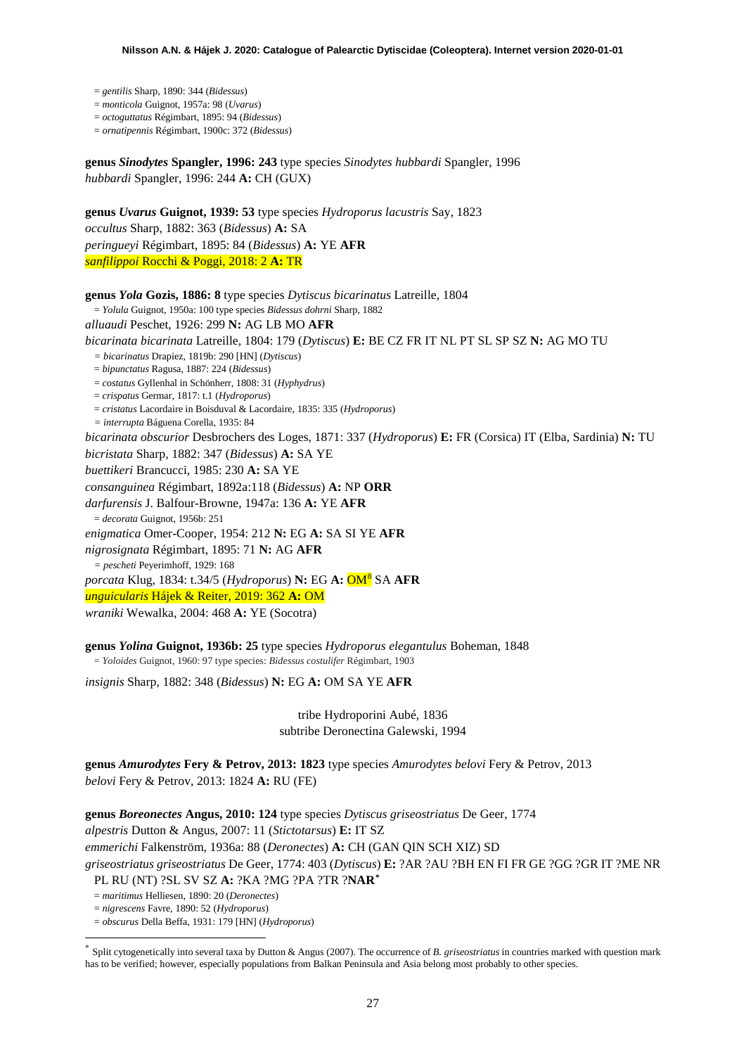- = *gentilis* Sharp, 1890: 344 (*Bidessus*)
- = *monticola* Guignot, 1957a: 98 (*Uvarus*)

= *octoguttatus* Régimbart, 1895: 94 (*Bidessus*)

= *ornatipennis* Régimbart, 1900c: 372 (*Bidessus*)

**genus** *Sinodytes* **Spangler, 1996: 243** type species *Sinodytes hubbardi* Spangler, 1996 *hubbardi* Spangler, 1996: 244 **A:** CH (GUX)

**genus** *Uvarus* **Guignot, 1939: 53** type species *Hydroporus lacustris* Say, 1823 *occultus* Sharp, 1882: 363 (*Bidessus*) **A:** SA *peringueyi* Régimbart, 1895: 84 (*Bidessus*) **A:** YE **AFR** *sanfilippoi* Rocchi & Poggi, 2018: 2 **A:** TR

**genus** *Yola* **Gozis, 1886: 8** type species *Dytiscus bicarinatus* Latreille, 1804 = *Yolula* Guignot, 1950a: 100 type species *Bidessus dohrni* Sharp, 1882 *alluaudi* Peschet, 1926: 299 **N:** AG LB MO **AFR** *bicarinata bicarinata* Latreille, 1804: 179 (*Dytiscus*) **E:** BE CZ FR IT NL PT SL SP SZ **N:** AG MO TU *= bicarinatus* Drapiez, 1819b: 290 [HN] (*Dytiscus*) = *bipunctatus* Ragusa, 1887: 224 (*Bidessus*) = *costatus* Gyllenhal in Schönherr, 1808: 31 (*Hyphydrus*) = *crispatus* Germar, 1817: t.1 (*Hydroporus*) = *cristatus* Lacordaire in Boisduval & Lacordaire, 1835: 335 (*Hydroporus*) *= interrupta* Báguena Corella, 1935: 84 *bicarinata obscurior* Desbrochers des Loges, 1871: 337 (*Hydroporus*) **E:** FR (Corsica) IT (Elba, Sardinia) **N:** TU *bicristata* Sharp, 1882: 347 (*Bidessus*) **A:** SA YE *buettikeri* Brancucci, 1985: 230 **A:** SA YE *consanguinea* Régimbart, 1892a:118 (*Bidessus*) **A:** NP **ORR** *darfurensis* J. Balfour-Browne, 1947a: 136 **A:** YE **AFR** = *decorata* Guignot, 1956b: 251 *enigmatica* Omer-Cooper, 1954: 212 **N:** EG **A:** SA SI YE **AFR** *nigrosignata* Régimbart, 1895: 71 **N:** AG **AFR** *= pescheti* Peyerimhoff, 1929: 168 *porcata* Klug, 1834: t.34/5 (*Hydroporus*) **N:** EG **A:** OM[8](#page-52-7) SA **AFR** *unguicularis* Hájek & Reiter, 2019: 362 **A:** OM *wraniki* Wewalka, 2004: 468 **A:** YE (Socotra)

**genus** *Yolina* **Guignot, 1936b: 25** type species *Hydroporus elegantulus* Boheman, 1848 = *Yoloides* Guignot, 1960: 97 type species: *Bidessus costulifer* Régimbart, 1903

*insignis* Sharp, 1882: 348 (*Bidessus*) **N:** EG **A:** OM SA YE **AFR**

tribe Hydroporini Aubé, 1836 subtribe Deronectina Galewski, 1994

**genus** *Amurodytes* **Fery & Petrov, 2013: 1823** type species *Amurodytes belovi* Fery & Petrov, 2013 *belovi* Fery & Petrov, 2013: 1824 **A:** RU (FE)

**genus** *Boreonectes* **Angus, 2010: 124** type species *Dytiscus griseostriatus* De Geer, 1774 *alpestris* Dutton & Angus, 2007: 11 (*Stictotarsus*) **E:** IT SZ *emmerichi* Falkenström, 1936a: 88 (*Deronectes*) **A:** CH (GAN QIN SCH XIZ) SD *griseostriatus griseostriatus* De Geer, 1774: 403 (*Dytiscus*) **E:** ?AR ?AU ?BH EN FI FR GE ?GG ?GR IT ?ME NR PL RU (NT) ?SL SV SZ **A:** ?KA ?MG ?PA ?TR ?**NAR[\\*](#page-26-0)**

= *maritimus* Helliesen, 1890: 20 (*Deronectes*)

= *nigrescens* Favre, 1890: 52 (*Hydroporus*)

= *obscurus* Della Beffa, 1931: 179 [HN] (*Hydroporus*)

<span id="page-26-0"></span>Split cytogenetically into several taxa by Dutton & Angus (2007). The occurrence of *B. griseostriatus* in countries marked with question mark has to be verified; however, especially populations from Balkan Peninsula and Asia belong most probably to other species.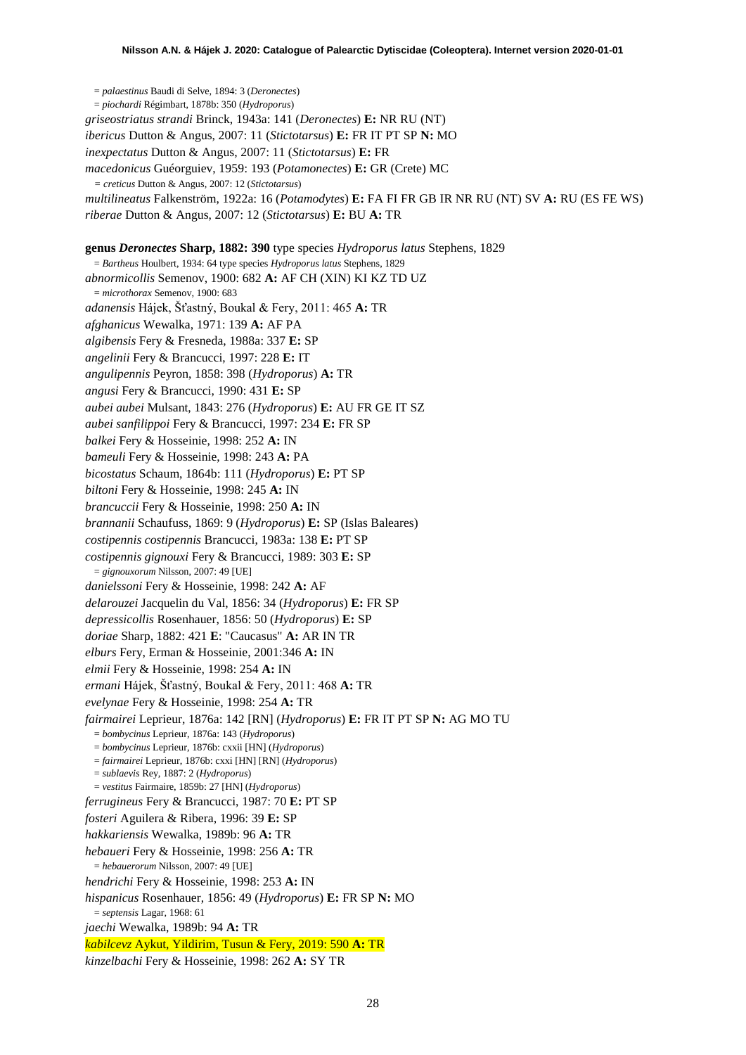= *palaestinus* Baudi di Selve, 1894: 3 (*Deronectes*) = *piochardi* Régimbart, 1878b: 350 (*Hydroporus*) *griseostriatus strandi* Brinck, 1943a: 141 (*Deronectes*) **E:** NR RU (NT) *ibericus* Dutton & Angus, 2007: 11 (*Stictotarsus*) **E:** FR IT PT SP **N:** MO *inexpectatus* Dutton & Angus, 2007: 11 (*Stictotarsus*) **E:** FR *macedonicus* Guéorguiev, 1959: 193 (*Potamonectes*) **E:** GR (Crete) MC *= creticus* Dutton & Angus, 2007: 12 (*Stictotarsus*) *multilineatus* Falkenström, 1922a: 16 (*Potamodytes*) **E:** FA FI FR GB IR NR RU (NT) SV **A:** RU (ES FE WS) *riberae* Dutton & Angus, 2007: 12 (*Stictotarsus*) **E:** BU **A:** TR **genus** *Deronectes* **Sharp, 1882: 390** type species *Hydroporus latus* Stephens, 1829 = *Bartheus* Houlbert, 1934: 64 type species *Hydroporus latus* Stephens, 1829 *abnormicollis* Semenov, 1900: 682 **A:** AF CH (XIN) KI KZ TD UZ = *microthorax* Semenov, 1900: 683 *adanensis* Hájek, Šťastný, Boukal & Fery, 2011: 465 **A:** TR *afghanicus* Wewalka, 1971: 139 **A:** AF PA *algibensis* Fery & Fresneda, 1988a: 337 **E:** SP *angelinii* Fery & Brancucci, 1997: 228 **E:** IT *angulipennis* Peyron, 1858: 398 (*Hydroporus*) **A:** TR *angusi* Fery & Brancucci, 1990: 431 **E:** SP *aubei aubei* Mulsant, 1843: 276 (*Hydroporus*) **E:** AU FR GE IT SZ *aubei sanfilippoi* Fery & Brancucci, 1997: 234 **E:** FR SP *balkei* Fery & Hosseinie, 1998: 252 **A:** IN *bameuli* Fery & Hosseinie, 1998: 243 **A:** PA *bicostatus* Schaum, 1864b: 111 (*Hydroporus*) **E:** PT SP *biltoni* Fery & Hosseinie, 1998: 245 **A:** IN *brancuccii* Fery & Hosseinie, 1998: 250 **A:** IN *brannanii* Schaufuss, 1869: 9 (*Hydroporus*) **E:** SP (Islas Baleares) *costipennis costipennis* Brancucci, 1983a: 138 **E:** PT SP *costipennis gignouxi* Fery & Brancucci, 1989: 303 **E:** SP = *gignouxorum* Nilsson, 2007: 49 [UE] *danielssoni* Fery & Hosseinie, 1998: 242 **A:** AF *delarouzei* Jacquelin du Val, 1856: 34 (*Hydroporus*) **E:** FR SP *depressicollis* Rosenhauer, 1856: 50 (*Hydroporus*) **E:** SP *doriae* Sharp, 1882: 421 **E**: "Caucasus" **A:** AR IN TR *elburs* Fery, Erman & Hosseinie, 2001:346 **A:** IN *elmii* Fery & Hosseinie, 1998: 254 **A:** IN *ermani* Hájek, Šťastný, Boukal & Fery, 2011: 468 **A:** TR *evelynae* Fery & Hosseinie, 1998: 254 **A:** TR *fairmairei* Leprieur, 1876a: 142 [RN] (*Hydroporus*) **E:** FR IT PT SP **N:** AG MO TU = *bombycinus* Leprieur, 1876a: 143 (*Hydroporus*) = *bombycinus* Leprieur, 1876b: cxxii [HN] (*Hydroporus*) = *fairmairei* Leprieur, 1876b: cxxi [HN] [RN] (*Hydroporus*) = *sublaevis* Rey, 1887: 2 (*Hydroporus*) = *vestitus* Fairmaire, 1859b: 27 [HN] (*Hydroporus*) *ferrugineus* Fery & Brancucci, 1987: 70 **E:** PT SP *fosteri* Aguilera & Ribera, 1996: 39 **E:** SP *hakkariensis* Wewalka, 1989b: 96 **A:** TR *hebaueri* Fery & Hosseinie, 1998: 256 **A:** TR = *hebauerorum* Nilsson, 2007: 49 [UE] *hendrichi* Fery & Hosseinie, 1998: 253 **A:** IN *hispanicus* Rosenhauer, 1856: 49 (*Hydroporus*) **E:** FR SP **N:** MO = *septensis* Lagar, 1968: 61 *jaechi* Wewalka, 1989b: 94 **A:** TR *kabilcevz* Aykut, Yildirim, Tusun & Fery, 2019: 590 **A:** TR *kinzelbachi* Fery & Hosseinie, 1998: 262 **A:** SY TR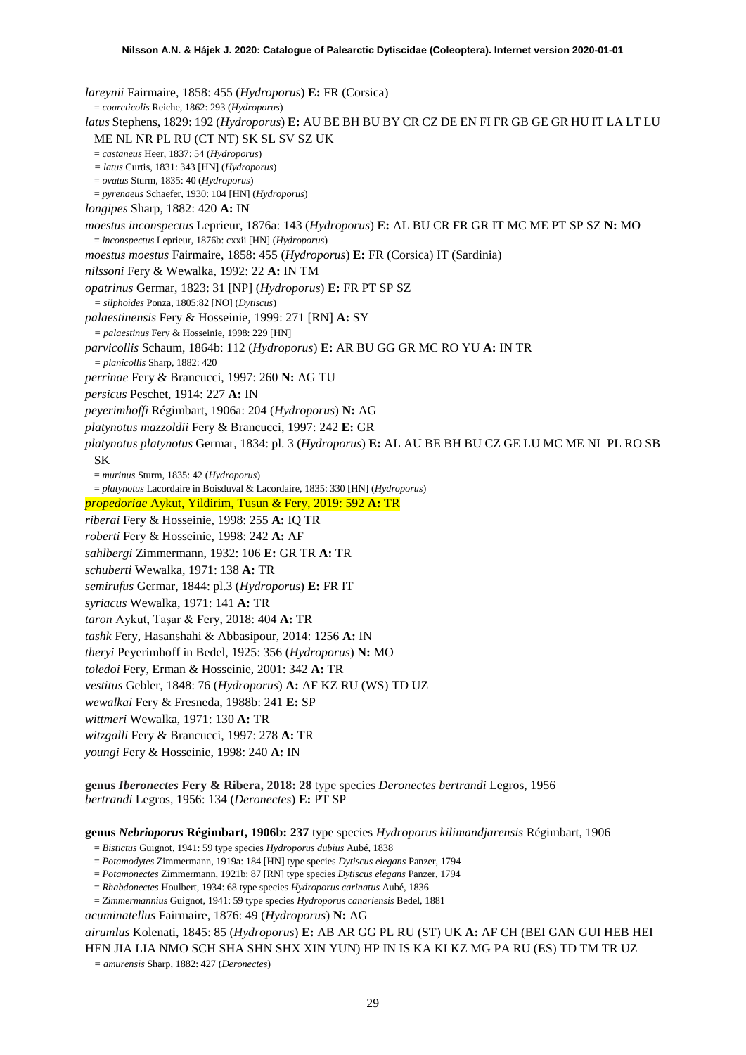*lareynii* Fairmaire, 1858: 455 (*Hydroporus*) **E:** FR (Corsica) = *coarcticolis* Reiche, 1862: 293 (*Hydroporus*) *latus* Stephens, 1829: 192 (*Hydroporus*) **E:** AU BE BH BU BY CR CZ DE EN FI FR GB GE GR HU IT LA LT LU ME NL NR PL RU (CT NT) SK SL SV SZ UK = *castaneus* Heer, 1837: 54 (*Hydroporus*) *= latus* Curtis, 1831: 343 [HN] (*Hydroporus*) = *ovatus* Sturm, 1835: 40 (*Hydroporus*) = *pyrenaeus* Schaefer, 1930: 104 [HN] (*Hydroporus*) *longipes* Sharp, 1882: 420 **A:** IN *moestus inconspectus* Leprieur, 1876a: 143 (*Hydroporus*) **E:** AL BU CR FR GR IT MC ME PT SP SZ **N:** MO = *inconspectus* Leprieur, 1876b: cxxii [HN] (*Hydroporus*) *moestus moestus* Fairmaire, 1858: 455 (*Hydroporus*) **E:** FR (Corsica) IT (Sardinia) *nilssoni* Fery & Wewalka, 1992: 22 **A:** IN TM *opatrinus* Germar, 1823: 31 [NP] (*Hydroporus*) **E:** FR PT SP SZ *= silphoides* Ponza, 1805:82 [NO] (*Dytiscus*) *palaestinensis* Fery & Hosseinie, 1999: 271 [RN] **A:** SY *= palaestinus* Fery & Hosseinie, 1998: 229 [HN] *parvicollis* Schaum, 1864b: 112 (*Hydroporus*) **E:** AR BU GG GR MC RO YU **A:** IN TR *= planicollis* Sharp, 1882: 420 *perrinae* Fery & Brancucci, 1997: 260 **N:** AG TU *persicus* Peschet, 1914: 227 **A:** IN *peyerimhoffi* Régimbart, 1906a: 204 (*Hydroporus*) **N:** AG *platynotus mazzoldii* Fery & Brancucci, 1997: 242 **E:** GR *platynotus platynotus* Germar, 1834: pl. 3 (*Hydroporus*) **E:** AL AU BE BH BU CZ GE LU MC ME NL PL RO SB SK = *murinus* Sturm, 1835: 42 (*Hydroporus*) = *platynotus* Lacordaire in Boisduval & Lacordaire, 1835: 330 [HN] (*Hydroporus*) *propedoriae* Aykut, Yildirim, Tusun & Fery, 2019: 592 **A:** TR *riberai* Fery & Hosseinie, 1998: 255 **A:** IQ TR *roberti* Fery & Hosseinie, 1998: 242 **A:** AF *sahlbergi* Zimmermann, 1932: 106 **E:** GR TR **A:** TR *schuberti* Wewalka, 1971: 138 **A:** TR *semirufus* Germar, 1844: pl.3 (*Hydroporus*) **E:** FR IT *syriacus* Wewalka, 1971: 141 **A:** TR *taron* Aykut, Taşar & Fery, 2018: 404 **A:** TR *tashk* Fery, Hasanshahi & Abbasipour, 2014: 1256 **A:** IN *theryi* Peyerimhoff in Bedel, 1925: 356 (*Hydroporus*) **N:** MO *toledoi* Fery, Erman & Hosseinie, 2001: 342 **A:** TR *vestitus* Gebler, 1848: 76 (*Hydroporus*) **A:** AF KZ RU (WS) TD UZ *wewalkai* Fery & Fresneda, 1988b: 241 **E:** SP *wittmeri* Wewalka, 1971: 130 **A:** TR *witzgalli* Fery & Brancucci, 1997: 278 **A:** TR *youngi* Fery & Hosseinie, 1998: 240 **A:** IN **genus** *Iberonectes* **Fery & Ribera, 2018: 28** type species *Deronectes bertrandi* Legros, 1956 *bertrandi* Legros, 1956: 134 (*Deronectes*) **E:** PT SP

**genus** *Nebrioporus* **Régimbart, 1906b: 237** type species *Hydroporus kilimandjarensis* Régimbart, 1906

- = *Bistictus* Guignot, 1941: 59 type species *Hydroporus dubius* Aubé, 1838
- = *Potamodytes* Zimmermann, 1919a: 184 [HN] type species *Dytiscus elegans* Panzer, 1794
- = *Potamonectes* Zimmermann, 1921b: 87 [RN] type species *Dytiscus elegans* Panzer, 1794
- = *Rhabdonectes* Houlbert, 1934: 68 type species *Hydroporus carinatus* Aubé, 1836
- = *Zimmermannius* Guignot, 1941: 59 type species *Hydroporus canariensis* Bedel, 1881

*acuminatellus* Fairmaire, 1876: 49 (*Hydroporus*) **N:** AG

*airumlus* Kolenati, 1845: 85 (*Hydroporus*) **E:** AB AR GG PL RU (ST) UK **A:** AF CH (BEI GAN GUI HEB HEI HEN JIA LIA NMO SCH SHA SHN SHX XIN YUN) HP IN IS KA KI KZ MG PA RU (ES) TD TM TR UZ

*= amurensis* Sharp, 1882: 427 (*Deronectes*)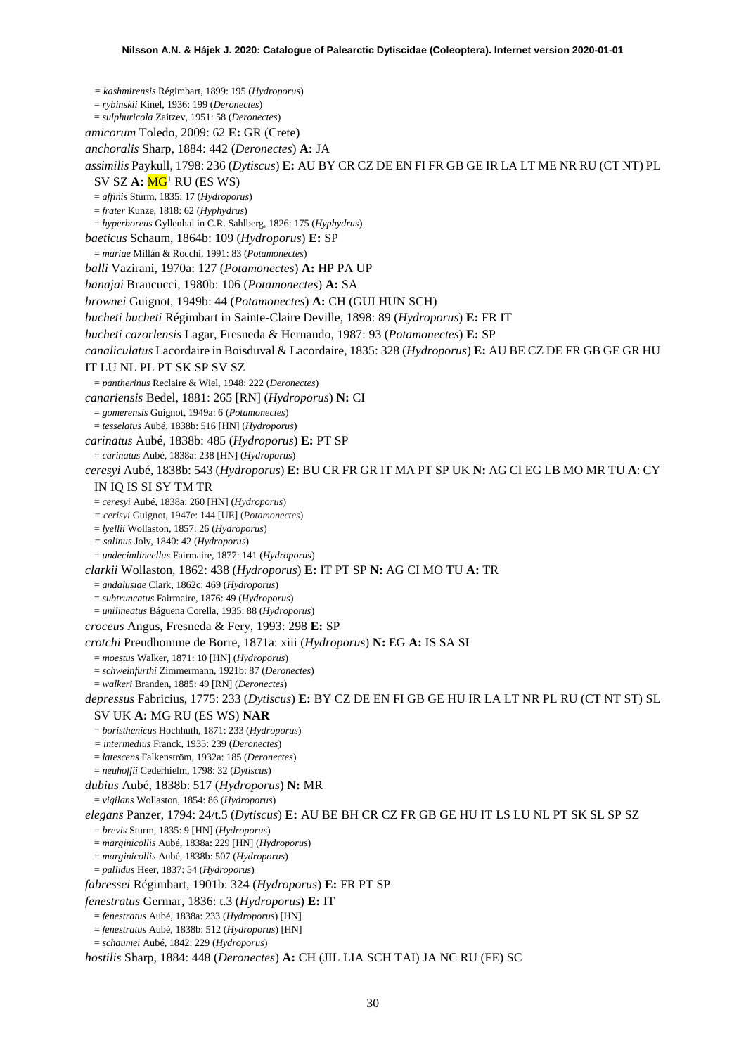*= kashmirensis* Régimbart, 1899: 195 (*Hydroporus*) = *rybinskii* Kinel, 1936: 199 (*Deronectes*) = *sulphuricola* Zaitzev, 1951: 58 (*Deronectes*) *amicorum* Toledo, 2009: 62 **E:** GR (Crete) *anchoralis* Sharp, 1884: 442 (*Deronectes*) **A:** JA *assimilis* Paykull, 1798: 236 (*Dytiscus*) **E:** AU BY CR CZ DE EN FI FR GB GE IR LA LT ME NR RU (CT NT) PL SV SZ A:  $MG<sup>1</sup>$  RU (ES WS) = *affinis* Sturm, 1835: 17 (*Hydroporus*) = *frater* Kunze, 1818: 62 (*Hyphydrus*) = *hyperboreus* Gyllenhal in C.R. Sahlberg, 1826: 175 (*Hyphydrus*) *baeticus* Schaum, 1864b: 109 (*Hydroporus*) **E:** SP = *mariae* Millán & Rocchi, 1991: 83 (*Potamonectes*) *balli* Vazirani, 1970a: 127 (*Potamonectes*) **A:** HP PA UP *banajai* Brancucci, 1980b: 106 (*Potamonectes*) **A:** SA *brownei* Guignot, 1949b: 44 (*Potamonectes*) **A:** CH (GUI HUN SCH) *bucheti bucheti* Régimbart in Sainte-Claire Deville, 1898: 89 (*Hydroporus*) **E:** FR IT *bucheti cazorlensis* Lagar, Fresneda & Hernando, 1987: 93 (*Potamonectes*) **E:** SP *canaliculatus* Lacordaire in Boisduval & Lacordaire, 1835: 328 (*Hydroporus*) **E:** AU BE CZ DE FR GB GE GR HU IT LU NL PL PT SK SP SV SZ = *pantherinus* Reclaire & Wiel, 1948: 222 (*Deronectes*) *canariensis* Bedel, 1881: 265 [RN] (*Hydroporus*) **N:** CI = *gomerensis* Guignot, 1949a: 6 (*Potamonectes*) = *tesselatus* Aubé, 1838b: 516 [HN] (*Hydroporus*) *carinatus* Aubé, 1838b: 485 (*Hydroporus*) **E:** PT SP = *carinatus* Aubé, 1838a: 238 [HN] (*Hydroporus*) *ceresyi* Aubé, 1838b: 543 (*Hydroporus*) **E:** BU CR FR GR IT MA PT SP UK **N:** AG CI EG LB MO MR TU **A**: CY IN IQ IS SI SY TM TR = *ceresyi* Aubé, 1838a: 260 [HN] (*Hydroporus*) *= cerisyi* Guignot, 1947e: 144 [UE] (*Potamonectes*) = *lyellii* Wollaston, 1857: 26 (*Hydroporus*) *= salinus* Joly, 1840: 42 (*Hydroporus*) = *undecimlineellus* Fairmaire, 1877: 141 (*Hydroporus*) *clarkii* Wollaston, 1862: 438 (*Hydroporus*) **E:** IT PT SP **N:** AG CI MO TU **A:** TR = *andalusiae* Clark, 1862c: 469 (*Hydroporus*) = *subtruncatus* Fairmaire, 1876: 49 (*Hydroporus*) = *unilineatus* Báguena Corella, 1935: 88 (*Hydroporus*) *croceus* Angus, Fresneda & Fery, 1993: 298 **E:** SP *crotchi* Preudhomme de Borre, 1871a: xiii (*Hydroporus*) **N:** EG **A:** IS SA SI = *moestus* Walker, 1871: 10 [HN] (*Hydroporus*) = *schweinfurthi* Zimmermann, 1921b: 87 (*Deronectes*) = *walkeri* Branden, 1885: 49 [RN] (*Deronectes*) *depressus* Fabricius, 1775: 233 (*Dytiscus*) **E:** BY CZ DE EN FI GB GE HU IR LA LT NR PL RU (CT NT ST) SL SV UK **A:** MG RU (ES WS) **NAR** = *boristhenicus* Hochhuth, 1871: 233 (*Hydroporus*) *= intermedius* Franck, 1935: 239 (*Deronectes*) = *latescens* Falkenström, 1932a: 185 (*Deronectes*) = *neuhoffii* Cederhielm, 1798: 32 (*Dytiscus*) *dubius* Aubé, 1838b: 517 (*Hydroporus*) **N:** MR = *vigilans* Wollaston, 1854: 86 (*Hydroporus*) *elegans* Panzer, 1794: 24/t.5 (*Dytiscus*) **E:** AU BE BH CR CZ FR GB GE HU IT LS LU NL PT SK SL SP SZ = *brevis* Sturm, 1835: 9 [HN] (*Hydroporus*) = *marginicollis* Aubé, 1838a: 229 [HN] (*Hydroporus*) = *marginicollis* Aubé, 1838b: 507 (*Hydroporus*) = *pallidus* Heer, 1837: 54 (*Hydroporus*) *fabressei* Régimbart, 1901b: 324 (*Hydroporus*) **E:** FR PT SP *fenestratus* Germar, 1836: t.3 (*Hydroporus*) **E:** IT = *fenestratus* Aubé, 1838a: 233 (*Hydroporus*) [HN] = *fenestratus* Aubé, 1838b: 512 (*Hydroporus*) [HN] = *schaumei* Aubé, 1842: 229 (*Hydroporus*) *hostilis* Sharp, 1884: 448 (*Deronectes*) **A:** CH (JIL LIA SCH TAI) JA NC RU (FE) SC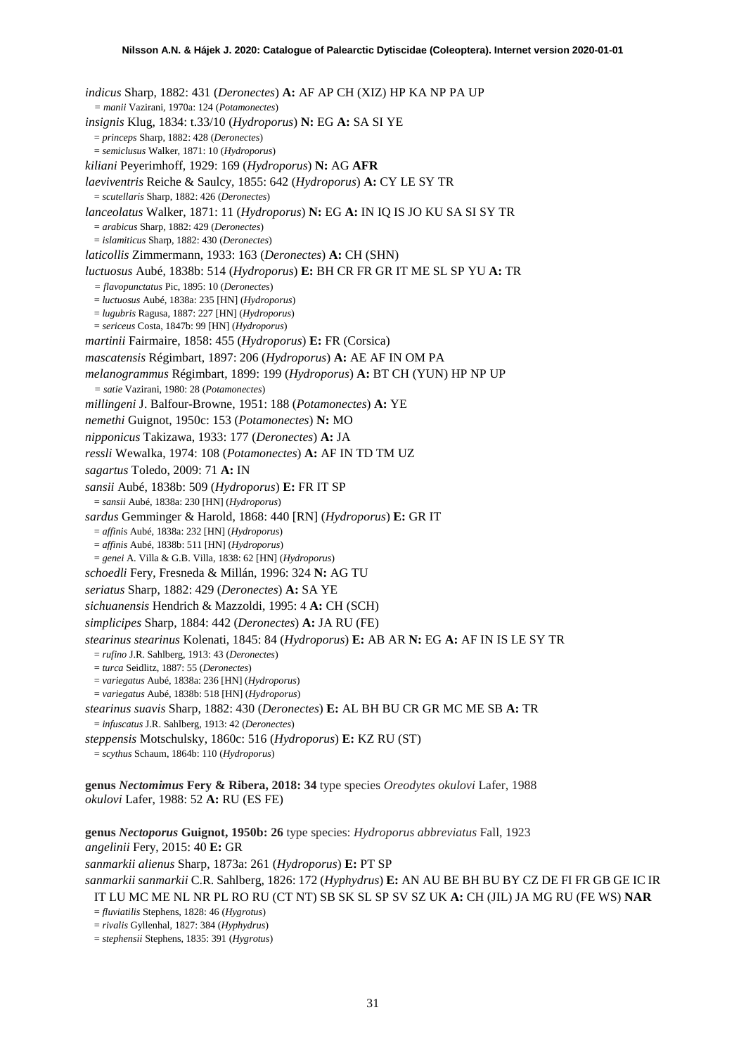*indicus* Sharp, 1882: 431 (*Deronectes*) **A:** AF AP CH (XIZ) HP KA NP PA UP *= manii* Vazirani, 1970a: 124 (*Potamonectes*) *insignis* Klug, 1834: t.33/10 (*Hydroporus*) **N:** EG **A:** SA SI YE = *princeps* Sharp, 1882: 428 (*Deronectes*) = *semiclusus* Walker, 1871: 10 (*Hydroporus*) *kiliani* Peyerimhoff, 1929: 169 (*Hydroporus*) **N:** AG **AFR** *laeviventris* Reiche & Saulcy, 1855: 642 (*Hydroporus*) **A:** CY LE SY TR = *scutellaris* Sharp, 1882: 426 (*Deronectes*) *lanceolatus* Walker, 1871: 11 (*Hydroporus*) **N:** EG **A:** IN IQ IS JO KU SA SI SY TR = *arabicus* Sharp, 1882: 429 (*Deronectes*) = *islamiticus* Sharp, 1882: 430 (*Deronectes*) *laticollis* Zimmermann, 1933: 163 (*Deronectes*) **A:** CH (SHN) *luctuosus* Aubé, 1838b: 514 (*Hydroporus*) **E:** BH CR FR GR IT ME SL SP YU **A:** TR *= flavopunctatus* Pic, 1895: 10 (*Deronectes*) = *luctuosus* Aubé, 1838a: 235 [HN] (*Hydroporus*) = *lugubris* Ragusa, 1887: 227 [HN] (*Hydroporus*) = *sericeus* Costa, 1847b: 99 [HN] (*Hydroporus*) *martinii* Fairmaire, 1858: 455 (*Hydroporus*) **E:** FR (Corsica) *mascatensis* Régimbart, 1897: 206 (*Hydroporus*) **A:** AE AF IN OM PA *melanogrammus* Régimbart, 1899: 199 (*Hydroporus*) **A:** BT CH (YUN) HP NP UP *= satie* Vazirani, 1980: 28 (*Potamonectes*) *millingeni* J. Balfour-Browne, 1951: 188 (*Potamonectes*) **A:** YE *nemethi* Guignot, 1950c: 153 (*Potamonectes*) **N:** MO *nipponicus* Takizawa, 1933: 177 (*Deronectes*) **A:** JA *ressli* Wewalka, 1974: 108 (*Potamonectes*) **A:** AF IN TD TM UZ *sagartus* Toledo, 2009: 71 **A:** IN *sansii* Aubé, 1838b: 509 (*Hydroporus*) **E:** FR IT SP = *sansii* Aubé, 1838a: 230 [HN] (*Hydroporus*) *sardus* Gemminger & Harold, 1868: 440 [RN] (*Hydroporus*) **E:** GR IT = *affinis* Aubé, 1838a: 232 [HN] (*Hydroporus*) = *affinis* Aubé, 1838b: 511 [HN] (*Hydroporus*) = *genei* A. Villa & G.B. Villa, 1838: 62 [HN] (*Hydroporus*) *schoedli* Fery, Fresneda & Millán, 1996: 324 **N:** AG TU *seriatus* Sharp, 1882: 429 (*Deronectes*) **A:** SA YE *sichuanensis* Hendrich & Mazzoldi, 1995: 4 **A:** CH (SCH) *simplicipes* Sharp, 1884: 442 (*Deronectes*) **A:** JA RU (FE) *stearinus stearinus* Kolenati, 1845: 84 (*Hydroporus*) **E:** AB AR **N:** EG **A:** AF IN IS LE SY TR = *rufino* J.R. Sahlberg, 1913: 43 (*Deronectes*) = *turca* Seidlitz, 1887: 55 (*Deronectes*) = *variegatus* Aubé, 1838a: 236 [HN] (*Hydroporus*) = *variegatus* Aubé, 1838b: 518 [HN] (*Hydroporus*) *stearinus suavis* Sharp, 1882: 430 (*Deronectes*) **E:** AL BH BU CR GR MC ME SB **A:** TR = *infuscatus* J.R. Sahlberg, 1913: 42 (*Deronectes*) *steppensis* Motschulsky, 1860c: 516 (*Hydroporus*) **E:** KZ RU (ST) = *scythus* Schaum, 1864b: 110 (*Hydroporus*) **genus** *Nectomimus* **Fery & Ribera, 2018: 34** type species *Oreodytes okulovi* Lafer, 1988 *okulovi* Lafer, 1988: 52 **A:** RU (ES FE)

**genus** *Nectoporus* **Guignot, 1950b: 26** type species: *Hydroporus abbreviatus* Fall, 1923 *angelinii* Fery, 2015: 40 **E:** GR *sanmarkii alienus* Sharp, 1873a: 261 (*Hydroporus*) **E:** PT SP *sanmarkii sanmarkii* C.R. Sahlberg, 1826: 172 (*Hyphydrus*) **E:** AN AU BE BH BU BY CZ DE FI FR GB GE IC IR

IT LU MC ME NL NR PL RO RU (CT NT) SB SK SL SP SV SZ UK **A:** CH (JIL) JA MG RU (FE WS) **NAR** = *fluviatilis* Stephens, 1828: 46 (*Hygrotus*)

= *rivalis* Gyllenhal, 1827: 384 (*Hyphydrus*)

= *stephensii* Stephens, 1835: 391 (*Hygrotus*)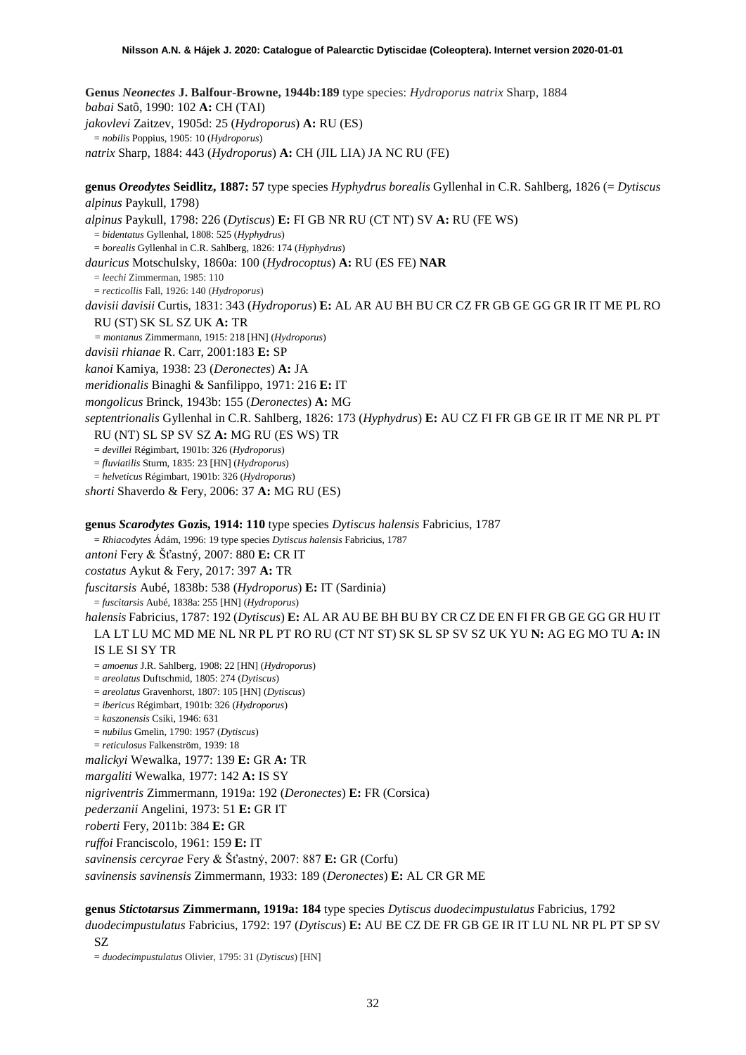**Genus** *Neonectes* **J. Balfour-Browne, 1944b:189** type species: *Hydroporus natrix* Sharp, 1884 *babai* Satô, 1990: 102 **A:** CH (TAI) *jakovlevi* Zaitzev, 1905d: 25 (*Hydroporus*) **A:** RU (ES) = *nobilis* Poppius, 1905: 10 (*Hydroporus*) *natrix* Sharp, 1884: 443 (*Hydroporus*) **A:** CH (JIL LIA) JA NC RU (FE)

**genus** *Oreodytes* **Seidlitz, 1887: 57** type species *Hyphydrus borealis* Gyllenhal in C.R. Sahlberg, 1826 (= *Dytiscus alpinus* Paykull, 1798)

*alpinus* Paykull, 1798: 226 (*Dytiscus*) **E:** FI GB NR RU (CT NT) SV **A:** RU (FE WS)

= *bidentatus* Gyllenhal, 1808: 525 (*Hyphydrus*)

= *borealis* Gyllenhal in C.R. Sahlberg, 1826: 174 (*Hyphydrus*)

- *dauricus* Motschulsky, 1860a: 100 (*Hydrocoptus*) **A:** RU (ES FE) **NAR**
	- = *leechi* Zimmerman, 1985: 110

= *recticollis* Fall, 1926: 140 (*Hydroporus*)

*davisii davisii* Curtis, 1831: 343 (*Hydroporus*) **E:** AL AR AU BH BU CR CZ FR GB GE GG GR IR IT ME PL RO RU (ST) SK SL SZ UK **A:** TR

*= montanus* Zimmermann, 1915: 218 [HN] (*Hydroporus*)

*davisii rhianae* R. Carr, 2001:183 **E:** SP

*kanoi* Kamiya, 1938: 23 (*Deronectes*) **A:** JA

*meridionalis* Binaghi & Sanfilippo, 1971: 216 **E:** IT

*mongolicus* Brinck, 1943b: 155 (*Deronectes*) **A:** MG

*septentrionalis* Gyllenhal in C.R. Sahlberg, 1826: 173 (*Hyphydrus*) **E:** AU CZ FI FR GB GE IR IT ME NR PL PT

RU (NT) SL SP SV SZ **A:** MG RU (ES WS) TR

= *devillei* Régimbart, 1901b: 326 (*Hydroporus*)

= *fluviatilis* Sturm, 1835: 23 [HN] (*Hydroporus*)

= *helveticus* Régimbart, 1901b: 326 (*Hydroporus*)

*shorti* Shaverdo & Fery, 2006: 37 **A:** MG RU (ES)

**genus** *Scarodytes* **Gozis, 1914: 110** type species *Dytiscus halensis* Fabricius, 1787 = *Rhiacodytes* Ádám, 1996: 19 type species *Dytiscus halensis* Fabricius, 1787

*antoni* Fery & Šťastný, 2007: 880 **E:** CR IT

*costatus* Aykut & Fery, 2017: 397 **A:** TR

*fuscitarsis* Aubé, 1838b: 538 (*Hydroporus*) **E:** IT (Sardinia)

= *fuscitarsis* Aubé, 1838a: 255 [HN] (*Hydroporus*)

*halensis* Fabricius, 1787: 192 (*Dytiscus*) **E:** AL AR AU BE BH BU BY CR CZ DE EN FI FR GB GE GG GR HU IT LA LT LU MC MD ME NL NR PL PT RO RU (CT NT ST) SK SL SP SV SZ UK YU **N:** AG EG MO TU **A:** IN IS LE SI SY TR

= *amoenus* J.R. Sahlberg, 1908: 22 [HN] (*Hydroporus*)

= *areolatus* Duftschmid, 1805: 274 (*Dytiscus*)

= *areolatus* Gravenhorst, 1807: 105 [HN] (*Dytiscus*)

= *ibericus* Régimbart, 1901b: 326 (*Hydroporus*)

- = *kaszonensis* Csiki, 1946: 631
- = *nubilus* Gmelin, 1790: 1957 (*Dytiscus*)

= *reticulosus* Falkenström, 1939: 18

*malickyi* Wewalka, 1977: 139 **E:** GR **A:** TR

*margaliti* Wewalka, 1977: 142 **A:** IS SY

*nigriventris* Zimmermann, 1919a: 192 (*Deronectes*) **E:** FR (Corsica)

*pederzanii* Angelini, 1973: 51 **E:** GR IT

*roberti* Fery, 2011b: 384 **E:** GR

*ruffoi* Franciscolo, 1961: 159 **E:** IT

*savinensis cercyrae* Fery & Šťastný, 2007: 887 **E:** GR (Corfu)

*savinensis savinensis* Zimmermann, 1933: 189 (*Deronectes*) **E:** AL CR GR ME

# **genus** *Stictotarsus* **Zimmermann, 1919a: 184** type species *Dytiscus duodecimpustulatus* Fabricius, 1792 *duodecimpustulatus* Fabricius, 1792: 197 (*Dytiscus*) **E:** AU BE CZ DE FR GB GE IR IT LU NL NR PL PT SP SV

SZ

= *duodecimpustulatus* Olivier, 1795: 31 (*Dytiscus*) [HN]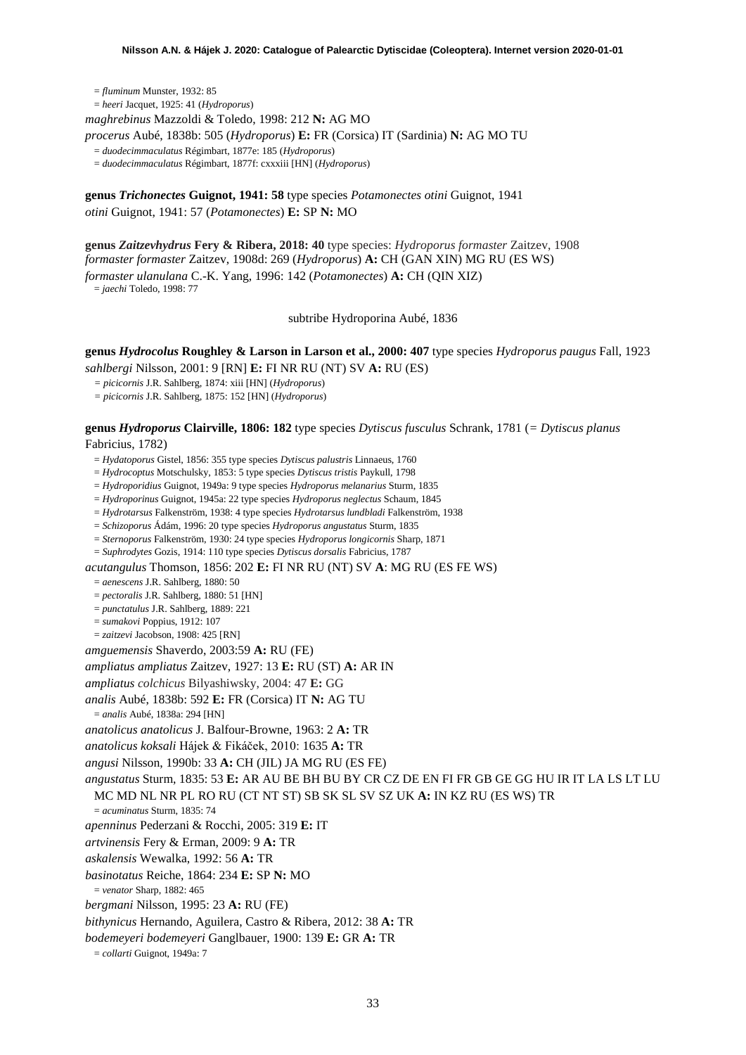= *fluminum* Munster, 1932: 85 = *heeri* Jacquet, 1925: 41 (*Hydroporus*) *maghrebinus* Mazzoldi & Toledo, 1998: 212 **N:** AG MO *procerus* Aubé, 1838b: 505 (*Hydroporus*) **E:** FR (Corsica) IT (Sardinia) **N:** AG MO TU

= *duodecimmaculatus* Régimbart, 1877e: 185 (*Hydroporus*)

= *duodecimmaculatus* Régimbart, 1877f: cxxxiii [HN] (*Hydroporus*)

**genus** *Trichonectes* **Guignot, 1941: 58** type species *Potamonectes otini* Guignot, 1941 *otini* Guignot, 1941: 57 (*Potamonectes*) **E:** SP **N:** MO

**genus** *Zaitzevhydrus* **Fery & Ribera, 2018: 40** type species: *Hydroporus formaster* Zaitzev, 1908 *formaster formaster* Zaitzev, 1908d: 269 (*Hydroporus*) **A:** CH (GAN XIN) MG RU (ES WS) *formaster ulanulana* C.-K. Yang, 1996: 142 (*Potamonectes*) **A:** CH (QIN XIZ)

= *jaechi* Toledo, 1998: 77

subtribe Hydroporina Aubé, 1836

**genus** *Hydrocolus* **Roughley & Larson in Larson et al., 2000: 407** type species *Hydroporus paugus* Fall, 1923 *sahlbergi* Nilsson, 2001: 9 [RN] **E:** FI NR RU (NT) SV **A:** RU (ES)

*= picicornis* J.R. Sahlberg, 1874: xiii [HN] (*Hydroporus*)

*= picicornis* J.R. Sahlberg, 1875: 152 [HN] (*Hydroporus*)

**genus** *Hydroporus* **Clairville, 1806: 182** type species *Dytiscus fusculus* Schrank, 1781 (*= Dytiscus planus* Fabricius, 1782)

= *Hydatoporus* Gistel, 1856: 355 type species *Dytiscus palustris* Linnaeus, 1760

= *Hydrocoptus* Motschulsky, 1853: 5 type species *Dytiscus tristis* Paykull, 1798

= *Hydroporidius* Guignot, 1949a: 9 type species *Hydroporus melanarius* Sturm, 1835

= *Hydroporinus* Guignot, 1945a: 22 type species *Hydroporus neglectus* Schaum, 1845

= *Hydrotarsus* Falkenström, 1938: 4 type species *Hydrotarsus lundbladi* Falkenström, 1938

= *Schizoporus* Ádám, 1996: 20 type species *Hydroporus angustatus* Sturm, 1835

= *Sternoporus* Falkenström, 1930: 24 type species *Hydroporus longicornis* Sharp, 1871

= *Suphrodytes* Gozis, 1914: 110 type species *Dytiscus dorsalis* Fabricius, 1787

*acutangulus* Thomson, 1856: 202 **E:** FI NR RU (NT) SV **A**: MG RU (ES FE WS)

= *aenescens* J.R. Sahlberg, 1880: 50

 $=$  *pectoralis* J.R. Sahlberg, 1880: 51 [HN]

= *punctatulus* J.R. Sahlberg, 1889: 221

= *sumakovi* Poppius, 1912: 107 = *zaitzevi* Jacobson, 1908: 425 [RN]

*amguemensis* Shaverdo, 2003:59 **A:** RU (FE)

*ampliatus ampliatus* Zaitzev, 1927: 13 **E:** RU (ST) **A:** AR IN

*ampliatus colchicus* Bilyashiwsky, 2004: 47 **E:** GG

*analis* Aubé, 1838b: 592 **E:** FR (Corsica) IT **N:** AG TU

= *analis* Aubé, 1838a: 294 [HN]

*anatolicus anatolicus* J. Balfour-Browne, 1963: 2 **A:** TR

*anatolicus koksali* Hájek & Fikáček, 2010: 1635 **A:** TR

*angusi* Nilsson, 1990b: 33 **A:** CH (JIL) JA MG RU (ES FE)

*angustatus* Sturm, 1835: 53 **E:** AR AU BE BH BU BY CR CZ DE EN FI FR GB GE GG HU IR IT LA LS LT LU

MC MD NL NR PL RO RU (CT NT ST) SB SK SL SV SZ UK **A:** IN KZ RU (ES WS) TR

= *acuminatus* Sturm, 1835: 74

*apenninus* Pederzani & Rocchi, 2005: 319 **E:** IT

*artvinensis* Fery & Erman, 2009: 9 **A:** TR

*askalensis* Wewalka, 1992: 56 **A:** TR

*basinotatus* Reiche, 1864: 234 **E:** SP **N:** MO

= *venator* Sharp, 1882: 465

*bergmani* Nilsson, 1995: 23 **A:** RU (FE)

*bithynicus* Hernando, Aguilera, Castro & Ribera, 2012: 38 **A:** TR

*bodemeyeri bodemeyeri* Ganglbauer, 1900: 139 **E:** GR **A:** TR

= *collarti* Guignot, 1949a: 7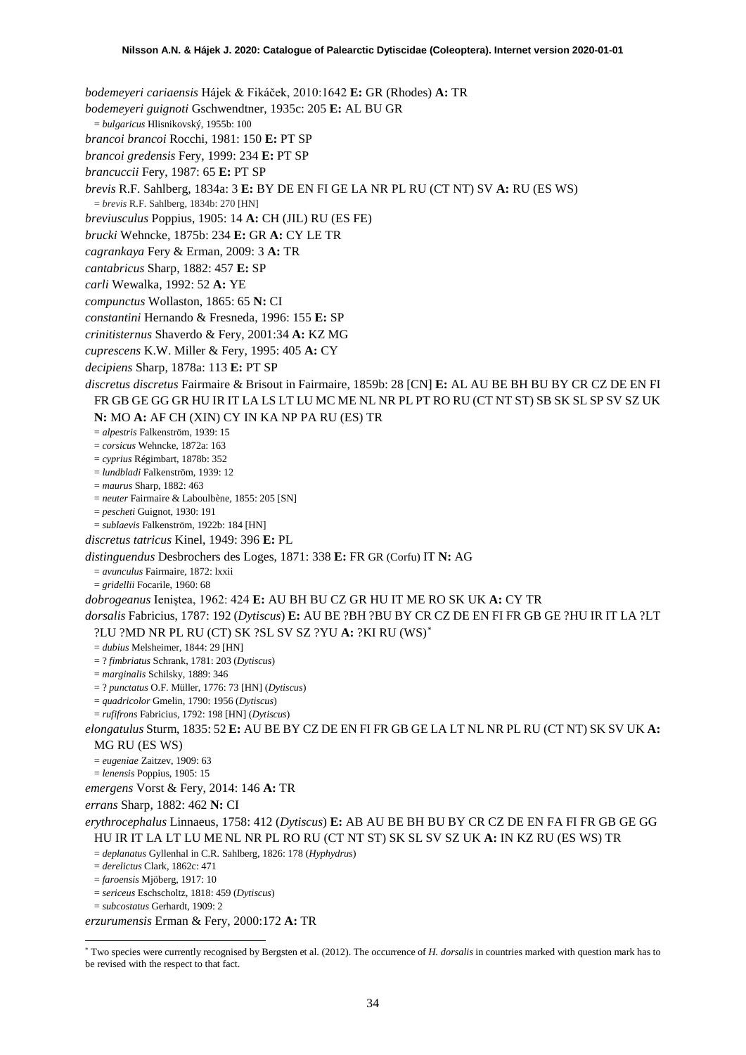*bodemeyeri cariaensis* Hájek & Fikáček, 2010:1642 **E:** GR (Rhodes) **A:** TR *bodemeyeri guignoti* Gschwendtner, 1935c: 205 **E:** AL BU GR = *bulgaricus* Hlisnikovský, 1955b: 100 *brancoi brancoi* Rocchi, 1981: 150 **E:** PT SP *brancoi gredensis* Fery, 1999: 234 **E:** PT SP *brancuccii* Fery, 1987: 65 **E:** PT SP *brevis* R.F. Sahlberg, 1834a: 3 **E:** BY DE EN FI GE LA NR PL RU (CT NT) SV **A:** RU (ES WS) = *brevis* R.F. Sahlberg, 1834b: 270 [HN] *breviusculus* Poppius, 1905: 14 **A:** CH (JIL) RU (ES FE) *brucki* Wehncke, 1875b: 234 **E:** GR **A:** CY LE TR *cagrankaya* Fery & Erman, 2009: 3 **A:** TR *cantabricus* Sharp, 1882: 457 **E:** SP *carli* Wewalka, 1992: 52 **A:** YE *compunctus* Wollaston, 1865: 65 **N:** CI *constantini* Hernando & Fresneda, 1996: 155 **E:** SP *crinitisternus* Shaverdo & Fery, 2001:34 **A:** KZ MG *cuprescens* K.W. Miller & Fery, 1995: 405 **A:** CY *decipiens* Sharp, 1878a: 113 **E:** PT SP *discretus discretus* Fairmaire & Brisout in Fairmaire, 1859b: 28 [CN] **E:** AL AU BE BH BU BY CR CZ DE EN FI FR GB GE GG GR HU IR IT LA LS LT LU MC ME NL NR PL PT RO RU (CT NT ST) SB SK SL SP SV SZ UK **N:** MO **A:** AF CH (XIN) CY IN KA NP PA RU (ES) TR = *alpestris* Falkenström, 1939: 15 = *corsicus* Wehncke, 1872a: 163 = *cyprius* Régimbart, 1878b: 352 = *lundbladi* Falkenström, 1939: 12 = *maurus* Sharp, 1882: 463 = *neuter* Fairmaire & Laboulbène, 1855: 205 [SN] = *pescheti* Guignot, 1930: 191 = *sublaevis* Falkenström, 1922b: 184 [HN] *discretus tatricus* Kinel, 1949: 396 **E:** PL *distinguendus* Desbrochers des Loges, 1871: 338 **E:** FR GR (Corfu) IT **N:** AG = *avunculus* Fairmaire, 1872: lxxii = *gridellii* Focarile, 1960: 68 *dobrogeanus* Ieniştea, 1962: 424 **E:** AU BH BU CZ GR HU IT ME RO SK UK **A:** CY TR *dorsalis* Fabricius, 1787: 192 (*Dytiscus*) **E:** AU BE ?BH ?BU BY CR CZ DE EN FI FR GB GE ?HU IR IT LA ?LT ?LU ?MD NR PL RU (CT) SK ?SL SV SZ ?YU **A:** ?KI RU (WS)[\\*](#page-33-0) = *dubius* Melsheimer, 1844: 29 [HN] = ? *fimbriatus* Schrank, 1781: 203 (*Dytiscus*) = *marginalis* Schilsky, 1889: 346 = ? *punctatus* O.F. Müller, 1776: 73 [HN] (*Dytiscus*) = *quadricolor* Gmelin, 1790: 1956 (*Dytiscus*) = *rufifrons* Fabricius, 1792: 198 [HN] (*Dytiscus*) *elongatulus* Sturm, 1835: 52 **E:** AU BE BY CZ DE EN FI FR GB GE LA LT NL NR PL RU (CT NT) SK SV UK **A:**  MG RU (ES WS) = *eugeniae* Zaitzev, 1909: 63 = *lenensis* Poppius, 1905: 15 *emergens* Vorst & Fery, 2014: 146 **A:** TR *errans* Sharp, 1882: 462 **N:** CI *erythrocephalus* Linnaeus, 1758: 412 (*Dytiscus*) **E:** AB AU BE BH BU BY CR CZ DE EN FA FI FR GB GE GG HU IR IT LA LT LU ME NL NR PL RO RU (CT NT ST) SK SL SV SZ UK **A:** IN KZ RU (ES WS) TR = *deplanatus* Gyllenhal in C.R. Sahlberg, 1826: 178 (*Hyphydrus*) = *derelictus* Clark, 1862c: 471 = *faroensis* Mjöberg, 1917: 10 = *sericeus* Eschscholtz, 1818: 459 (*Dytiscus*) = *subcostatus* Gerhardt, 1909: 2 *erzurumensis* Erman & Fery, 2000:172 **A:** TR

<span id="page-33-0"></span> <sup>\*</sup> Two species were currently recognised by Bergsten et al. (2012). The occurrence of *H. dorsalis* in countries marked with question mark has to be revised with the respect to that fact.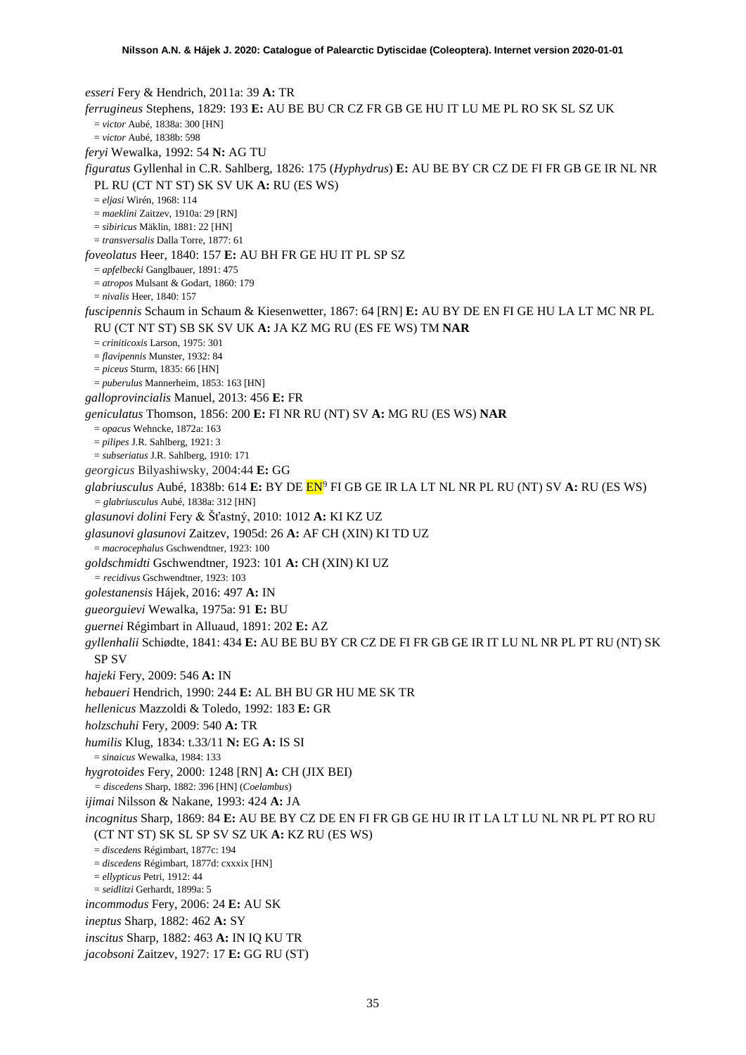*esseri* Fery & Hendrich, 2011a: 39 **A:** TR *ferrugineus* Stephens, 1829: 193 **E:** AU BE BU CR CZ FR GB GE HU IT LU ME PL RO SK SL SZ UK = *victor* Aubé, 1838a: 300 [HN] = *victor* Aubé, 1838b: 598 *feryi* Wewalka, 1992: 54 **N:** AG TU *figuratus* Gyllenhal in C.R. Sahlberg, 1826: 175 (*Hyphydrus*) **E:** AU BE BY CR CZ DE FI FR GB GE IR NL NR PL RU (CT NT ST) SK SV UK **A:** RU (ES WS) = *eljasi* Wirén, 1968: 114 = *maeklini* Zaitzev, 1910a: 29 [RN] = *sibiricus* Mäklin, 1881: 22 [HN] = *transversalis* Dalla Torre, 1877: 61 *foveolatus* Heer, 1840: 157 **E:** AU BH FR GE HU IT PL SP SZ = *apfelbecki* Ganglbauer, 1891: 475 = *atropos* Mulsant & Godart, 1860: 179 = *nivalis* Heer, 1840: 157 *fuscipennis* Schaum in Schaum & Kiesenwetter, 1867: 64 [RN] **E:** AU BY DE EN FI GE HU LA LT MC NR PL RU (CT NT ST) SB SK SV UK **A:** JA KZ MG RU (ES FE WS) TM **NAR** = *criniticoxis* Larson, 1975: 301 = *flavipennis* Munster, 1932: 84 = *piceus* Sturm, 1835: 66 [HN] = *puberulus* Mannerheim, 1853: 163 [HN] *galloprovincialis* Manuel, 2013: 456 **E:** FR *geniculatus* Thomson, 1856: 200 **E:** FI NR RU (NT) SV **A:** MG RU (ES WS) **NAR** = *opacus* Wehncke, 1872a: 163 = *pilipes* J.R. Sahlberg, 1921: 3 = *subseriatus* J.R. Sahlberg, 1910: 171 *georgicus* Bilyashiwsky, 2004:44 **E:** GG *glabriusculus* Aubé, 1838b: 614 **E:** BY DE EN[9](#page-52-8) FI GB GE IR LA LT NL NR PL RU (NT) SV **A:** RU (ES WS) *= glabriusculus* Aubé, 1838a: 312 [HN] *glasunovi dolini* Fery & Šťastný, 2010: 1012 **A:** KI KZ UZ *glasunovi glasunovi* Zaitzev, 1905d: 26 **A:** AF CH (XIN) KI TD UZ = *macrocephalus* Gschwendtner, 1923: 100 *goldschmidti* Gschwendtner, 1923: 101 **A:** CH (XIN) KI UZ *= recidivus* Gschwendtner, 1923: 103 *golestanensis* Hájek, 2016: 497 **A:** IN *gueorguievi* Wewalka, 1975a: 91 **E:** BU *guernei* Régimbart in Alluaud, 1891: 202 **E:** AZ *gyllenhalii* Schiødte, 1841: 434 **E:** AU BE BU BY CR CZ DE FI FR GB GE IR IT LU NL NR PL PT RU (NT) SK SP SV *hajeki* Fery, 2009: 546 **A:** IN *hebaueri* Hendrich, 1990: 244 **E:** AL BH BU GR HU ME SK TR *hellenicus* Mazzoldi & Toledo, 1992: 183 **E:** GR *holzschuhi* Fery, 2009: 540 **A:** TR *humilis* Klug, 1834: t.33/11 **N:** EG **A:** IS SI = *sinaicus* Wewalka, 1984: 133 *hygrotoides* Fery, 2000: 1248 [RN] **A:** CH (JIX BEI) *= discedens* Sharp, 1882: 396 [HN] (*Coelambus*) *ijimai* Nilsson & Nakane, 1993: 424 **A:** JA *incognitus* Sharp, 1869: 84 **E:** AU BE BY CZ DE EN FI FR GB GE HU IR IT LA LT LU NL NR PL PT RO RU (CT NT ST) SK SL SP SV SZ UK **A:** KZ RU (ES WS) = *discedens* Régimbart, 1877c: 194 = *discedens* Régimbart, 1877d: cxxxix [HN] = *ellypticus* Petri, 1912: 44 = *seidlitzi* Gerhardt, 1899a: 5 *incommodus* Fery, 2006: 24 **E:** AU SK *ineptus* Sharp, 1882: 462 **A:** SY *inscitus* Sharp, 1882: 463 **A:** IN IQ KU TR *jacobsoni* Zaitzev, 1927: 17 **E:** GG RU (ST)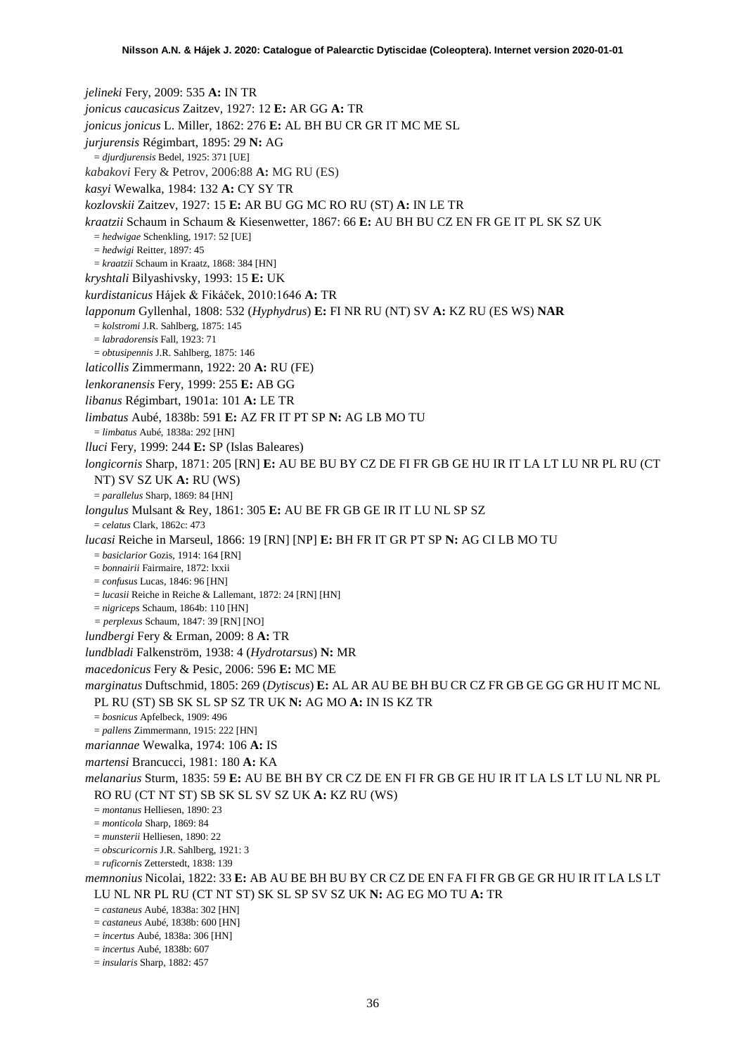*jelineki* Fery, 2009: 535 **A:** IN TR *jonicus caucasicus* Zaitzev, 1927: 12 **E:** AR GG **A:** TR *jonicus jonicus* L. Miller, 1862: 276 **E:** AL BH BU CR GR IT MC ME SL *jurjurensis* Régimbart, 1895: 29 **N:** AG = *djurdjurensis* Bedel, 1925: 371 [UE] *kabakovi* Fery & Petrov, 2006:88 **A:** MG RU (ES) *kasyi* Wewalka, 1984: 132 **A:** CY SY TR *kozlovskii* Zaitzev, 1927: 15 **E:** AR BU GG MC RO RU (ST) **A:** IN LE TR *kraatzii* Schaum in Schaum & Kiesenwetter, 1867: 66 **E:** AU BH BU CZ EN FR GE IT PL SK SZ UK = *hedwigae* Schenkling, 1917: 52 [UE] = *hedwigi* Reitter, 1897: 45 = *kraatzii* Schaum in Kraatz, 1868: 384 [HN] *kryshtali* Bilyashivsky, 1993: 15 **E:** UK *kurdistanicus* Hájek & Fikáček, 2010:1646 **A:** TR *lapponum* Gyllenhal, 1808: 532 (*Hyphydrus*) **E:** FI NR RU (NT) SV **A:** KZ RU (ES WS) **NAR** = *kolstromi* J.R. Sahlberg, 1875: 145 = *labradorensis* Fall, 1923: 71 = *obtusipennis* J.R. Sahlberg, 1875: 146 *laticollis* Zimmermann, 1922: 20 **A:** RU (FE) *lenkoranensis* Fery, 1999: 255 **E:** AB GG *libanus* Régimbart, 1901a: 101 **A:** LE TR *limbatus* Aubé, 1838b: 591 **E:** AZ FR IT PT SP **N:** AG LB MO TU = *limbatus* Aubé, 1838a: 292 [HN] *lluci* Fery, 1999: 244 **E:** SP (Islas Baleares) *longicornis* Sharp, 1871: 205 [RN] **E:** AU BE BU BY CZ DE FI FR GB GE HU IR IT LA LT LU NR PL RU (CT NT) SV SZ UK **A:** RU (WS) = *parallelus* Sharp, 1869: 84 [HN] *longulus* Mulsant & Rey, 1861: 305 **E:** AU BE FR GB GE IR IT LU NL SP SZ = *celatus* Clark, 1862c: 473 *lucasi* Reiche in Marseul, 1866: 19 [RN] [NP] **E:** BH FR IT GR PT SP **N:** AG CI LB MO TU = *basiclarior* Gozis, 1914: 164 [RN] = *bonnairii* Fairmaire, 1872: lxxii = *confusus* Lucas, 1846: 96 [HN]  $=$  *lucasii* Reiche in Reiche & Lallemant, 1872: 24 [RN] [HN] = *nigriceps* Schaum, 1864b: 110 [HN] *= perplexus* Schaum, 1847: 39 [RN] [NO] *lundbergi* Fery & Erman, 2009: 8 **A:** TR *lundbladi* Falkenström, 1938: 4 (*Hydrotarsus*) **N:** MR *macedonicus* Fery & Pesic, 2006: 596 **E:** MC ME *marginatus* Duftschmid, 1805: 269 (*Dytiscus*) **E:** AL AR AU BE BH BU CR CZ FR GB GE GG GR HU IT MC NL PL RU (ST) SB SK SL SP SZ TR UK **N:** AG MO **A:** IN IS KZ TR = *bosnicus* Apfelbeck, 1909: 496 = *pallens* Zimmermann, 1915: 222 [HN] *mariannae* Wewalka, 1974: 106 **A:** IS *martensi* Brancucci, 1981: 180 **A:** KA *melanarius* Sturm, 1835: 59 **E:** AU BE BH BY CR CZ DE EN FI FR GB GE HU IR IT LA LS LT LU NL NR PL RO RU (CT NT ST) SB SK SL SV SZ UK **A:** KZ RU (WS) = *montanus* Helliesen, 1890: 23 = *monticola* Sharp, 1869: 84 = *munsterii* Helliesen, 1890: 22 = *obscuricornis* J.R. Sahlberg, 1921: 3 = *ruficornis* Zetterstedt, 1838: 139 *memnonius* Nicolai, 1822: 33 **E:** AB AU BE BH BU BY CR CZ DE EN FA FI FR GB GE GR HU IR IT LA LS LT LU NL NR PL RU (CT NT ST) SK SL SP SV SZ UK **N:** AG EG MO TU **A:** TR = *castaneus* Aubé, 1838a: 302 [HN] = *castaneus* Aubé, 1838b: 600 [HN] = *incertus* Aubé, 1838a: 306 [HN] = *incertus* Aubé, 1838b: 607

= *insularis* Sharp, 1882: 457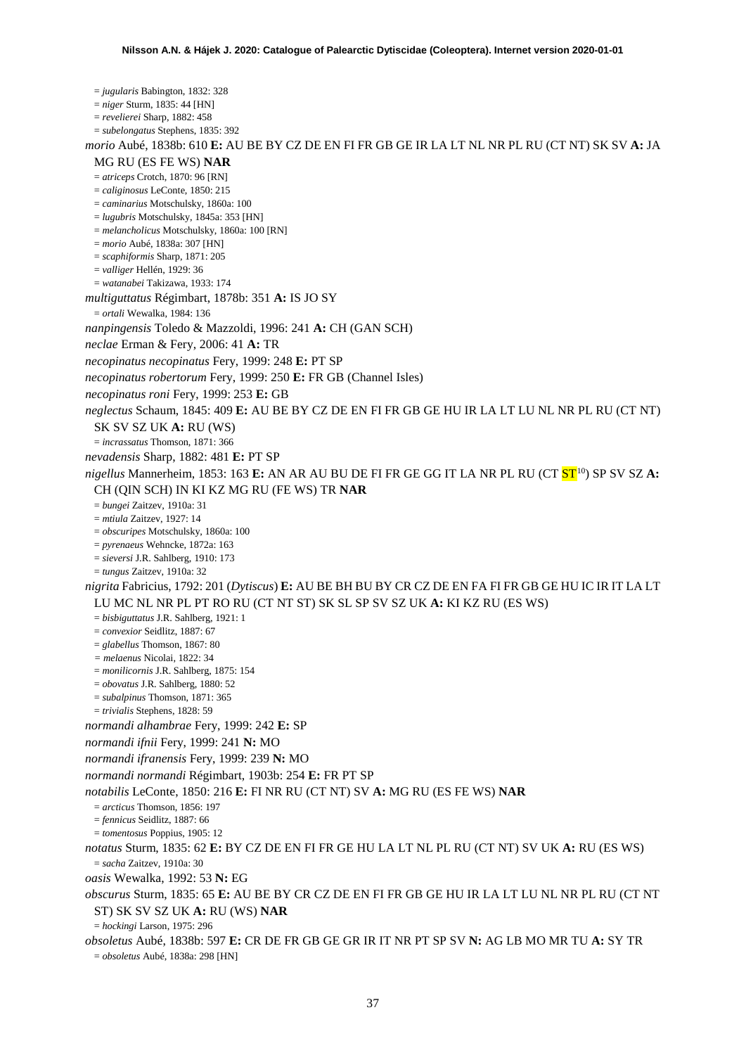= *jugularis* Babington, 1832: 328 = *niger* Sturm, 1835: 44 [HN] = *revelierei* Sharp, 1882: 458 = *subelongatus* Stephens, 1835: 392 *morio* Aubé, 1838b: 610 **E:** AU BE BY CZ DE EN FI FR GB GE IR LA LT NL NR PL RU (CT NT) SK SV **A:** JA MG RU (ES FE WS) **NAR** = *atriceps* Crotch, 1870: 96 [RN] = *caliginosus* LeConte, 1850: 215 = *caminarius* Motschulsky, 1860a: 100 = *lugubris* Motschulsky, 1845a: 353 [HN] = *melancholicus* Motschulsky, 1860a: 100 [RN] = *morio* Aubé, 1838a: 307 [HN] = *scaphiformis* Sharp, 1871: 205 = *valliger* Hellén, 1929: 36 = *watanabei* Takizawa, 1933: 174 *multiguttatus* Régimbart, 1878b: 351 **A:** IS JO SY = *ortali* Wewalka, 1984: 136 *nanpingensis* Toledo & Mazzoldi, 1996: 241 **A:** CH (GAN SCH) *neclae* Erman & Fery, 2006: 41 **A:** TR *necopinatus necopinatus* Fery, 1999: 248 **E:** PT SP *necopinatus robertorum* Fery, 1999: 250 **E:** FR GB (Channel Isles) *necopinatus roni* Fery, 1999: 253 **E:** GB *neglectus* Schaum, 1845: 409 **E:** AU BE BY CZ DE EN FI FR GB GE HU IR LA LT LU NL NR PL RU (CT NT) SK SV SZ UK **A:** RU (WS) = *incrassatus* Thomson, 1871: 366 *nevadensis* Sharp, 1882: 481 **E:** PT SP *nigellus* Mannerheim, 1853: 163 **E:** AN AR AU BU DE FI FR GE GG IT LA NR PL RU (CT **ST**<sup>[10](#page-52-9)</sup>) SP SV SZ A: CH (QIN SCH) IN KI KZ MG RU (FE WS) TR **NAR** = *bungei* Zaitzev, 1910a: 31 = *mtiula* Zaitzev, 1927: 14 = *obscuripes* Motschulsky, 1860a: 100 = *pyrenaeus* Wehncke, 1872a: 163 = *sieversi* J.R. Sahlberg, 1910: 173 = *tungus* Zaitzev, 1910a: 32 *nigrita* Fabricius, 1792: 201 (*Dytiscus*) **E:** AU BE BH BU BY CR CZ DE EN FA FI FR GB GE HU IC IR IT LA LT LU MC NL NR PL PT RO RU (CT NT ST) SK SL SP SV SZ UK **A:** KI KZ RU (ES WS) = *bisbiguttatus* J.R. Sahlberg, 1921: 1 = *convexior* Seidlitz, 1887: 67 = *glabellus* Thomson, 1867: 80 *= melaenus* Nicolai, 1822: 34 = *monilicornis* J.R. Sahlberg, 1875: 154 = *obovatus* J.R. Sahlberg, 1880: 52 = *subalpinus* Thomson, 1871: 365 = *trivialis* Stephens, 1828: 59 *normandi alhambrae* Fery, 1999: 242 **E:** SP *normandi ifnii* Fery, 1999: 241 **N:** MO *normandi ifranensis* Fery, 1999: 239 **N:** MO *normandi normandi* Régimbart, 1903b: 254 **E:** FR PT SP *notabilis* LeConte, 1850: 216 **E:** FI NR RU (CT NT) SV **A:** MG RU (ES FE WS) **NAR** = *arcticus* Thomson, 1856: 197 = *fennicus* Seidlitz, 1887: 66 = *tomentosus* Poppius, 1905: 12 *notatus* Sturm, 1835: 62 **E:** BY CZ DE EN FI FR GE HU LA LT NL PL RU (CT NT) SV UK **A:** RU (ES WS) = *sacha* Zaitzev, 1910a: 30 *oasis* Wewalka, 1992: 53 **N:** EG *obscurus* Sturm, 1835: 65 **E:** AU BE BY CR CZ DE EN FI FR GB GE HU IR LA LT LU NL NR PL RU (CT NT ST) SK SV SZ UK **A:** RU (WS) **NAR** = *hockingi* Larson, 1975: 296 *obsoletus* Aubé, 1838b: 597 **E:** CR DE FR GB GE GR IR IT NR PT SP SV **N:** AG LB MO MR TU **A:** SY TR = *obsoletus* Aubé, 1838a: 298 [HN]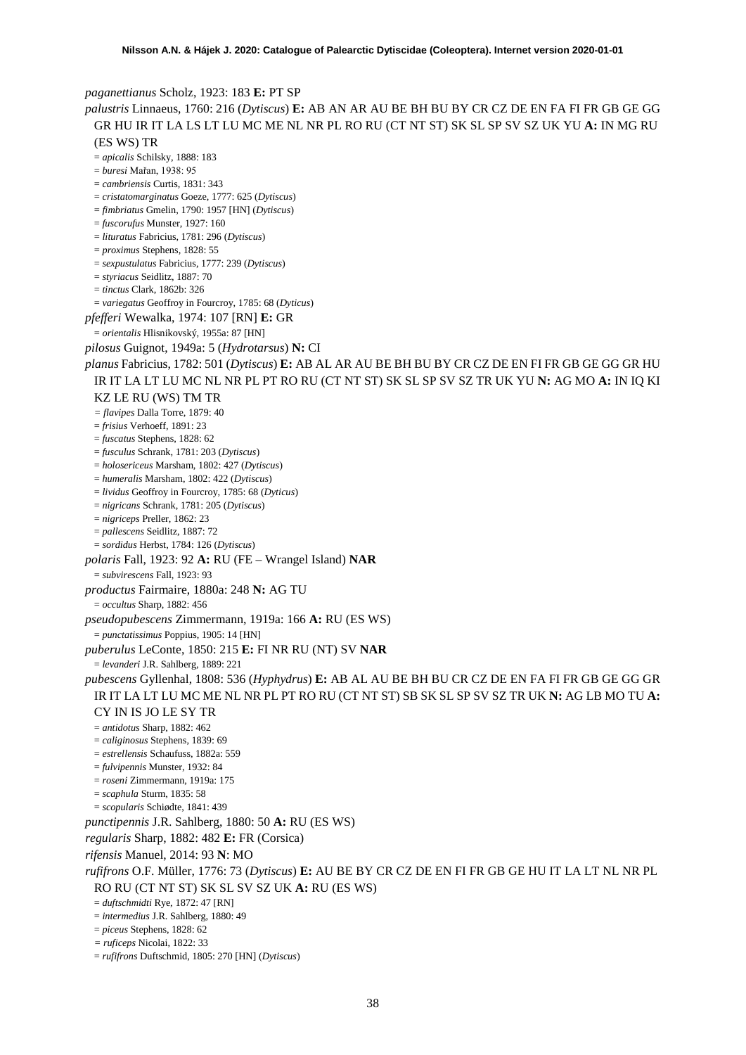*paganettianus* Scholz, 1923: 183 **E:** PT SP *palustris* Linnaeus, 1760: 216 (*Dytiscus*) **E:** AB AN AR AU BE BH BU BY CR CZ DE EN FA FI FR GB GE GG GR HU IR IT LA LS LT LU MC ME NL NR PL RO RU (CT NT ST) SK SL SP SV SZ UK YU **A:** IN MG RU (ES WS) TR = *apicalis* Schilsky, 1888: 183 = *buresi* Mařan, 1938: 95 = *cambriensis* Curtis, 1831: 343 = *cristatomarginatus* Goeze, 1777: 625 (*Dytiscus*) = *fimbriatus* Gmelin, 1790: 1957 [HN] (*Dytiscus*) = *fuscorufus* Munster, 1927: 160 = *lituratus* Fabricius, 1781: 296 (*Dytiscus*) = *proximus* Stephens, 1828: 55 = *sexpustulatus* Fabricius, 1777: 239 (*Dytiscus*) = *styriacus* Seidlitz, 1887: 70 = *tinctus* Clark, 1862b: 326 = *variegatus* Geoffroy in Fourcroy, 1785: 68 (*Dyticus*) *pfefferi* Wewalka, 1974: 107 [RN] **E:** GR = *orientalis* Hlisnikovský, 1955a: 87 [HN] *pilosus* Guignot, 1949a: 5 (*Hydrotarsus*) **N:** CI *planus* Fabricius, 1782: 501 (*Dytiscus*) **E:** AB AL AR AU BE BH BU BY CR CZ DE EN FI FR GB GE GG GR HU IR IT LA LT LU MC NL NR PL PT RO RU (CT NT ST) SK SL SP SV SZ TR UK YU **N:** AG MO **A:** IN IQ KI KZ LE RU (WS) TM TR *= flavipes* Dalla Torre, 1879: 40 = *frisius* Verhoeff, 1891: 23 = *fuscatus* Stephens, 1828: 62 = *fusculus* Schrank, 1781: 203 (*Dytiscus*) = *holosericeus* Marsham, 1802: 427 (*Dytiscus*) = *humeralis* Marsham, 1802: 422 (*Dytiscus*) = *lividus* Geoffroy in Fourcroy, 1785: 68 (*Dyticus*) = *nigricans* Schrank, 1781: 205 (*Dytiscus*) = *nigriceps* Preller, 1862: 23 = *pallescens* Seidlitz, 1887: 72 = *sordidus* Herbst, 1784: 126 (*Dytiscus*) *polaris* Fall, 1923: 92 **A:** RU (FE – Wrangel Island) **NAR** = *subvirescens* Fall, 1923: 93 *productus* Fairmaire, 1880a: 248 **N:** AG TU = *occultus* Sharp, 1882: 456 *pseudopubescens* Zimmermann, 1919a: 166 **A:** RU (ES WS) = *punctatissimus* Poppius, 1905: 14 [HN] *puberulus* LeConte, 1850: 215 **E:** FI NR RU (NT) SV **NAR** = *levanderi* J.R. Sahlberg, 1889: 221 *pubescens* Gyllenhal, 1808: 536 (*Hyphydrus*) **E:** AB AL AU BE BH BU CR CZ DE EN FA FI FR GB GE GG GR IR IT LA LT LU MC ME NL NR PL PT RO RU (CT NT ST) SB SK SL SP SV SZ TR UK **N:** AG LB MO TU **A:**  CY IN IS JO LE SY TR = *antidotus* Sharp, 1882: 462 = *caliginosus* Stephens, 1839: 69 = *estrellensis* Schaufuss, 1882a: 559 = *fulvipennis* Munster, 1932: 84 = *roseni* Zimmermann, 1919a: 175 = *scaphula* Sturm, 1835: 58 = *scopularis* Schiødte, 1841: 439 *punctipennis* J.R. Sahlberg, 1880: 50 **A:** RU (ES WS) *regularis* Sharp, 1882: 482 **E:** FR (Corsica) *rifensis* Manuel, 2014: 93 **N**: MO *rufifrons* O.F. Müller, 1776: 73 (*Dytiscus*) **E:** AU BE BY CR CZ DE EN FI FR GB GE HU IT LA LT NL NR PL RO RU (CT NT ST) SK SL SV SZ UK **A:** RU (ES WS) = *duftschmidti* Rye, 1872: 47 [RN] = *intermedius* J.R. Sahlberg, 1880: 49 = *piceus* Stephens, 1828: 62 *= ruficeps* Nicolai, 1822: 33 = *rufifrons* Duftschmid, 1805: 270 [HN] (*Dytiscus*)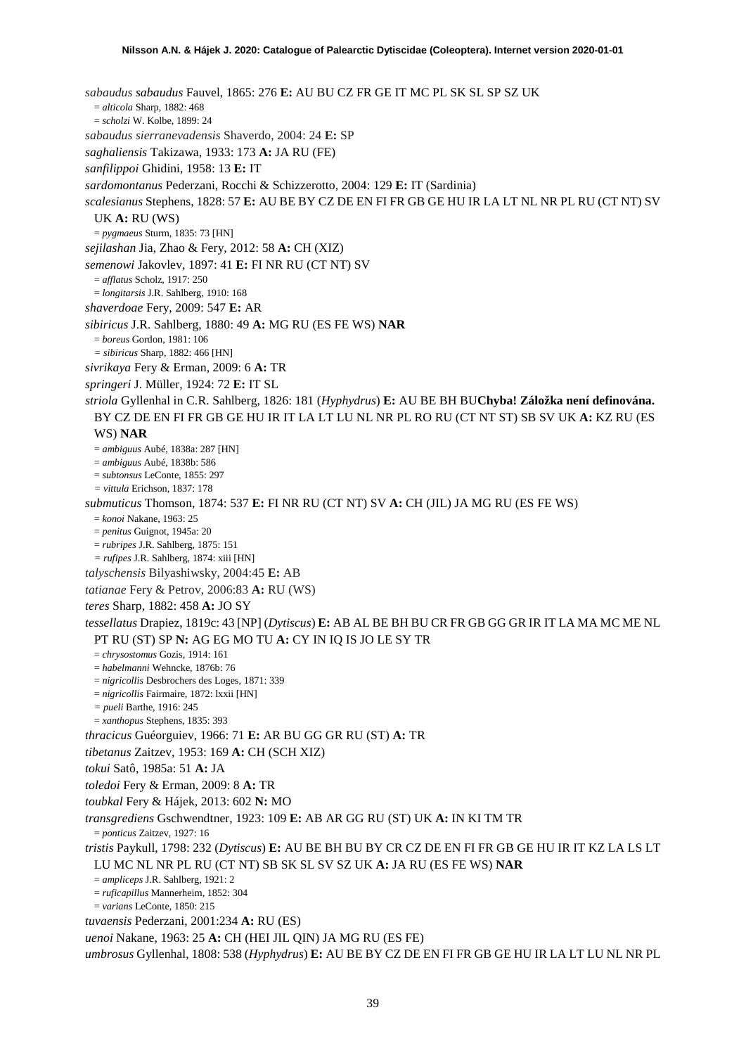*sabaudus sabaudus* Fauvel, 1865: 276 **E:** AU BU CZ FR GE IT MC PL SK SL SP SZ UK = *alticola* Sharp, 1882: 468 = *scholzi* W. Kolbe, 1899: 24 *sabaudus sierranevadensis* Shaverdo, 2004: 24 **E:** SP *saghaliensis* Takizawa, 1933: 173 **A:** JA RU (FE) *sanfilippoi* Ghidini, 1958: 13 **E:** IT *sardomontanus* Pederzani, Rocchi & Schizzerotto, 2004: 129 **E:** IT (Sardinia) *scalesianus* Stephens, 1828: 57 **E:** AU BE BY CZ DE EN FI FR GB GE HU IR LA LT NL NR PL RU (CT NT) SV UK **A:** RU (WS) = *pygmaeus* Sturm, 1835: 73 [HN] *sejilashan* Jia, Zhao & Fery, 2012: 58 **A:** CH (XIZ) *semenowi* Jakovlev, 1897: 41 **E:** FI NR RU (CT NT) SV = *afflatus* Scholz, 1917: 250 = *longitarsis* J.R. Sahlberg, 1910: 168 *shaverdoae* Fery, 2009: 547 **E:** AR *sibiricus* J.R. Sahlberg, 1880: 49 **A:** MG RU (ES FE WS) **NAR** = *boreus* Gordon, 1981: 106 *= sibiricus* Sharp, 1882: 466 [HN] *sivrikaya* Fery & Erman, 2009: 6 **A:** TR *springeri* J. Müller, 1924: 72 **E:** IT SL *striola* Gyllenhal in C.R. Sahlberg, 1826: 181 (*Hyphydrus*) **E:** AU BE BH BU**Chyba! Záložka není definována.** BY CZ DE EN FI FR GB GE HU IR IT LA LT LU NL NR PL RO RU (CT NT ST) SB SV UK **A:** KZ RU (ES WS) **NAR** = *ambiguus* Aubé, 1838a: 287 [HN] = *ambiguus* Aubé, 1838b: 586 = *subtonsus* LeConte, 1855: 297 *= vittula* Erichson, 1837: 178 *submuticus* Thomson, 1874: 537 **E:** FI NR RU (CT NT) SV **A:** CH (JIL) JA MG RU (ES FE WS) = *konoi* Nakane, 1963: 25 = *penitus* Guignot, 1945a: 20 = *rubripes* J.R. Sahlberg, 1875: 151 *= rufipes* J.R. Sahlberg, 1874: xiii [HN] *talyschensis* Bilyashiwsky, 2004:45 **E:** AB *tatianae* Fery & Petrov, 2006:83 **A:** RU (WS) *teres* Sharp, 1882: 458 **A:** JO SY *tessellatus* Drapiez, 1819c: 43 [NP] (*Dytiscus*) **E:** AB AL BE BH BU CR FR GB GG GR IR IT LA MA MC ME NL PT RU (ST) SP **N:** AG EG MO TU **A:** CY IN IQ IS JO LE SY TR = *chrysostomus* Gozis, 1914: 161 = *habelmanni* Wehncke, 1876b: 76 = *nigricollis* Desbrochers des Loges, 1871: 339 = *nigricollis* Fairmaire, 1872: lxxii [HN] *= pueli* Barthe, 1916: 245 = *xanthopus* Stephens, 1835: 393 *thracicus* Guéorguiev, 1966: 71 **E:** AR BU GG GR RU (ST) **A:** TR *tibetanus* Zaitzev, 1953: 169 **A:** CH (SCH XIZ) *tokui* Satô, 1985a: 51 **A:** JA *toledoi* Fery & Erman, 2009: 8 **A:** TR *toubkal* Fery & Hájek, 2013: 602 **N:** MO *transgrediens* Gschwendtner, 1923: 109 **E:** AB AR GG RU (ST) UK **A:** IN KI TM TR = *ponticus* Zaitzev, 1927: 16 *tristis* Paykull, 1798: 232 (*Dytiscus*) **E:** AU BE BH BU BY CR CZ DE EN FI FR GB GE HU IR IT KZ LA LS LT LU MC NL NR PL RU (CT NT) SB SK SL SV SZ UK **A:** JA RU (ES FE WS) **NAR** = *ampliceps* J.R. Sahlberg, 1921: 2 = *ruficapillus* Mannerheim, 1852: 304 = *varians* LeConte, 1850: 215 *tuvaensis* Pederzani, 2001:234 **A:** RU (ES) *uenoi* Nakane, 1963: 25 **A:** CH (HEI JIL QIN) JA MG RU (ES FE) *umbrosus* Gyllenhal, 1808: 538 (*Hyphydrus*) **E:** AU BE BY CZ DE EN FI FR GB GE HU IR LA LT LU NL NR PL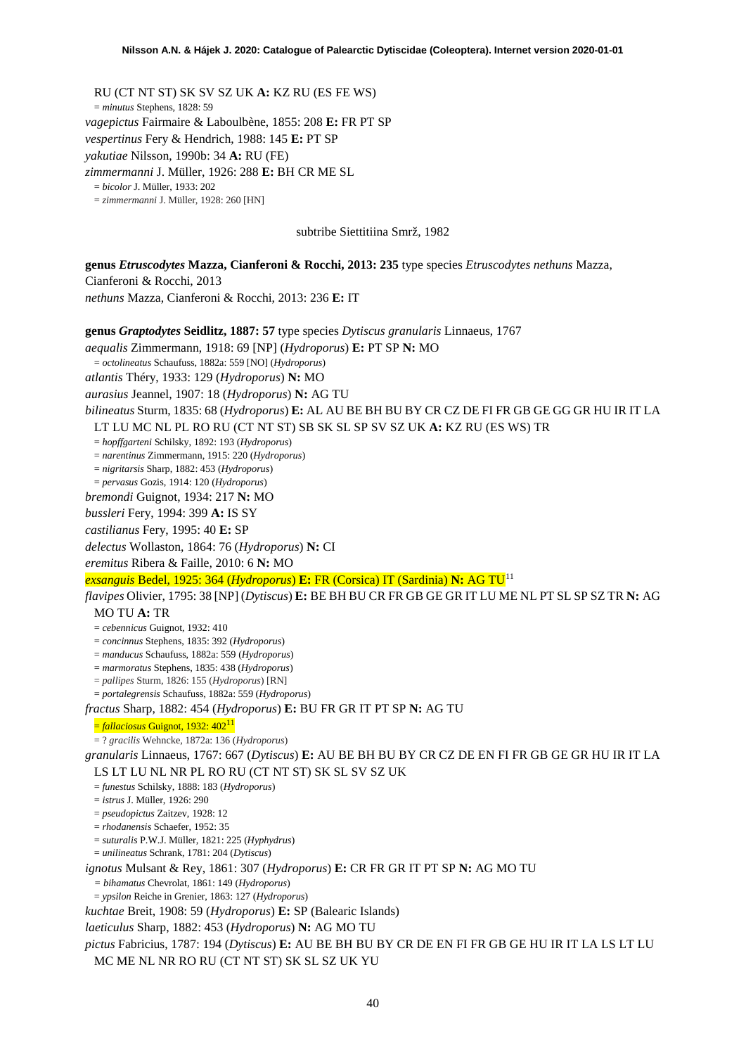RU (CT NT ST) SK SV SZ UK **A:** KZ RU (ES FE WS) = *minutus* Stephens, 1828: 59 *vagepictus* Fairmaire & Laboulbène, 1855: 208 **E:** FR PT SP *vespertinus* Fery & Hendrich, 1988: 145 **E:** PT SP *yakutiae* Nilsson, 1990b: 34 **A:** RU (FE) *zimmermanni* J. Müller, 1926: 288 **E:** BH CR ME SL = *bicolor* J. Müller, 1933: 202 = *zimmermanni* J. Müller, 1928: 260 [HN] subtribe Siettitiina Smrž, 1982

**genus** *Etruscodytes* **Mazza, Cianferoni & Rocchi, 2013: 235** type species *Etruscodytes nethuns* Mazza, Cianferoni & Rocchi, 2013

*nethuns* Mazza, Cianferoni & Rocchi, 2013: 236 **E:** IT

**genus** *Graptodytes* **Seidlitz, 1887: 57** type species *Dytiscus granularis* Linnaeus, 1767 *aequalis* Zimmermann, 1918: 69 [NP] (*Hydroporus*) **E:** PT SP **N:** MO = *octolineatus* Schaufuss, 1882a: 559 [NO] (*Hydroporus*) *atlantis* Théry, 1933: 129 (*Hydroporus*) **N:** MO *aurasius* Jeannel, 1907: 18 (*Hydroporus*) **N:** AG TU *bilineatus* Sturm, 1835: 68 (*Hydroporus*) **E:** AL AU BE BH BU BY CR CZ DE FI FR GB GE GG GR HU IR IT LA LT LU MC NL PL RO RU (CT NT ST) SB SK SL SP SV SZ UK **A:** KZ RU (ES WS) TR = *hopffgarteni* Schilsky, 1892: 193 (*Hydroporus*) = *narentinus* Zimmermann, 1915: 220 (*Hydroporus*) = *nigritarsis* Sharp, 1882: 453 (*Hydroporus*) = *pervasus* Gozis, 1914: 120 (*Hydroporus*) *bremondi* Guignot, 1934: 217 **N:** MO *bussleri* Fery, 1994: 399 **A:** IS SY *castilianus* Fery, 1995: 40 **E:** SP *delectus* Wollaston, 1864: 76 (*Hydroporus*) **N:** CI *eremitus* Ribera & Faille, 2010: 6 **N:** MO *exsanguis* Bedel, 1925: 364 (*Hydroporus*) **E:** FR (Corsica) IT (Sardinia) **N:** AG TU[11](#page-52-10) *flavipes* Olivier, 1795: 38 [NP] (*Dytiscus*) **E:** BE BH BU CR FR GB GE GR IT LU ME NL PT SL SP SZ TR **N:** AG MO TU **A:** TR = *cebennicus* Guignot, 1932: 410 = *concinnus* Stephens, 1835: 392 (*Hydroporus*) = *manducus* Schaufuss, 1882a: 559 (*Hydroporus*) = *marmoratus* Stephens, 1835: 438 (*Hydroporus*) = *pallipes* Sturm, 1826: 155 (*Hydroporus*) [RN] = *portalegrensis* Schaufuss, 1882a: 559 (*Hydroporus*) *fractus* Sharp, 1882: 454 (*Hydroporus*) **E:** BU FR GR IT PT SP **N:** AG TU = *fallaciosus* Guignot, 1932: 402<sup>11</sup> = ? *gracilis* Wehncke, 1872a: 136 (*Hydroporus*) *granularis* Linnaeus, 1767: 667 (*Dytiscus*) **E:** AU BE BH BU BY CR CZ DE EN FI FR GB GE GR HU IR IT LA LS LT LU NL NR PL RO RU (CT NT ST) SK SL SV SZ UK = *funestus* Schilsky, 1888: 183 (*Hydroporus*) = *istrus* J. Müller, 1926: 290 = *pseudopictus* Zaitzev, 1928: 12 = *rhodanensis* Schaefer, 1952: 35 = *suturalis* P.W.J. Müller, 1821: 225 (*Hyphydrus*) = *unilineatus* Schrank, 1781: 204 (*Dytiscus*) *ignotus* Mulsant & Rey, 1861: 307 (*Hydroporus*) **E:** CR FR GR IT PT SP **N:** AG MO TU *= bihamatus* Chevrolat, 1861: 149 (*Hydroporus*) = *ypsilon* Reiche in Grenier, 1863: 127 (*Hydroporus*) *kuchtae* Breit, 1908: 59 (*Hydroporus*) **E:** SP (Balearic Islands) *laeticulus* Sharp, 1882: 453 (*Hydroporus*) **N:** AG MO TU *pictus* Fabricius, 1787: 194 (*Dytiscus*) **E:** AU BE BH BU BY CR DE EN FI FR GB GE HU IR IT LA LS LT LU MC ME NL NR RO RU (CT NT ST) SK SL SZ UK YU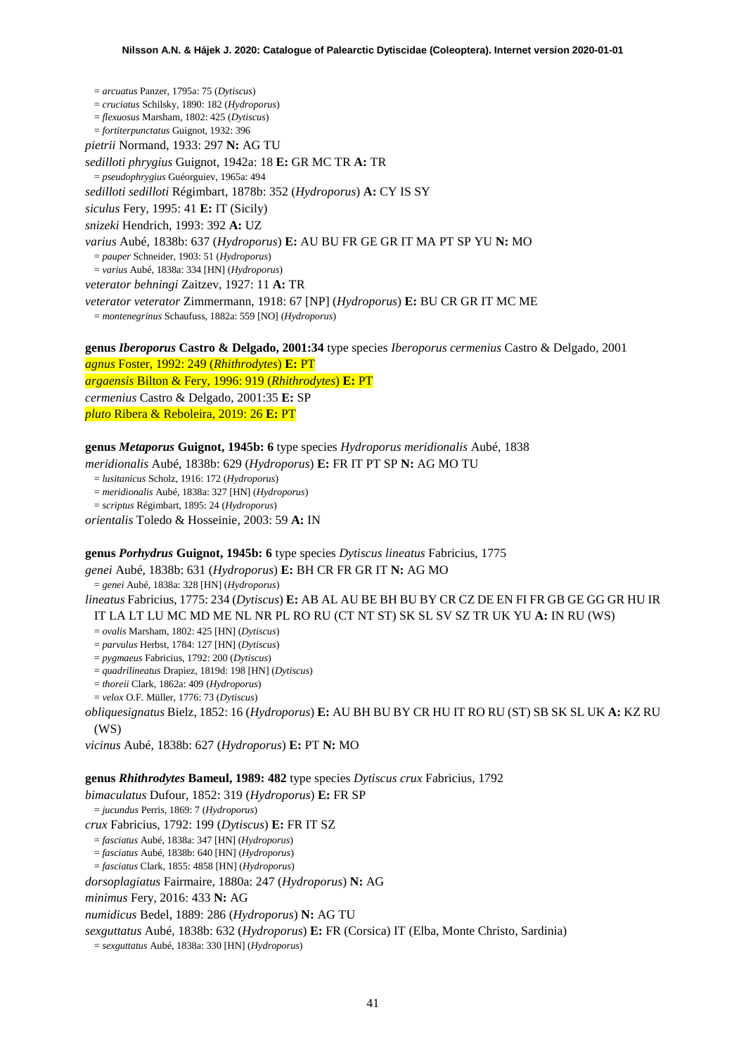= *arcuatus* Panzer, 1795a: 75 (*Dytiscus*) = *cruciatus* Schilsky, 1890: 182 (*Hydroporus*) = *flexuosus* Marsham, 1802: 425 (*Dytiscus*) = *fortiterpunctatus* Guignot, 1932: 396 *pietrii* Normand, 1933: 297 **N:** AG TU *sedilloti phrygius* Guignot, 1942a: 18 **E:** GR MC TR **A:** TR = *pseudophrygius* Guéorguiev, 1965a: 494 *sedilloti sedilloti* Régimbart, 1878b: 352 (*Hydroporus*) **A:** CY IS SY *siculus* Fery, 1995: 41 **E:** IT (Sicily) *snizeki* Hendrich, 1993: 392 **A:** UZ *varius* Aubé, 1838b: 637 (*Hydroporus*) **E:** AU BU FR GE GR IT MA PT SP YU **N:** MO = *pauper* Schneider, 1903: 51 (*Hydroporus*) = *varius* Aubé, 1838a: 334 [HN] (*Hydroporus*) *veterator behningi* Zaitzev, 1927: 11 **A:** TR *veterator veterator* Zimmermann, 1918: 67 [NP] (*Hydroporus*) **E:** BU CR GR IT MC ME = *montenegrinus* Schaufuss, 1882a: 559 [NO] (*Hydroporus*) **genus** *Iberoporus* **Castro & Delgado, 2001:34** type species *Iberoporus cermenius* Castro & Delgado, 2001

*agnus* Foster, 1992: 249 (*Rhithrodytes*) **E:** PT *argaensis* Bilton & Fery, 1996: 919 (*Rhithrodytes*) **E:** PT *cermenius* Castro & Delgado, 2001:35 **E:** SP

*pluto* Ribera & Reboleira, 2019: 26 **E:** PT

## **genus** *Metaporus* **Guignot, 1945b: 6** type species *Hydroporus meridionalis* Aubé, 1838

*meridionalis* Aubé, 1838b: 629 (*Hydroporus*) **E:** FR IT PT SP **N:** AG MO TU

= *lusitanicus* Scholz, 1916: 172 (*Hydroporus*)

= *meridionalis* Aubé, 1838a: 327 [HN] (*Hydroporus*)

= *scriptus* Régimbart, 1895: 24 (*Hydroporus*)

*orientalis* Toledo & Hosseinie, 2003: 59 **A:** IN

## **genus** *Porhydrus* **Guignot, 1945b: 6** type species *Dytiscus lineatus* Fabricius, 1775

*genei* Aubé, 1838b: 631 (*Hydroporus*) **E:** BH CR FR GR IT **N:** AG MO

= *genei* Aubé, 1838a: 328 [HN] (*Hydroporus*)

*lineatus* Fabricius, 1775: 234 (*Dytiscus*) **E:** AB AL AU BE BH BU BY CR CZ DE EN FI FR GB GE GG GR HU IR IT LA LT LU MC MD ME NL NR PL RO RU (CT NT ST) SK SL SV SZ TR UK YU **A:** IN RU (WS)

= *ovalis* Marsham, 1802: 425 [HN] (*Dytiscus*)

= *parvulus* Herbst, 1784: 127 [HN] (*Dytiscus*)

= *pygmaeus* Fabricius, 1792: 200 (*Dytiscus*)

= *quadrilineatus* Drapiez, 1819d: 198 [HN] (*Dytiscus*)

= *thoreii* Clark, 1862a: 409 (*Hydroporus*)

= *velox* O.F. Müller, 1776: 73 (*Dytiscus*)

*obliquesignatus* Bielz, 1852: 16 (*Hydroporus*) **E:** AU BH BU BY CR HU IT RO RU (ST) SB SK SL UK **A:** KZ RU  $(WS)$ 

*vicinus* Aubé, 1838b: 627 (*Hydroporus*) **E:** PT **N:** MO

## **genus** *Rhithrodytes* **Bameul, 1989: 482** type species *Dytiscus crux* Fabricius, 1792

*bimaculatus* Dufour, 1852: 319 (*Hydroporus*) **E:** FR SP = *jucundus* Perris, 1869: 7 (*Hydroporus*) *crux* Fabricius, 1792: 199 (*Dytiscus*) **E:** FR IT SZ

= *fasciatus* Aubé, 1838a: 347 [HN] (*Hydroporus*)

= *fasciatus* Aubé, 1838b: 640 [HN] (*Hydroporus*)

= *fasciatus* Clark, 1855: 4858 [HN] (*Hydroporus*)

*dorsoplagiatus* Fairmaire, 1880a: 247 (*Hydroporus*) **N:** AG

*minimus* Fery, 2016: 433 **N:** AG

*numidicus* Bedel, 1889: 286 (*Hydroporus*) **N:** AG TU

*sexguttatus* Aubé, 1838b: 632 (*Hydroporus*) **E:** FR (Corsica) IT (Elba, Monte Christo, Sardinia)

= *sexguttatus* Aubé, 1838a: 330 [HN] (*Hydroporus*)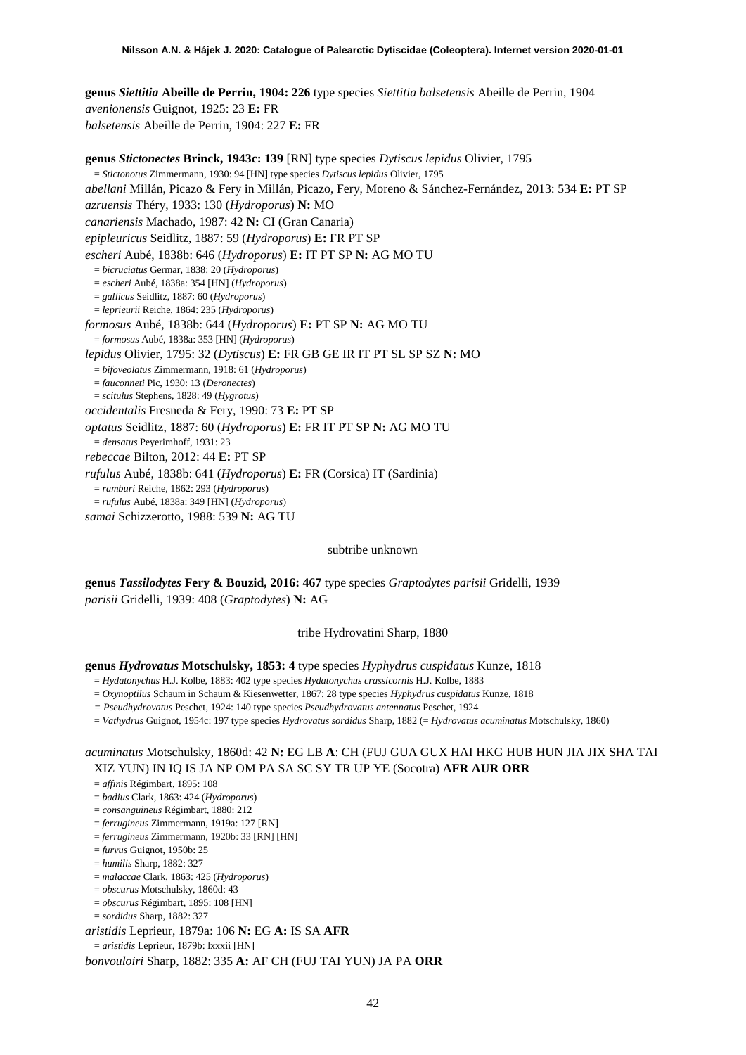**genus** *Siettitia* **Abeille de Perrin, 1904: 226** type species *Siettitia balsetensis* Abeille de Perrin, 1904 *avenionensis* Guignot, 1925: 23 **E:** FR *balsetensis* Abeille de Perrin, 1904: 227 **E:** FR

**genus** *Stictonectes* **Brinck, 1943c: 139** [RN] type species *Dytiscus lepidus* Olivier, 1795 = *Stictonotus* Zimmermann, 1930: 94 [HN] type species *Dytiscus lepidus* Olivier, 1795 *abellani* Millán, Picazo & Fery in Millán, Picazo, Fery, Moreno & Sánchez-Fernández, 2013: 534 **E:** PT SP *azruensis* Théry, 1933: 130 (*Hydroporus*) **N:** MO *canariensis* Machado, 1987: 42 **N:** CI (Gran Canaria) *epipleuricus* Seidlitz, 1887: 59 (*Hydroporus*) **E:** FR PT SP *escheri* Aubé, 1838b: 646 (*Hydroporus*) **E:** IT PT SP **N:** AG MO TU = *bicruciatus* Germar, 1838: 20 (*Hydroporus*) = *escheri* Aubé, 1838a: 354 [HN] (*Hydroporus*) = *gallicus* Seidlitz, 1887: 60 (*Hydroporus*) = *leprieurii* Reiche, 1864: 235 (*Hydroporus*) *formosus* Aubé, 1838b: 644 (*Hydroporus*) **E:** PT SP **N:** AG MO TU = *formosus* Aubé, 1838a: 353 [HN] (*Hydroporus*) *lepidus* Olivier, 1795: 32 (*Dytiscus*) **E:** FR GB GE IR IT PT SL SP SZ **N:** MO = *bifoveolatus* Zimmermann, 1918: 61 (*Hydroporus*) = *fauconneti* Pic, 1930: 13 (*Deronectes*) = *scitulus* Stephens, 1828: 49 (*Hygrotus*) *occidentalis* Fresneda & Fery, 1990: 73 **E:** PT SP *optatus* Seidlitz, 1887: 60 (*Hydroporus*) **E:** FR IT PT SP **N:** AG MO TU = *densatus* Peyerimhoff, 1931: 23 *rebeccae* Bilton, 2012: 44 **E:** PT SP *rufulus* Aubé, 1838b: 641 (*Hydroporus*) **E:** FR (Corsica) IT (Sardinia) = *ramburi* Reiche, 1862: 293 (*Hydroporus*) = *rufulus* Aubé, 1838a: 349 [HN] (*Hydroporus*) *samai* Schizzerotto, 1988: 539 **N:** AG TU

#### subtribe unknown

**genus** *Tassilodytes* **Fery & Bouzid, 2016: 467** type species *Graptodytes parisii* Gridelli, 1939 *parisii* Gridelli, 1939: 408 (*Graptodytes*) **N:** AG

#### tribe Hydrovatini Sharp, 1880

**genus** *Hydrovatus* **Motschulsky, 1853: 4** type species *Hyphydrus cuspidatus* Kunze, 1818

= *Hydatonychus* H.J. Kolbe, 1883: 402 type species *Hydatonychus crassicornis* H.J. Kolbe, 1883

- = *Oxynoptilus* Schaum in Schaum & Kiesenwetter, 1867: 28 type species *Hyphydrus cuspidatus* Kunze, 1818
- *= Pseudhydrovatus* Peschet, 1924: 140 type species *Pseudhydrovatus antennatus* Peschet, 1924
- = *Vathydrus* Guignot, 1954c: 197 type species *Hydrovatus sordidus* Sharp, 1882 (= *Hydrovatus acuminatus* Motschulsky, 1860)

# *acuminatus* Motschulsky, 1860d: 42 **N:** EG LB **A**: CH (FUJ GUA GUX HAI HKG HUB HUN JIA JIX SHA TAI XIZ YUN) IN IQ IS JA NP OM PA SA SC SY TR UP YE (Socotra) **AFR AUR ORR**

= *affinis* Régimbart, 1895: 108

- = *badius* Clark, 1863: 424 (*Hydroporus*)
- = *consanguineus* Régimbart, 1880: 212
- = *ferrugineus* Zimmermann, 1919a: 127 [RN]
- = *ferrugineus* Zimmermann, 1920b: 33 [RN] [HN]
- = *furvus* Guignot, 1950b: 25
- = *humilis* Sharp, 1882: 327
- = *malaccae* Clark, 1863: 425 (*Hydroporus*)
- = *obscurus* Motschulsky, 1860d: 43
- = *obscurus* Régimbart, 1895: 108 [HN]

= *sordidus* Sharp, 1882: 327

*aristidis* Leprieur, 1879a: 106 **N:** EG **A:** IS SA **AFR**

= *aristidis* Leprieur, 1879b: lxxxii [HN]

*bonvouloiri* Sharp, 1882: 335 **A:** AF CH (FUJ TAI YUN) JA PA **ORR**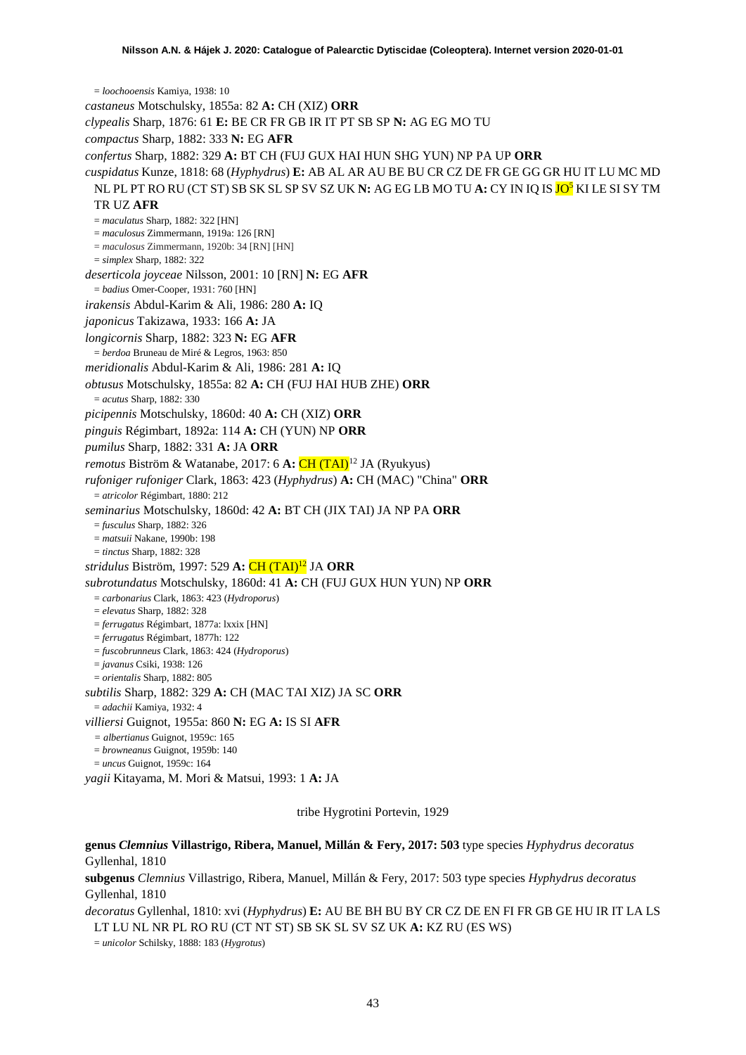= *loochooensis* Kamiya, 1938: 10 *castaneus* Motschulsky, 1855a: 82 **A:** CH (XIZ) **ORR** *clypealis* Sharp, 1876: 61 **E:** BE CR FR GB IR IT PT SB SP **N:** AG EG MO TU *compactus* Sharp, 1882: 333 **N:** EG **AFR** *confertus* Sharp, 1882: 329 **A:** BT CH (FUJ GUX HAI HUN SHG YUN) NP PA UP **ORR** *cuspidatus* Kunze, 1818: 68 (*Hyphydrus*) **E:** AB AL AR AU BE BU CR CZ DE FR GE GG GR HU IT LU MC MD NL PL PT RO RU (CT ST) SB SK SL SP SV SZ UK **N:** AG EG LB MO TU **A:** CY IN IQ IS JO5 KI LE SI SY TM TR UZ **AFR** = *maculatus* Sharp, 1882: 322 [HN] = *maculosus* Zimmermann, 1919a: 126 [RN] = *maculosus* Zimmermann, 1920b: 34 [RN] [HN] = *simplex* Sharp, 1882: 322 *deserticola joyceae* Nilsson, 2001: 10 [RN] **N:** EG **AFR** = *badius* Omer-Cooper, 1931: 760 [HN] *irakensis* Abdul-Karim & Ali, 1986: 280 **A:** IQ *japonicus* Takizawa, 1933: 166 **A:** JA *longicornis* Sharp, 1882: 323 **N:** EG **AFR** = *berdoa* Bruneau de Miré & Legros, 1963: 850 *meridionalis* Abdul-Karim & Ali, 1986: 281 **A:** IQ *obtusus* Motschulsky, 1855a: 82 **A:** CH (FUJ HAI HUB ZHE) **ORR** = *acutus* Sharp, 1882: 330 *picipennis* Motschulsky, 1860d: 40 **A:** CH (XIZ) **ORR** *pinguis* Régimbart, 1892a: 114 **A:** CH (YUN) NP **ORR** *pumilus* Sharp, 1882: 331 **A:** JA **ORR** *remotus Biström & Watanabe, 2017: 6 A: CH (TAI)<sup>[12](#page-52-11)</sup> JA (Ryukyus) rufoniger rufoniger* Clark, 1863: 423 (*Hyphydrus*) **A:** CH (MAC) "China" **ORR** = *atricolor* Régimbart, 1880: 212 *seminarius* Motschulsky, 1860d: 42 **A:** BT CH (JIX TAI) JA NP PA **ORR** = *fusculus* Sharp, 1882: 326 = *matsuii* Nakane, 1990b: 198 = *tinctus* Sharp, 1882: 328 *stridulus* Biström, 1997: 529 **A:** CH (TAI)12 JA **ORR** *subrotundatus* Motschulsky, 1860d: 41 **A:** CH (FUJ GUX HUN YUN) NP **ORR** = *carbonarius* Clark, 1863: 423 (*Hydroporus*) = *elevatus* Sharp, 1882: 328 = *ferrugatus* Régimbart, 1877a: lxxix [HN] = *ferrugatus* Régimbart, 1877h: 122 = *fuscobrunneus* Clark, 1863: 424 (*Hydroporus*) = *javanus* Csiki, 1938: 126 = *orientalis* Sharp, 1882: 805 *subtilis* Sharp, 1882: 329 **A:** CH (MAC TAI XIZ) JA SC **ORR** = *adachii* Kamiya, 1932: 4 *villiersi* Guignot, 1955a: 860 **N:** EG **A:** IS SI **AFR** *= albertianus* Guignot, 1959c: 165 = *browneanus* Guignot, 1959b: 140 = *uncus* Guignot, 1959c: 164 *yagii* Kitayama, M. Mori & Matsui, 1993: 1 **A:** JA

tribe Hygrotini Portevin, 1929

# **genus** *Clemnius* **Villastrigo, Ribera, Manuel, Millán & Fery, 2017: 503** type species *Hyphydrus decoratus* Gyllenhal, 1810

**subgenus** *Clemnius* Villastrigo, Ribera, Manuel, Millán & Fery, 2017: 503 type species *Hyphydrus decoratus* Gyllenhal, 1810

*decoratus* Gyllenhal, 1810: xvi (*Hyphydrus*) **E:** AU BE BH BU BY CR CZ DE EN FI FR GB GE HU IR IT LA LS LT LU NL NR PL RO RU (CT NT ST) SB SK SL SV SZ UK **A:** KZ RU (ES WS)

= *unicolor* Schilsky, 1888: 183 (*Hygrotus*)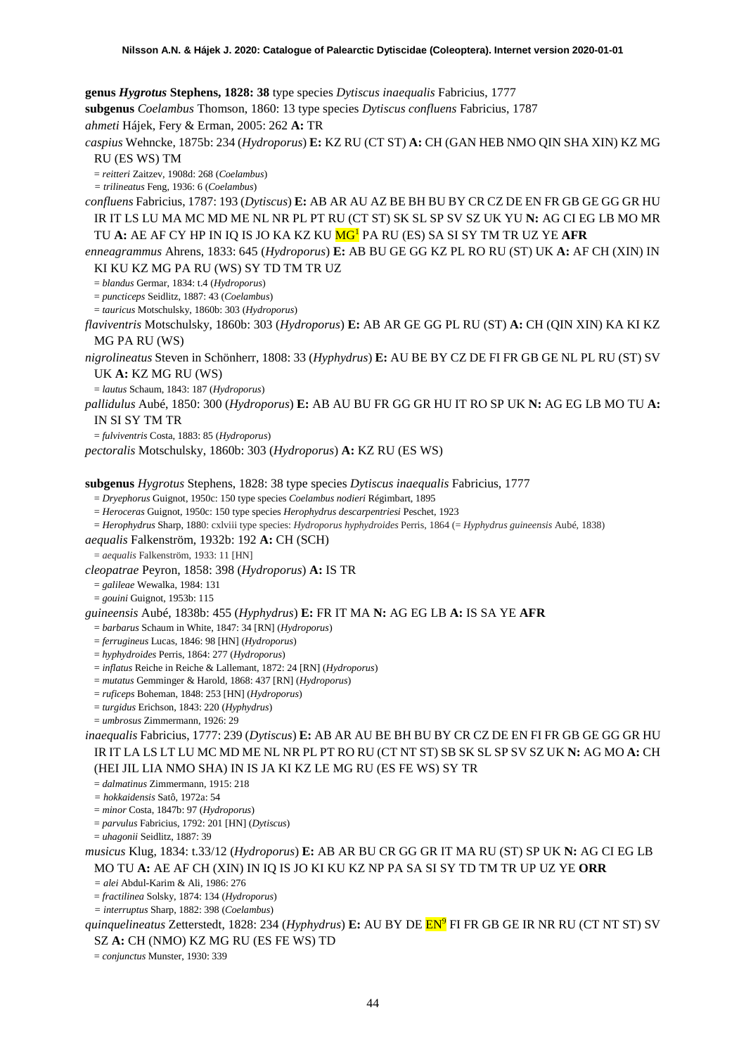**genus** *Hygrotus* **Stephens, 1828: 38** type species *Dytiscus inaequalis* Fabricius, 1777 **subgenus** *Coelambus* Thomson, 1860: 13 type species *Dytiscus confluens* Fabricius, 1787 *ahmeti* Hájek, Fery & Erman, 2005: 262 **A:** TR *caspius* Wehncke, 1875b: 234 (*Hydroporus*) **E:** KZ RU (CT ST) **A:** CH (GAN HEB NMO QIN SHA XIN) KZ MG RU (ES WS) TM = *reitteri* Zaitzev, 1908d: 268 (*Coelambus*) *= trilineatus* Feng, 1936: 6 (*Coelambus*) *confluens* Fabricius, 1787: 193 (*Dytiscus*) **E:** AB AR AU AZ BE BH BU BY CR CZ DE EN FR GB GE GG GR HU IR IT LS LU MA MC MD ME NL NR PL PT RU (CT ST) SK SL SP SV SZ UK YU **N:** AG CI EG LB MO MR TU **A:** AE AF CY HP IN IQ IS JO KA KZ KU MG1 PA RU (ES) SA SI SY TM TR UZ YE **AFR** *enneagrammus* Ahrens, 1833: 645 (*Hydroporus*) **E:** AB BU GE GG KZ PL RO RU (ST) UK **A:** AF CH (XIN) IN KI KU KZ MG PA RU (WS) SY TD TM TR UZ = *blandus* Germar, 1834: t.4 (*Hydroporus*) = *puncticeps* Seidlitz, 1887: 43 (*Coelambus*) = *tauricus* Motschulsky, 1860b: 303 (*Hydroporus*) *flaviventris* Motschulsky, 1860b: 303 (*Hydroporus*) **E:** AB AR GE GG PL RU (ST) **A:** CH (QIN XIN) KA KI KZ MG PA RU (WS) *nigrolineatus* Steven in Schönherr, 1808: 33 (*Hyphydrus*) **E:** AU BE BY CZ DE FI FR GB GE NL PL RU (ST) SV UK **A:** KZ MG RU (WS) = *lautus* Schaum, 1843: 187 (*Hydroporus*) *pallidulus* Aubé, 1850: 300 (*Hydroporus*) **E:** AB AU BU FR GG GR HU IT RO SP UK **N:** AG EG LB MO TU **A:**  IN SI SY TM TR = *fulviventris* Costa, 1883: 85 (*Hydroporus*) *pectoralis* Motschulsky, 1860b: 303 (*Hydroporus*) **A:** KZ RU (ES WS) **subgenus** *Hygrotus* Stephens, 1828: 38 type species *Dytiscus inaequalis* Fabricius, 1777 = *Dryephorus* Guignot, 1950c: 150 type species *Coelambus nodieri* Régimbart, 1895 = *Heroceras* Guignot, 1950c: 150 type species *Herophydrus descarpentriesi* Peschet, 1923 = *Herophydrus* Sharp, 1880: cxlviii type species: *Hydroporus hyphydroides* Perris, 1864 (= *Hyphydrus guineensis* Aubé, 1838) *aequalis* Falkenström, 1932b: 192 **A:** CH (SCH) = *aequalis* Falkenström, 1933: 11 [HN] *cleopatrae* Peyron, 1858: 398 (*Hydroporus*) **A:** IS TR = *galileae* Wewalka, 1984: 131 = *gouini* Guignot, 1953b: 115 *guineensis* Aubé, 1838b: 455 (*Hyphydrus*) **E:** FR IT MA **N:** AG EG LB **A:** IS SA YE **AFR** = *barbarus* Schaum in White, 1847: 34 [RN] (*Hydroporus*) = *ferrugineus* Lucas, 1846: 98 [HN] (*Hydroporus*) = *hyphydroides* Perris, 1864: 277 (*Hydroporus*) = *inflatus* Reiche in Reiche & Lallemant, 1872: 24 [RN] (*Hydroporus*) = *mutatus* Gemminger & Harold, 1868: 437 [RN] (*Hydroporus*) = *ruficeps* Boheman, 1848: 253 [HN] (*Hydroporus*) = *turgidus* Erichson, 1843: 220 (*Hyphydrus*) = *umbrosus* Zimmermann, 1926: 29 *inaequalis* Fabricius, 1777: 239 (*Dytiscus*) **E:** AB AR AU BE BH BU BY CR CZ DE EN FI FR GB GE GG GR HU IR IT LA LS LT LU MC MD ME NL NR PL PT RO RU (CT NT ST) SB SK SL SP SV SZ UK **N:** AG MO **A:** CH (HEI JIL LIA NMO SHA) IN IS JA KI KZ LE MG RU (ES FE WS) SY TR = *dalmatinus* Zimmermann, 1915: 218 *= hokkaidensis* Satô, 1972a: 54 = *minor* Costa, 1847b: 97 (*Hydroporus*) = *parvulus* Fabricius, 1792: 201 [HN] (*Dytiscus*) = *uhagonii* Seidlitz, 1887: 39 *musicus* Klug, 1834: t.33/12 (*Hydroporus*) **E:** AB AR BU CR GG GR IT MA RU (ST) SP UK **N:** AG CI EG LB MO TU **A:** AE AF CH (XIN) IN IQ IS JO KI KU KZ NP PA SA SI SY TD TM TR UP UZ YE **ORR** *= alei* Abdul-Karim & Ali, 1986: 276 = *fractilinea* Solsky, 1874: 134 (*Hydroporus*) *= interruptus* Sharp, 1882: 398 (*Coelambus*)

*quinquelineatus* Zetterstedt, 1828: 234 (*Hyphydrus*) **E:** AU BY DE EN9 FI FR GB GE IR NR RU (CT NT ST) SV

SZ **A:** CH (NMO) KZ MG RU (ES FE WS) TD

= *conjunctus* Munster, 1930: 339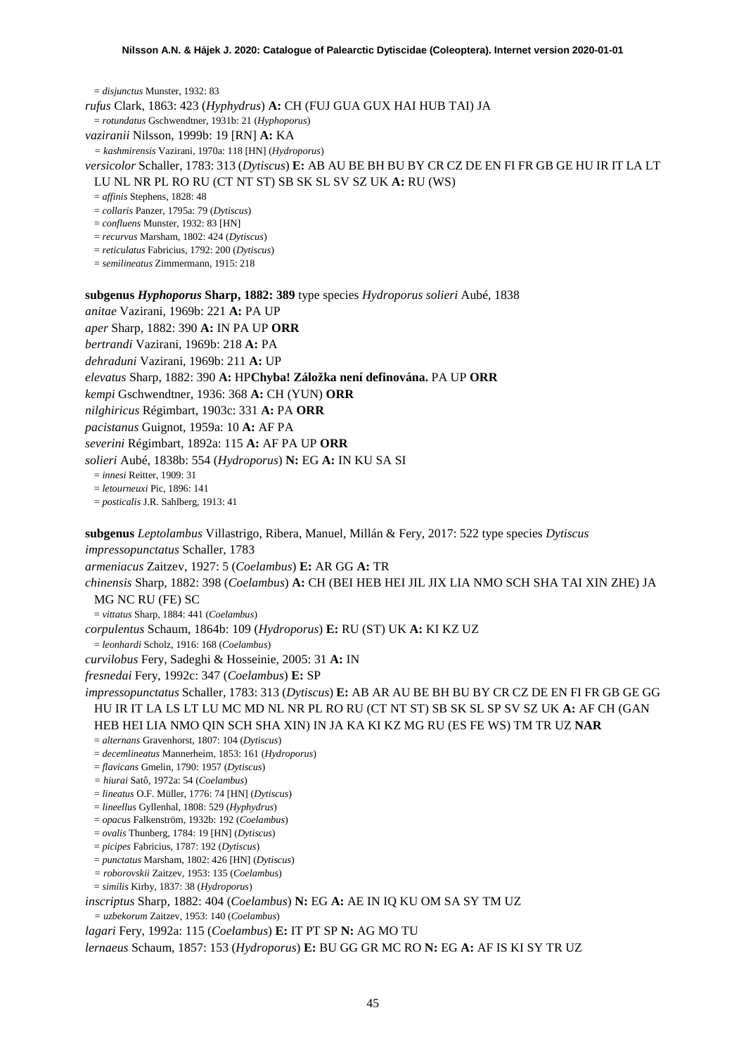= *disjunctus* Munster, 1932: 83 *rufus* Clark, 1863: 423 (*Hyphydrus*) **A:** CH (FUJ GUA GUX HAI HUB TAI) JA = *rotundatus* Gschwendtner, 1931b: 21 (*Hyphoporus*) *vaziranii* Nilsson, 1999b: 19 [RN] **A:** KA *= kashmirensis* Vazirani, 1970a: 118 [HN] (*Hydroporus*) *versicolor* Schaller, 1783: 313 (*Dytiscus*) **E:** AB AU BE BH BU BY CR CZ DE EN FI FR GB GE HU IR IT LA LT LU NL NR PL RO RU (CT NT ST) SB SK SL SV SZ UK **A:** RU (WS) = *affinis* Stephens, 1828: 48 = *collaris* Panzer, 1795a: 79 (*Dytiscus*) = *confluens* Munster, 1932: 83 [HN] = *recurvus* Marsham, 1802: 424 (*Dytiscus*) = *reticulatus* Fabricius, 1792: 200 (*Dytiscus*) = *semilineatus* Zimmermann, 1915: 218

**subgenus** *Hyphoporus* **Sharp, 1882: 389** type species *Hydroporus solieri* Aubé, 1838

*anitae* Vazirani, 1969b: 221 **A:** PA UP

*aper* Sharp, 1882: 390 **A:** IN PA UP **ORR**

*bertrandi* Vazirani, 1969b: 218 **A:** PA

*dehraduni* Vazirani, 1969b: 211 **A:** UP

*elevatus* Sharp, 1882: 390 **A:** HP**Chyba! Záložka není definována.** PA UP **ORR**

*kempi* Gschwendtner, 1936: 368 **A:** CH (YUN) **ORR**

*nilghiricus* Régimbart, 1903c: 331 **A:** PA **ORR**

*pacistanus* Guignot, 1959a: 10 **A:** AF PA

*severini* Régimbart, 1892a: 115 **A:** AF PA UP **ORR**

*solieri* Aubé, 1838b: 554 (*Hydroporus*) **N:** EG **A:** IN KU SA SI

= *innesi* Reitter, 1909: 31

= *letourneuxi* Pic, 1896: 141

= *posticalis* J.R. Sahlberg, 1913: 41

**subgenus** *Leptolambus* Villastrigo, Ribera, Manuel, Millán & Fery, 2017: 522 type species *Dytiscus impressopunctatus* Schaller, 1783 *armeniacus* Zaitzev, 1927: 5 (*Coelambus*) **E:** AR GG **A:** TR *chinensis* Sharp, 1882: 398 (*Coelambus*) **A:** CH (BEI HEB HEI JIL JIX LIA NMO SCH SHA TAI XIN ZHE) JA MG NC RU (FE) SC = *vittatus* Sharp, 1884: 441 (*Coelambus*) *corpulentus* Schaum, 1864b: 109 (*Hydroporus*) **E:** RU (ST) UK **A:** KI KZ UZ = *leonhardi* Scholz, 1916: 168 (*Coelambus*) *curvilobus* Fery, Sadeghi & Hosseinie, 2005: 31 **A:** IN *fresnedai* Fery, 1992c: 347 (*Coelambus*) **E:** SP *impressopunctatus* Schaller, 1783: 313 (*Dytiscus*) **E:** AB AR AU BE BH BU BY CR CZ DE EN FI FR GB GE GG HU IR IT LA LS LT LU MC MD NL NR PL RO RU (CT NT ST) SB SK SL SP SV SZ UK **A:** AF CH (GAN HEB HEI LIA NMO QIN SCH SHA XIN) IN JA KA KI KZ MG RU (ES FE WS) TM TR UZ **NAR** = *alternans* Gravenhorst, 1807: 104 (*Dytiscus*) = *decemlineatus* Mannerheim, 1853: 161 (*Hydroporus*) = *flavicans* Gmelin, 1790: 1957 (*Dytiscus*) *= hiurai* Satô, 1972a: 54 (*Coelambus*) = *lineatus* O.F. Müller, 1776: 74 [HN] (*Dytiscus*) = *lineellus* Gyllenhal, 1808: 529 (*Hyphydrus*) = *opacus* Falkenström, 1932b: 192 (*Coelambus*) = *ovalis* Thunberg, 1784: 19 [HN] (*Dytiscus*) = *picipes* Fabricius, 1787: 192 (*Dytiscus*) = *punctatus* Marsham, 1802: 426 [HN] (*Dytiscus*) *= roborovskii* Zaitzev, 1953: 135 (*Coelambus*) = *similis* Kirby, 1837: 38 (*Hydroporus*)

*inscriptus* Sharp, 1882: 404 (*Coelambus*) **N:** EG **A:** AE IN IQ KU OM SA SY TM UZ

*= uzbekorum* Zaitzev, 1953: 140 (*Coelambus*)

*lagari* Fery, 1992a: 115 (*Coelambus*) **E:** IT PT SP **N:** AG MO TU

*lernaeus* Schaum, 1857: 153 (*Hydroporus*) **E:** BU GG GR MC RO **N:** EG **A:** AF IS KI SY TR UZ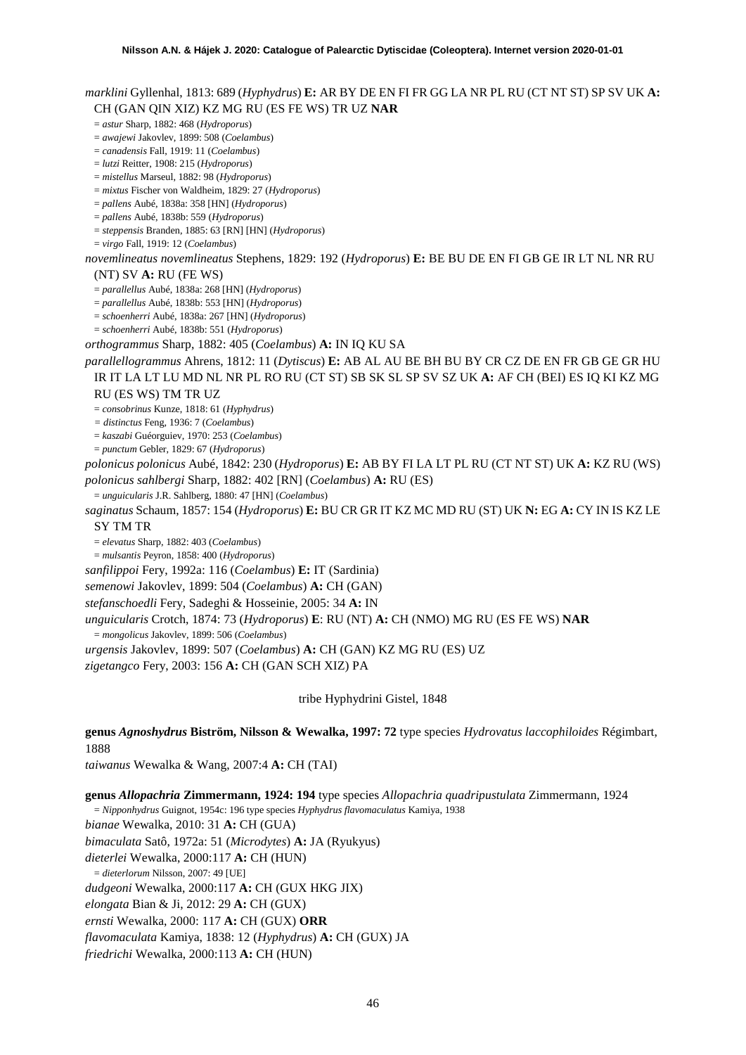# *marklini* Gyllenhal, 1813: 689 (*Hyphydrus*) **E:** AR BY DE EN FI FR GG LA NR PL RU (CT NT ST) SP SV UK **A:**  CH (GAN QIN XIZ) KZ MG RU (ES FE WS) TR UZ **NAR**

#### = *astur* Sharp, 1882: 468 (*Hydroporus*)

= *awajewi* Jakovlev, 1899: 508 (*Coelambus*)

= *canadensis* Fall, 1919: 11 (*Coelambus*)

= *lutzi* Reitter, 1908: 215 (*Hydroporus*)

= *mistellus* Marseul, 1882: 98 (*Hydroporus*)

= *mixtus* Fischer von Waldheim, 1829: 27 (*Hydroporus*)

= *pallens* Aubé, 1838a: 358 [HN] (*Hydroporus*)

= *pallens* Aubé, 1838b: 559 (*Hydroporus*)

= *steppensis* Branden, 1885: 63 [RN] [HN] (*Hydroporus*)

= *virgo* Fall, 1919: 12 (*Coelambus*)

*novemlineatus novemlineatus* Stephens, 1829: 192 (*Hydroporus*) **E:** BE BU DE EN FI GB GE IR LT NL NR RU (NT) SV **A:** RU (FE WS)

= *parallellus* Aubé, 1838a: 268 [HN] (*Hydroporus*)

= *parallellus* Aubé, 1838b: 553 [HN] (*Hydroporus*) = *schoenherri* Aubé, 1838a: 267 [HN] (*Hydroporus*)

= *schoenherri* Aubé, 1838b: 551 (*Hydroporus*)

*orthogrammus* Sharp, 1882: 405 (*Coelambus*) **A:** IN IQ KU SA

*parallellogrammus* Ahrens, 1812: 11 (*Dytiscus*) **E:** AB AL AU BE BH BU BY CR CZ DE EN FR GB GE GR HU IR IT LA LT LU MD NL NR PL RO RU (CT ST) SB SK SL SP SV SZ UK **A:** AF CH (BEI) ES IQ KI KZ MG RU (ES WS) TM TR UZ

= *consobrinus* Kunze, 1818: 61 (*Hyphydrus*)

*= distinctus* Feng, 1936: 7 (*Coelambus*)

= *kaszabi* Guéorguiev, 1970: 253 (*Coelambus*)

= *punctum* Gebler, 1829: 67 (*Hydroporus*)

*polonicus polonicus* Aubé, 1842: 230 (*Hydroporus*) **E:** AB BY FI LA LT PL RU (CT NT ST) UK **A:** KZ RU (WS) *polonicus sahlbergi* Sharp, 1882: 402 [RN] (*Coelambus*) **A:** RU (ES)

= *unguicularis* J.R. Sahlberg, 1880: 47 [HN] (*Coelambus*)

*saginatus* Schaum, 1857: 154 (*Hydroporus*) **E:** BU CR GR IT KZ MC MD RU (ST) UK **N:** EG **A:** CY IN IS KZ LE

SY TM TR

= *elevatus* Sharp, 1882: 403 (*Coelambus*)

= *mulsantis* Peyron, 1858: 400 (*Hydroporus*)

*sanfilippoi* Fery, 1992a: 116 (*Coelambus*) **E:** IT (Sardinia)

*semenowi* Jakovlev, 1899: 504 (*Coelambus*) **A:** CH (GAN)

*stefanschoedli* Fery, Sadeghi & Hosseinie, 2005: 34 **A:** IN

*unguicularis* Crotch, 1874: 73 (*Hydroporus*) **E**: RU (NT) **A:** CH (NMO) MG RU (ES FE WS) **NAR**

= *mongolicus* Jakovlev, 1899: 506 (*Coelambus*)

*urgensis* Jakovlev, 1899: 507 (*Coelambus*) **A:** CH (GAN) KZ MG RU (ES) UZ

*zigetangco* Fery, 2003: 156 **A:** CH (GAN SCH XIZ) PA

tribe Hyphydrini Gistel, 1848

**genus** *Agnoshydrus* **Biström, Nilsson & Wewalka, 1997: 72** type species *Hydrovatus laccophiloides* Régimbart, 1888

*taiwanus* Wewalka & Wang, 2007:4 **A:** CH (TAI)

**genus** *Allopachria* **Zimmermann, 1924: 194** type species *Allopachria quadripustulata* Zimmermann, 1924 = *Nipponhydrus* Guignot, 1954c: 196 type species *Hyphydrus flavomaculatus* Kamiya, 1938 *bianae* Wewalka, 2010: 31 **A:** CH (GUA) *bimaculata* Satô, 1972a: 51 (*Microdytes*) **A:** JA (Ryukyus) *dieterlei* Wewalka, 2000:117 **A:** CH (HUN) = *dieterlorum* Nilsson, 2007: 49 [UE] *dudgeoni* Wewalka, 2000:117 **A:** CH (GUX HKG JIX) *elongata* Bian & Ji, 2012: 29 **A:** CH (GUX) *ernsti* Wewalka, 2000: 117 **A:** CH (GUX) **ORR** *flavomaculata* Kamiya, 1838: 12 (*Hyphydrus*) **A:** CH (GUX) JA *friedrichi* Wewalka, 2000:113 **A:** CH (HUN)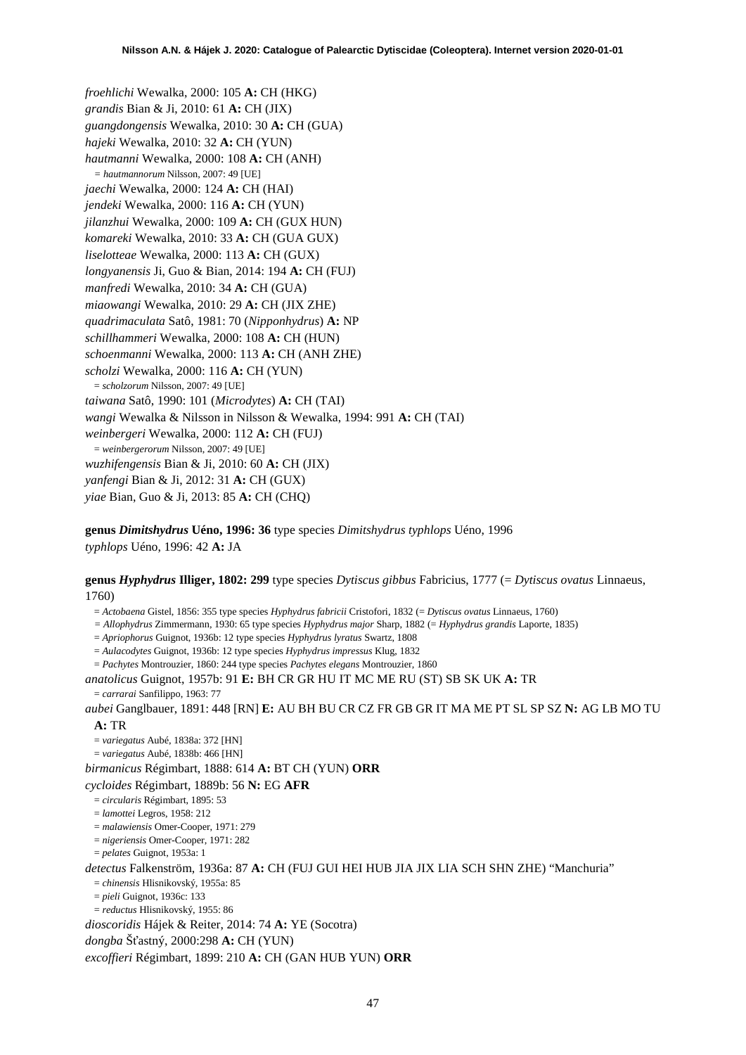*froehlichi* Wewalka, 2000: 105 **A:** CH (HKG) *grandis* Bian & Ji, 2010: 61 **A:** CH (JIX) *guangdongensis* Wewalka, 2010: 30 **A:** CH (GUA) *hajeki* Wewalka, 2010: 32 **A:** CH (YUN) *hautmanni* Wewalka, 2000: 108 **A:** CH (ANH) *= hautmannorum* Nilsson, 2007: 49 [UE] *jaechi* Wewalka, 2000: 124 **A:** CH (HAI) *jendeki* Wewalka, 2000: 116 **A:** CH (YUN) *jilanzhui* Wewalka, 2000: 109 **A:** CH (GUX HUN) *komareki* Wewalka, 2010: 33 **A:** CH (GUA GUX) *liselotteae* Wewalka, 2000: 113 **A:** CH (GUX) *longyanensis* Ji, Guo & Bian, 2014: 194 **A:** CH (FUJ) *manfredi* Wewalka, 2010: 34 **A:** CH (GUA) *miaowangi* Wewalka, 2010: 29 **A:** CH (JIX ZHE) *quadrimaculata* Satô, 1981: 70 (*Nipponhydrus*) **A:** NP *schillhammeri* Wewalka, 2000: 108 **A:** CH (HUN) *schoenmanni* Wewalka, 2000: 113 **A:** CH (ANH ZHE) *scholzi* Wewalka, 2000: 116 **A:** CH (YUN) = *scholzorum* Nilsson, 2007: 49 [UE] *taiwana* Satô, 1990: 101 (*Microdytes*) **A:** CH (TAI) *wangi* Wewalka & Nilsson in Nilsson & Wewalka, 1994: 991 **A:** CH (TAI) *weinbergeri* Wewalka, 2000: 112 **A:** CH (FUJ) = *weinbergerorum* Nilsson, 2007: 49 [UE] *wuzhifengensis* Bian & Ji, 2010: 60 **A:** CH (JIX) *yanfengi* Bian & Ji, 2012: 31 **A:** CH (GUX) *yiae* Bian, Guo & Ji, 2013: 85 **A:** CH (CHQ)

**genus** *Dimitshydrus* **Uéno, 1996: 36** type species *Dimitshydrus typhlops* Uéno, 1996 *typhlops* Uéno, 1996: 42 **A:** JA

**genus** *Hyphydrus* **Illiger, 1802: 299** type species *Dytiscus gibbus* Fabricius, 1777 (= *Dytiscus ovatus* Linnaeus, 1760)

= *Actobaena* Gistel, 1856: 355 type species *Hyphydrus fabricii* Cristofori, 1832 (= *Dytiscus ovatus* Linnaeus, 1760)

*= Allophydrus* Zimmermann, 1930: 65 type species *Hyphydrus major* Sharp, 1882 (= *Hyphydrus grandis* Laporte, 1835)

= *Apriophorus* Guignot, 1936b: 12 type species *Hyphydrus lyratus* Swartz, 1808

= *Aulacodytes* Guignot, 1936b: 12 type species *Hyphydrus impressus* Klug, 1832

= *Pachytes* Montrouzier, 1860: 244 type species *Pachytes elegans* Montrouzier, 1860

*anatolicus* Guignot, 1957b: 91 **E:** BH CR GR HU IT MC ME RU (ST) SB SK UK **A:** TR

= *carrarai* Sanfilippo, 1963: 77

*aubei* Ganglbauer, 1891: 448 [RN] **E:** AU BH BU CR CZ FR GB GR IT MA ME PT SL SP SZ **N:** AG LB MO TU **A:** TR

= *variegatus* Aubé, 1838a: 372 [HN]

= *variegatus* Aubé, 1838b: 466 [HN]

*birmanicus* Régimbart, 1888: 614 **A:** BT CH (YUN) **ORR**

*cycloides* Régimbart, 1889b: 56 **N:** EG **AFR**

= *circularis* Régimbart, 1895: 53

= *lamottei* Legros, 1958: 212

= *malawiensis* Omer-Cooper, 1971: 279

= *nigeriensis* Omer-Cooper, 1971: 282

= *pelates* Guignot, 1953a: 1

*detectus* Falkenström, 1936a: 87 **A:** CH (FUJ GUI HEI HUB JIA JIX LIA SCH SHN ZHE) "Manchuria"

= *chinensis* Hlisnikovský, 1955a: 85

= *pieli* Guignot, 1936c: 133

= *reductus* Hlisnikovský, 1955: 86 *dioscoridis* Hájek & Reiter, 2014: 74 **A:** YE (Socotra)

*dongba* Šťastný, 2000:298 **A:** CH (YUN)

*excoffieri* Régimbart, 1899: 210 **A:** CH (GAN HUB YUN) **ORR**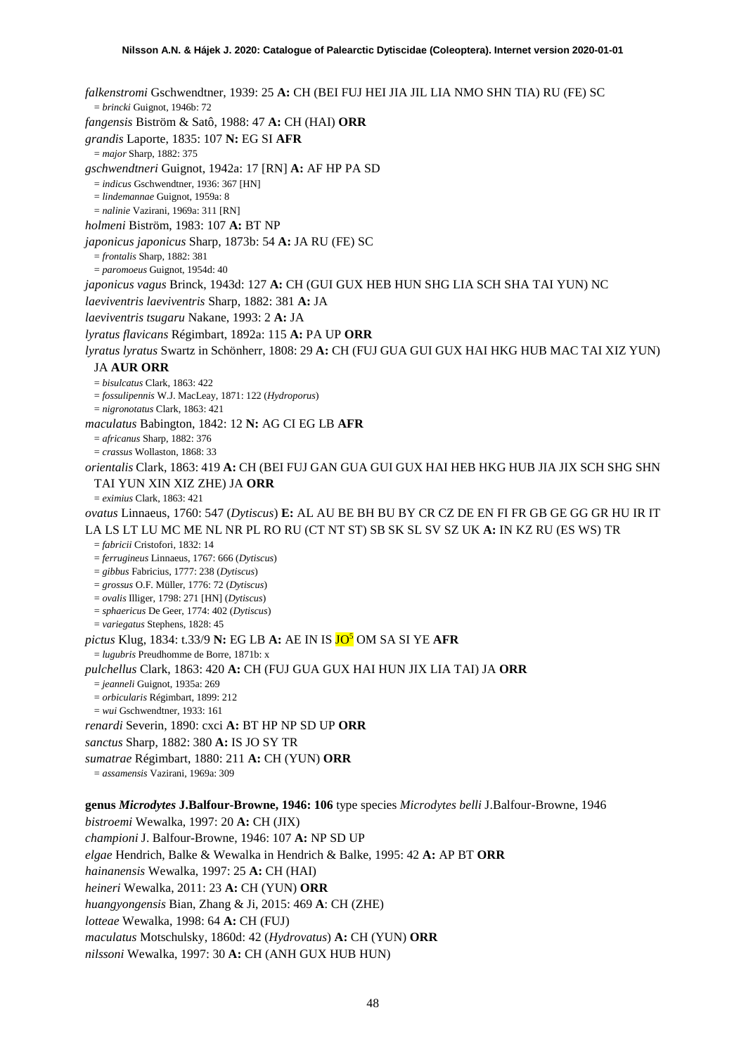*falkenstromi* Gschwendtner, 1939: 25 **A:** CH (BEI FUJ HEI JIA JIL LIA NMO SHN TIA) RU (FE) SC = *brincki* Guignot, 1946b: 72 *fangensis* Biström & Satô, 1988: 47 **A:** CH (HAI) **ORR** *grandis* Laporte, 1835: 107 **N:** EG SI **AFR** = *major* Sharp, 1882: 375 *gschwendtneri* Guignot, 1942a: 17 [RN] **A:** AF HP PA SD = *indicus* Gschwendtner, 1936: 367 [HN] = *lindemannae* Guignot, 1959a: 8 = *nalinie* Vazirani, 1969a: 311 [RN] *holmeni* Biström, 1983: 107 **A:** BT NP *japonicus japonicus* Sharp, 1873b: 54 **A:** JA RU (FE) SC = *frontalis* Sharp, 1882: 381 = *paromoeus* Guignot, 1954d: 40 *japonicus vagus* Brinck, 1943d: 127 **A:** CH (GUI GUX HEB HUN SHG LIA SCH SHA TAI YUN) NC *laeviventris laeviventris* Sharp, 1882: 381 **A:** JA *laeviventris tsugaru* Nakane, 1993: 2 **A:** JA *lyratus flavicans* Régimbart, 1892a: 115 **A:** PA UP **ORR** *lyratus lyratus* Swartz in Schönherr, 1808: 29 **A:** CH (FUJ GUA GUI GUX HAI HKG HUB MAC TAI XIZ YUN) JA **AUR ORR** = *bisulcatus* Clark, 1863: 422 = *fossulipennis* W.J. MacLeay, 1871: 122 (*Hydroporus*) = *nigronotatus* Clark, 1863: 421 *maculatus* Babington, 1842: 12 **N:** AG CI EG LB **AFR** = *africanus* Sharp, 1882: 376 = *crassus* Wollaston, 1868: 33 *orientalis* Clark, 1863: 419 **A:** CH (BEI FUJ GAN GUA GUI GUX HAI HEB HKG HUB JIA JIX SCH SHG SHN TAI YUN XIN XIZ ZHE) JA **ORR** = *eximius* Clark, 1863: 421 *ovatus* Linnaeus, 1760: 547 (*Dytiscus*) **E:** AL AU BE BH BU BY CR CZ DE EN FI FR GB GE GG GR HU IR IT LA LS LT LU MC ME NL NR PL RO RU (CT NT ST) SB SK SL SV SZ UK **A:** IN KZ RU (ES WS) TR = *fabricii* Cristofori, 1832: 14 = *ferrugineus* Linnaeus, 1767: 666 (*Dytiscus*) = *gibbus* Fabricius, 1777: 238 (*Dytiscus*) = *grossus* O.F. Müller, 1776: 72 (*Dytiscus*) = *ovalis* Illiger, 1798: 271 [HN] (*Dytiscus*) = *sphaericus* De Geer, 1774: 402 (*Dytiscus*) = *variegatus* Stephens, 1828: 45 *pictus* Klug, 1834: t.33/9 **N:** EG LB **A:** AE IN IS JO5 OM SA SI YE **AFR** = *lugubris* Preudhomme de Borre, 1871b: x *pulchellus* Clark, 1863: 420 **A:** CH (FUJ GUA GUX HAI HUN JIX LIA TAI) JA **ORR** = *jeanneli* Guignot, 1935a: 269 = *orbicularis* Régimbart, 1899: 212 = *wui* Gschwendtner, 1933: 161 *renardi* Severin, 1890: cxci **A:** BT HP NP SD UP **ORR** *sanctus* Sharp, 1882: 380 **A:** IS JO SY TR *sumatrae* Régimbart, 1880: 211 **A:** CH (YUN) **ORR** = *assamensis* Vazirani, 1969a: 309 **genus** *Microdytes* **J.Balfour-Browne, 1946: 106** type species *Microdytes belli* J.Balfour-Browne, 1946

*bistroemi* Wewalka, 1997: 20 **A:** CH (JIX) *championi* J. Balfour-Browne, 1946: 107 **A:** NP SD UP *elgae* Hendrich, Balke & Wewalka in Hendrich & Balke, 1995: 42 **A:** AP BT **ORR** *hainanensis* Wewalka, 1997: 25 **A:** CH (HAI) *heineri* Wewalka, 2011: 23 **A:** CH (YUN) **ORR** *huangyongensis* Bian, Zhang & Ji, 2015: 469 **A**: CH (ZHE) *lotteae* Wewalka, 1998: 64 **A:** CH (FUJ) *maculatus* Motschulsky, 1860d: 42 (*Hydrovatus*) **A:** CH (YUN) **ORR** *nilssoni* Wewalka, 1997: 30 **A:** CH (ANH GUX HUB HUN)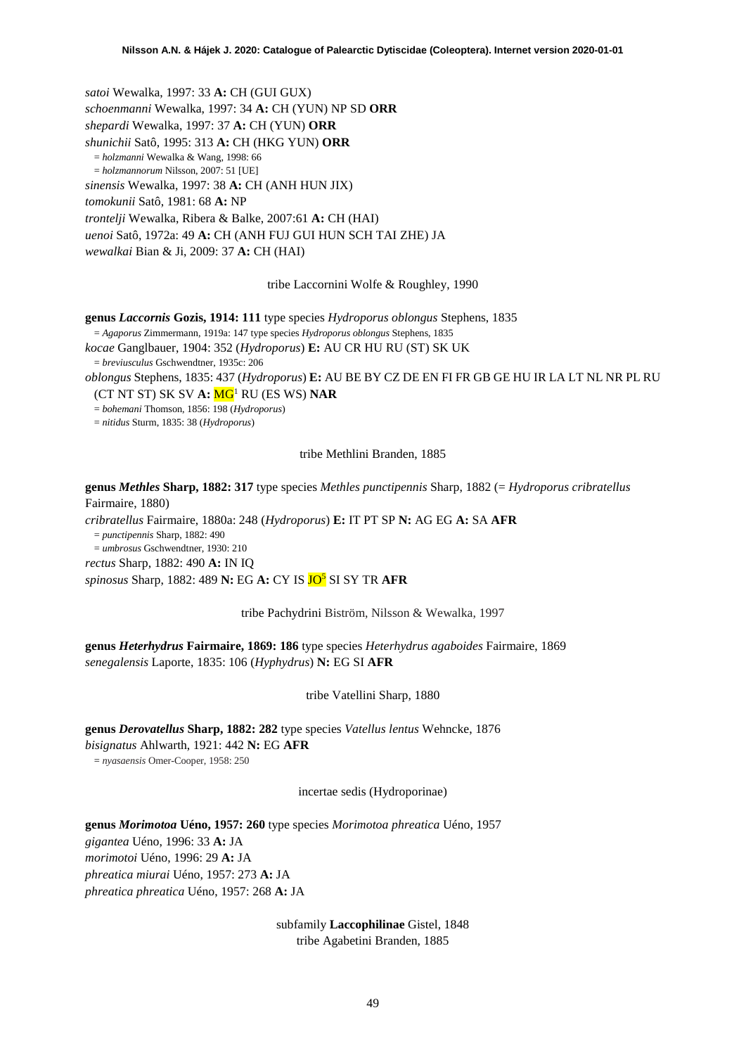*satoi* Wewalka, 1997: 33 **A:** CH (GUI GUX) *schoenmanni* Wewalka, 1997: 34 **A:** CH (YUN) NP SD **ORR** *shepardi* Wewalka, 1997: 37 **A:** CH (YUN) **ORR** *shunichii* Satô, 1995: 313 **A:** CH (HKG YUN) **ORR** = *holzmanni* Wewalka & Wang, 1998: 66 = *holzmannorum* Nilsson, 2007: 51 [UE] *sinensis* Wewalka, 1997: 38 **A:** CH (ANH HUN JIX) *tomokunii* Satô, 1981: 68 **A:** NP *trontelji* Wewalka, Ribera & Balke, 2007:61 **A:** CH (HAI) *uenoi* Satô, 1972a: 49 **A:** CH (ANH FUJ GUI HUN SCH TAI ZHE) JA *wewalkai* Bian & Ji, 2009: 37 **A:** CH (HAI)

tribe Laccornini Wolfe & Roughley, 1990

**genus** *Laccornis* **Gozis, 1914: 111** type species *Hydroporus oblongus* Stephens, 1835

= *Agaporus* Zimmermann, 1919a: 147 type species *Hydroporus oblongus* Stephens, 1835

*kocae* Ganglbauer, 1904: 352 (*Hydroporus*) **E:** AU CR HU RU (ST) SK UK = *breviusculus* Gschwendtner, 1935c: 206

*oblongus* Stephens, 1835: 437 (*Hydroporus*) **E:** AU BE BY CZ DE EN FI FR GB GE HU IR LA LT NL NR PL RU

(CT NT ST) SK SV **A:** M[G1](#page-2-0) RU (ES WS) **NAR**

= *bohemani* Thomson, 1856: 198 (*Hydroporus*)

= *nitidus* Sturm, 1835: 38 (*Hydroporus*)

tribe Methlini Branden, 1885

**genus** *Methles* **Sharp, 1882: 317** type species *Methles punctipennis* Sharp, 1882 (= *Hydroporus cribratellus* Fairmaire, 1880)

*cribratellus* Fairmaire, 1880a: 248 (*Hydroporus*) **E:** IT PT SP **N:** AG EG **A:** SA **AFR** = *punctipennis* Sharp, 1882: 490

= *umbrosus* Gschwendtner, 1930: 210 *rectus* Sharp, 1882: 490 **A:** IN IQ

*spinosus* Sharp, 1882: 489 **N:** EG **A:** CY IS JO5 SI SY TR **AFR**

tribe Pachydrini Biström, Nilsson & Wewalka, 1997

**genus** *Heterhydrus* **Fairmaire, 1869: 186** type species *Heterhydrus agaboides* Fairmaire, 1869 *senegalensis* Laporte, 1835: 106 (*Hyphydrus*) **N:** EG SI **AFR**

tribe Vatellini Sharp, 1880

**genus** *Derovatellus* **Sharp, 1882: 282** type species *Vatellus lentus* Wehncke, 1876 *bisignatus* Ahlwarth, 1921: 442 **N:** EG **AFR**

= *nyasaensis* Omer-Cooper, 1958: 250

incertae sedis (Hydroporinae)

**genus** *Morimotoa* **Uéno, 1957: 260** type species *Morimotoa phreatica* Uéno, 1957 *gigantea* Uéno, 1996: 33 **A:** JA *morimotoi* Uéno, 1996: 29 **A:** JA *phreatica miurai* Uéno, 1957: 273 **A:** JA *phreatica phreatica* Uéno, 1957: 268 **A:** JA

> subfamily **Laccophilinae** Gistel, 1848 tribe Agabetini Branden, 1885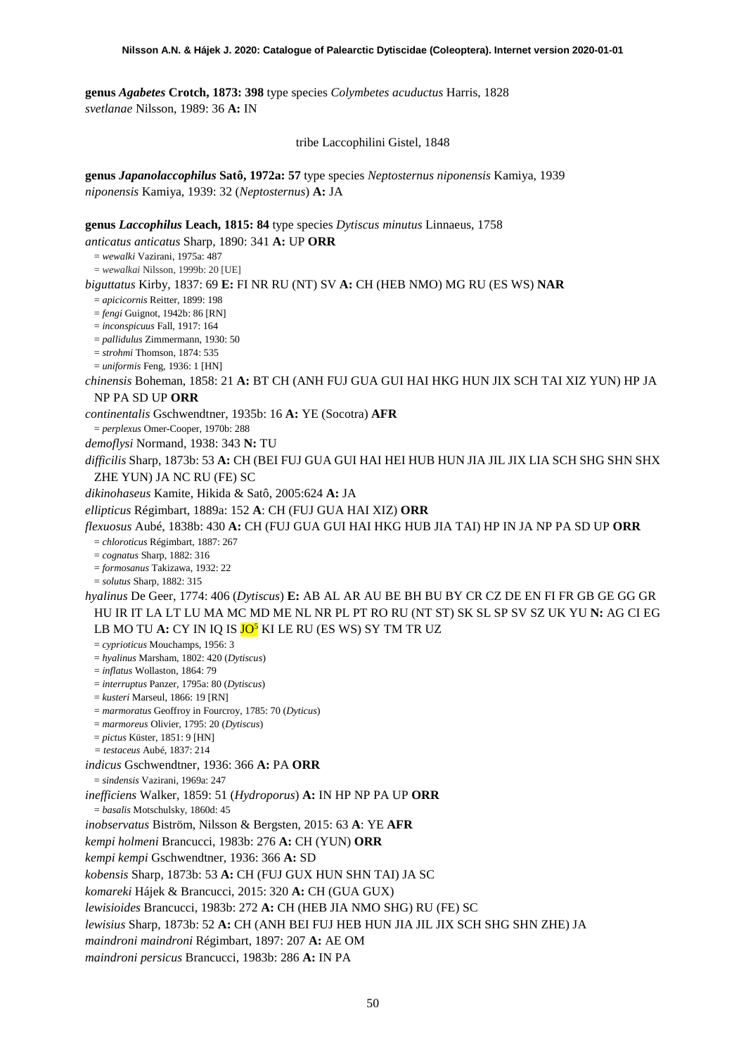**genus** *Agabetes* **Crotch, 1873: 398** type species *Colymbetes acuductus* Harris, 1828 *svetlanae* Nilsson, 1989: 36 **A:** IN

tribe Laccophilini Gistel, 1848

**genus** *Japanolaccophilus* **Satô, 1972a: 57** type species *Neptosternus niponensis* Kamiya, 1939 *niponensis* Kamiya, 1939: 32 (*Neptosternus*) **A:** JA

**genus** *Laccophilus* **Leach, 1815: 84** type species *Dytiscus minutus* Linnaeus, 1758

*anticatus anticatus* Sharp, 1890: 341 **A:** UP **ORR**

= *wewalki* Vazirani, 1975a: 487 = *wewalkai* Nilsson, 1999b: 20 [UE]

*biguttatus* Kirby, 1837: 69 **E:** FI NR RU (NT) SV **A:** CH (HEB NMO) MG RU (ES WS) **NAR**

= *apicicornis* Reitter, 1899: 198

= *fengi* Guignot, 1942b: 86 [RN]

= *inconspicuus* Fall, 1917: 164

= *pallidulus* Zimmermann, 1930: 50

= *strohmi* Thomson, 1874: 535

= *uniformis* Feng, 1936: 1 [HN]

*chinensis* Boheman, 1858: 21 **A:** BT CH (ANH FUJ GUA GUI HAI HKG HUN JIX SCH TAI XIZ YUN) HP JA NP PA SD UP **ORR**

*continentalis* Gschwendtner, 1935b: 16 **A:** YE (Socotra) **AFR**

= *perplexus* Omer-Cooper, 1970b: 288

*demoflysi* Normand, 1938: 343 **N:** TU

*difficilis* Sharp, 1873b: 53 **A:** CH (BEI FUJ GUA GUI HAI HEI HUB HUN JIA JIL JIX LIA SCH SHG SHN SHX ZHE YUN) JA NC RU (FE) SC

*dikinohaseus* Kamite, Hikida & Satô, 2005:624 **A:** JA

*ellipticus* Régimbart, 1889a: 152 **A**: CH (FUJ GUA HAI XIZ) **ORR**

*flexuosus* Aubé, 1838b: 430 **A:** CH (FUJ GUA GUI HAI HKG HUB JIA TAI) HP IN JA NP PA SD UP **ORR** = *chloroticus* Régimbart, 1887: 267

= *cognatus* Sharp, 1882: 316

= *formosanus* Takizawa, 1932: 22

= *solutus* Sharp, 1882: 315

*hyalinus* De Geer, 1774: 406 (*Dytiscus*) **E:** AB AL AR AU BE BH BU BY CR CZ DE EN FI FR GB GE GG GR HU IR IT LA LT LU MA MC MD ME NL NR PL PT RO RU (NT ST) SK SL SP SV SZ UK YU **N:** AG CI EG LB MO TU **A:** CY IN IQ IS **JO<sup>5</sup>** KI LE RU (ES WS) SY TM TR UZ

= *cyprioticus* Mouchamps, 1956: 3

= *hyalinus* Marsham, 1802: 420 (*Dytiscus*)

= *inflatus* Wollaston, 1864: 79

= *interruptus* Panzer, 1795a: 80 (*Dytiscus*)

= *kusteri* Marseul, 1866: 19 [RN]

= *marmoratus* Geoffroy in Fourcroy, 1785: 70 (*Dyticus*)

= *marmoreus* Olivier, 1795: 20 (*Dytiscus*)

= *pictus* Küster, 1851: 9 [HN] *= testaceus* Aubé, 1837: 214

*indicus* Gschwendtner, 1936: 366 **A:** PA **ORR**

= *sindensis* Vazirani, 1969a: 247

*inefficiens* Walker, 1859: 51 (*Hydroporus*) **A:** IN HP NP PA UP **ORR**

= *basalis* Motschulsky, 1860d: 45

*inobservatus* Biström, Nilsson & Bergsten, 2015: 63 **A**: YE **AFR**

*kempi holmeni* Brancucci, 1983b: 276 **A:** CH (YUN) **ORR**

*kempi kempi* Gschwendtner, 1936: 366 **A:** SD

*kobensis* Sharp, 1873b: 53 **A:** CH (FUJ GUX HUN SHN TAI) JA SC

*komareki* Hájek & Brancucci, 2015: 320 **A:** CH (GUA GUX)

*lewisioides* Brancucci, 1983b: 272 **A:** CH (HEB JIA NMO SHG) RU (FE) SC

*lewisius* Sharp, 1873b: 52 **A:** CH (ANH BEI FUJ HEB HUN JIA JIL JIX SCH SHG SHN ZHE) JA

*maindroni maindroni* Régimbart, 1897: 207 **A:** AE OM

*maindroni persicus* Brancucci, 1983b: 286 **A:** IN PA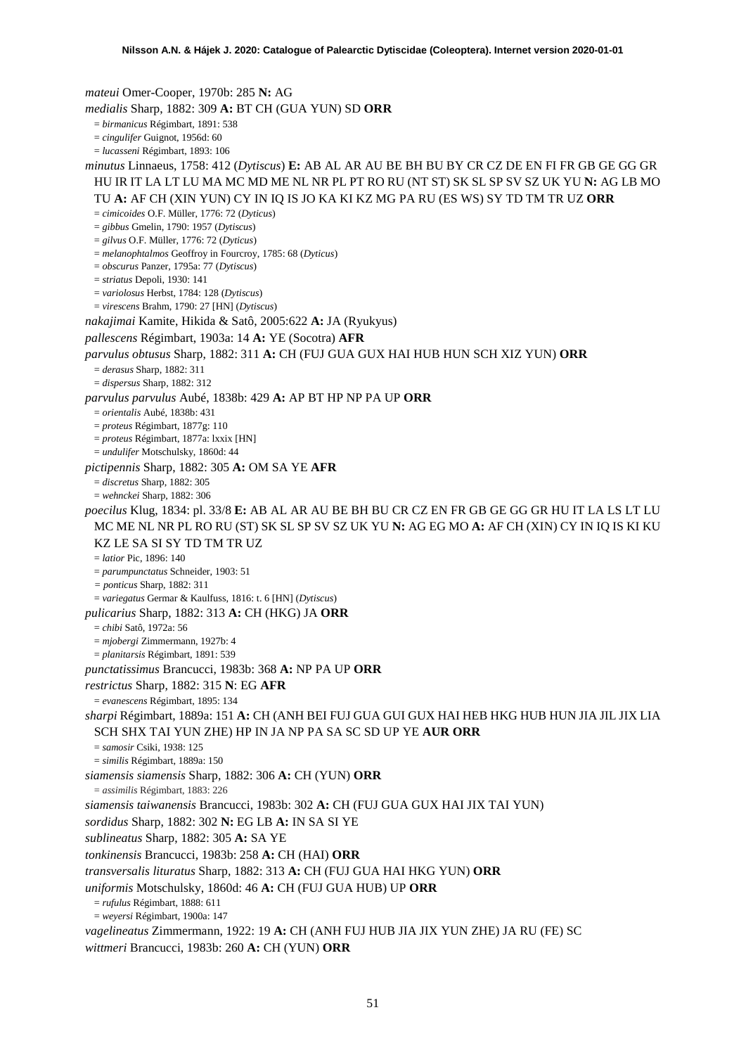*mateui* Omer-Cooper, 1970b: 285 **N:** AG *medialis* Sharp, 1882: 309 **A:** BT CH (GUA YUN) SD **ORR** = *birmanicus* Régimbart, 1891: 538 = *cingulifer* Guignot, 1956d: 60 = *lucasseni* Régimbart, 1893: 106 *minutus* Linnaeus, 1758: 412 (*Dytiscus*) **E:** AB AL AR AU BE BH BU BY CR CZ DE EN FI FR GB GE GG GR HU IR IT LA LT LU MA MC MD ME NL NR PL PT RO RU (NT ST) SK SL SP SV SZ UK YU **N:** AG LB MO TU **A:** AF CH (XIN YUN) CY IN IQ IS JO KA KI KZ MG PA RU (ES WS) SY TD TM TR UZ **ORR** = *cimicoides* O.F. Müller, 1776: 72 (*Dyticus*) = *gibbus* Gmelin, 1790: 1957 (*Dytiscus*) = *gilvus* O.F. Müller, 1776: 72 (*Dyticus*) = *melanophtalmos* Geoffroy in Fourcroy, 1785: 68 (*Dyticus*) = *obscurus* Panzer, 1795a: 77 (*Dytiscus*) = *striatus* Depoli, 1930: 141 = *variolosus* Herbst, 1784: 128 (*Dytiscus*) = *virescens* Brahm, 1790: 27 [HN] (*Dytiscus*) *nakajimai* Kamite, Hikida & Satô, 2005:622 **A:** JA (Ryukyus) *pallescens* Régimbart, 1903a: 14 **A:** YE (Socotra) **AFR** *parvulus obtusus* Sharp, 1882: 311 **A:** CH (FUJ GUA GUX HAI HUB HUN SCH XIZ YUN) **ORR** = *derasus* Sharp, 1882: 311 = *dispersus* Sharp, 1882: 312 *parvulus parvulus* Aubé, 1838b: 429 **A:** AP BT HP NP PA UP **ORR** = *orientalis* Aubé, 1838b: 431 = *proteus* Régimbart, 1877g: 110 = *proteus* Régimbart, 1877a: lxxix [HN] = *undulifer* Motschulsky, 1860d: 44 *pictipennis* Sharp, 1882: 305 **A:** OM SA YE **AFR** = *discretus* Sharp, 1882: 305 = *wehnckei* Sharp, 1882: 306 *poecilus* Klug, 1834: pl. 33/8 **E:** AB AL AR AU BE BH BU CR CZ EN FR GB GE GG GR HU IT LA LS LT LU MC ME NL NR PL RO RU (ST) SK SL SP SV SZ UK YU **N:** AG EG MO **A:** AF CH (XIN) CY IN IQ IS KI KU KZ LE SA SI SY TD TM TR UZ = *latior* Pic, 1896: 140 = *parumpunctatus* Schneider, 1903: 51 *= ponticus* Sharp, 1882: 311 = *variegatus* Germar & Kaulfuss, 1816: t. 6 [HN] (*Dytiscus*) *pulicarius* Sharp, 1882: 313 **A:** CH (HKG) JA **ORR** = *chibi* Satô, 1972a: 56 = *mjobergi* Zimmermann, 1927b: 4 = *planitarsis* Régimbart, 1891: 539 *punctatissimus* Brancucci, 1983b: 368 **A:** NP PA UP **ORR** *restrictus* Sharp, 1882: 315 **N**: EG **AFR** = *evanescens* Régimbart, 1895: 134 *sharpi* Régimbart, 1889a: 151 **A:** CH (ANH BEI FUJ GUA GUI GUX HAI HEB HKG HUB HUN JIA JIL JIX LIA SCH SHX TAI YUN ZHE) HP IN JA NP PA SA SC SD UP YE **AUR ORR** = *samosir* Csiki, 1938: 125 = *similis* Régimbart, 1889a: 150 *siamensis siamensis* Sharp, 1882: 306 **A:** CH (YUN) **ORR** = *assimilis* Régimbart, 1883: 226 *siamensis taiwanensis* Brancucci, 1983b: 302 **A:** CH (FUJ GUA GUX HAI JIX TAI YUN) *sordidus* Sharp, 1882: 302 **N:** EG LB **A:** IN SA SI YE *sublineatus* Sharp, 1882: 305 **A:** SA YE *tonkinensis* Brancucci, 1983b: 258 **A:** CH (HAI) **ORR** *transversalis lituratus* Sharp, 1882: 313 **A:** CH (FUJ GUA HAI HKG YUN) **ORR** *uniformis* Motschulsky, 1860d: 46 **A:** CH (FUJ GUA HUB) UP **ORR** = *rufulus* Régimbart, 1888: 611 = *weyersi* Régimbart, 1900a: 147 *vagelineatus* Zimmermann, 1922: 19 **A:** CH (ANH FUJ HUB JIA JIX YUN ZHE) JA RU (FE) SC *wittmeri* Brancucci, 1983b: 260 **A:** CH (YUN) **ORR**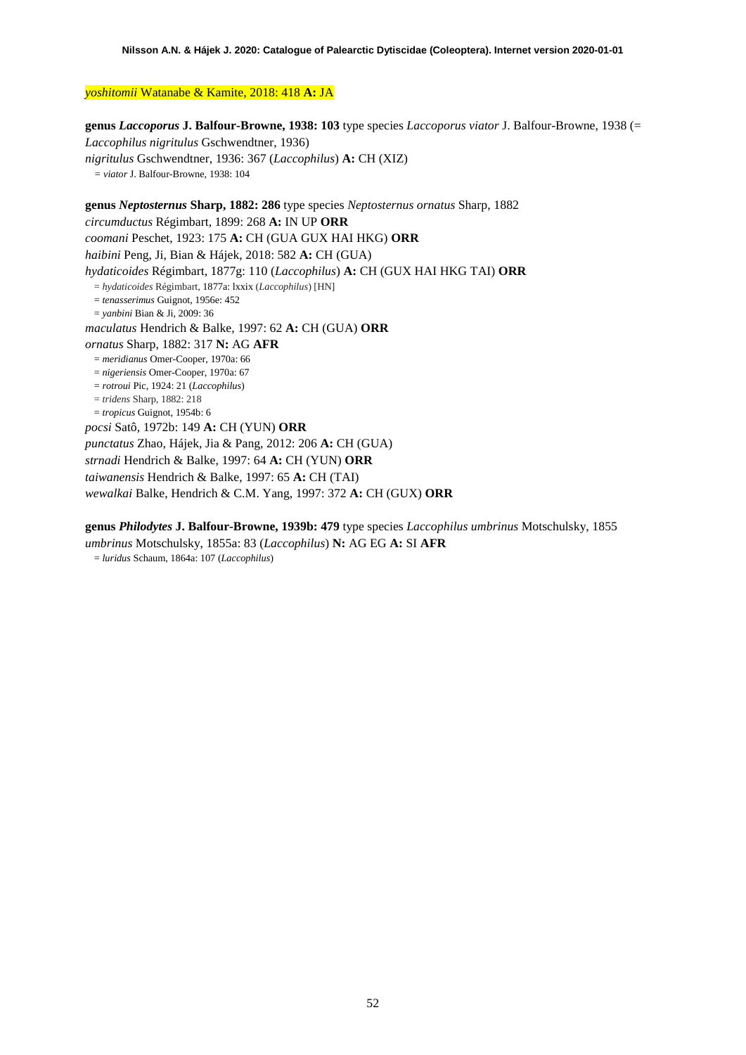## *yoshitomii* Watanabe & Kamite, 2018: 418 **A:** JA

**genus** *Laccoporus* **J. Balfour-Browne, 1938: 103** type species *Laccoporus viator* J. Balfour-Browne, 1938 (= *Laccophilus nigritulus* Gschwendtner, 1936) *nigritulus* Gschwendtner, 1936: 367 (*Laccophilus*) **A:** CH (XIZ) *= viator* J. Balfour-Browne, 1938: 104

**genus** *Neptosternus* **Sharp, 1882: 286** type species *Neptosternus ornatus* Sharp, 1882 *circumductus* Régimbart, 1899: 268 **A:** IN UP **ORR** *coomani* Peschet, 1923: 175 **A:** CH (GUA GUX HAI HKG) **ORR** *haibini* Peng, Ji, Bian & Hájek, 2018: 582 **A:** CH (GUA) *hydaticoides* Régimbart, 1877g: 110 (*Laccophilus*) **A:** CH (GUX HAI HKG TAI) **ORR** = *hydaticoides* Régimbart, 1877a: lxxix (*Laccophilus*) [HN] = *tenasserimus* Guignot, 1956e: 452 = *yanbini* Bian & Ji, 2009: 36 *maculatus* Hendrich & Balke, 1997: 62 **A:** CH (GUA) **ORR** *ornatus* Sharp, 1882: 317 **N:** AG **AFR** = *meridianus* Omer-Cooper, 1970a: 66 = *nigeriensis* Omer-Cooper, 1970a: 67 = *rotroui* Pic, 1924: 21 (*Laccophilus*) = *tridens* Sharp, 1882: 218 = *tropicus* Guignot, 1954b: 6 *pocsi* Satô, 1972b: 149 **A:** CH (YUN) **ORR** *punctatus* Zhao, Hájek, Jia & Pang, 2012: 206 **A:** CH (GUA) *strnadi* Hendrich & Balke, 1997: 64 **A:** CH (YUN) **ORR** *taiwanensis* Hendrich & Balke, 1997: 65 **A:** CH (TAI) *wewalkai* Balke, Hendrich & C.M. Yang, 1997: 372 **A:** CH (GUX) **ORR**

**genus** *Philodytes* **J. Balfour-Browne, 1939b: 479** type species *Laccophilus umbrinus* Motschulsky, 1855

*umbrinus* Motschulsky, 1855a: 83 (*Laccophilus*) **N:** AG EG **A:** SI **AFR** = *luridus* Schaum, 1864a: 107 (*Laccophilus*)